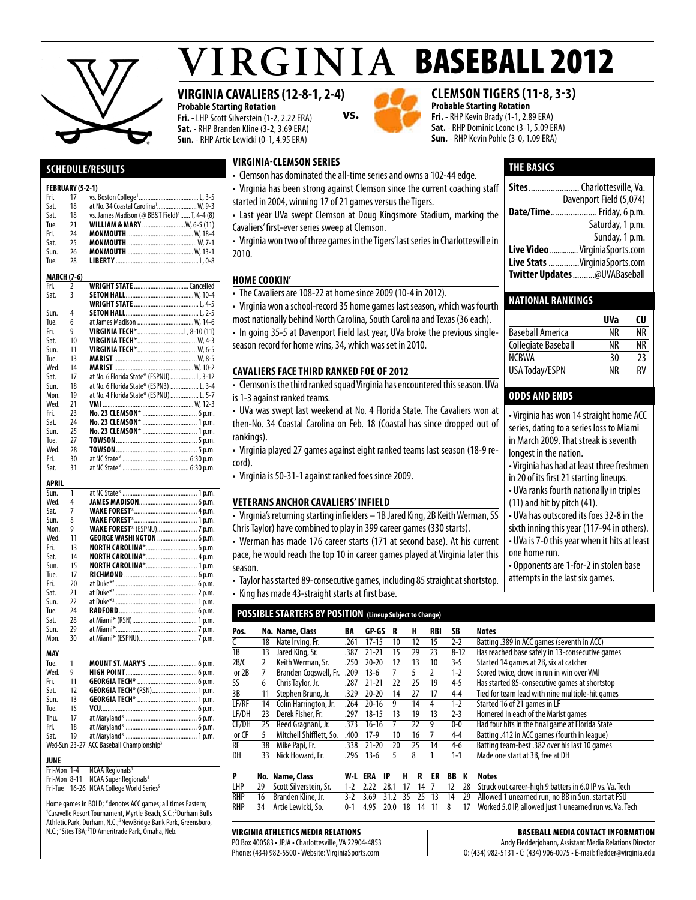

# $VIRGINIA$  BASEBALL 2012

### **VIRGINIA CAVALIERS (12-8-1, 2-4)**

**virginia-clemson series**

**Probable Starting Rotation Fri.** - LHP Scott Silverstein (1-2, 2.22 ERA) **Sat.** - RHP Branden Kline (3-2, 3.69 ERA) **Sun.** - RHP Artie Lewicki (0-1, 4.95 ERA)

is 1-3 against ranked teams.

rankings).

cord).

season.



• Clemson has dominated the all-time series and owns a 102-44 edge.

**vs.**

• The Cavaliers are 108-22 at home since 2009 (10-4 in 2012).

season record for home wins, 34, which was set in 2010.

**cavaliers facethird ranked foe of 2012**

• Virginia is 50-31-1 against ranked foes since 2009.

**Veterans anchor cavaliers' infield**

• Virginia won a school-record 35 home games last season, which was fourth most nationally behind North Carolina, South Carolina and Texas (36 each). • In going 35-5 at Davenport Field last year, UVa broke the previous single-

• Clemson is the third ranked squad Virginia has encountered this season. UVa

#### **clemson tigers (11-8, 3-3) Probable Starting Rotation**

**Fri.** - RHP Kevin Brady (1-1, 2.89 ERA) **Sat.** - RHP Dominic Leone (3-1, 5.09 ERA) **Sun.** - RHP Kevin Pohle (3-0, 1.09 ERA)

#### **THE basics**

| <b>HOME COOKIN'</b>                                                                | Twitter Updates@UVABaseball       |
|------------------------------------------------------------------------------------|-----------------------------------|
|                                                                                    | Live Stats VirginiaSports.com     |
| 2010.                                                                              | Live Video  VirginiaSports.com    |
| • Virginia won two of three games in the Tigers' last series in Charlottesville in | Sunday, 1 p.m.                    |
| Cavaliers' first-ever series sweep at Clemson.                                     | Saturday, 1 p.m.                  |
| • Last year UVa swept Clemson at Doug Kingsmore Stadium, marking the               | <b>Date/Time</b> Friday, 6 p.m.   |
| started in 2004, winning 17 of 21 games versus the Tigers.                         | Davenport Field (5,074)           |
| • Virginia has been strong against Clemson since the current coaching staff        | <b>Sites</b> Charlottesville. Va. |
| CICINIJAH HAJ AVIHINACA GIC AH GINC JOHOJ AHA VIINJA TVE TI CAAC.                  |                                   |

#### **National Rankings**

|                       | UVa | CU |
|-----------------------|-----|----|
| Baseball America      | ΝR  | ΝR |
| Collegiate Baseball   | ΝR  | ΝR |
| <b>NCRWA</b>          | 30  | 23 |
| <b>USA Today/ESPN</b> | ΝR  | RV |

#### **odds and ends**

• Virginia has won 14 straight home ACC series, dating to a series loss to Miami in March 2009. That streak is seventh longest in the nation. • Virginia has had at least three freshmen in 20 of its first 21 starting lineups. • UVa ranks fourth nationally in triples (11) and hit by pitch (41). • UVa has outscored its foes 32-8 in the sixth inning this year (117-94 in others). • UVa is 7-0 this year when it hits at least one home run. • Opponents are 1-for-2 in stolen base attempts in the last six games. • UVa was swept last weekend at No. 4 Florida State. The Cavaliers won at then-No. 34 Coastal Carolina on Feb. 18 (Coastal has since dropped out of • Virginia played 27 games against eight ranked teams last season (18-9 re-• Virginia's returning starting infielders - 1B Jared King, 2B Keith Werman, SS • Werman has made 176 career starts (171 at second base). At his current pace, he would reach the top 10 in career games played at Virginia later this

• Taylor has started 89-consecutive games, including 85 straight at shortstop. • King has made 43-straight starts at first base.

#### **POSSIBLE STARTERS BY POSITION (Lineup Subject to Change)**

Chris Taylor) have combined to play in 399 career games (330 starts).

| Pos.  |    | No. Name, Class         | BA   | GP-GS     | R  | н  | RBI | SΒ       | <b>Notes</b>                                     |
|-------|----|-------------------------|------|-----------|----|----|-----|----------|--------------------------------------------------|
|       | 18 | Nate Irving, Fr.        | .261 | $17 - 15$ | 10 | 12 | 15  | $2-2$    | Batting .389 in ACC games (seventh in ACC)       |
| 1B    | 13 | Jared King, Sr.         | .387 | $21 - 21$ | 15 | 29 | 23  | $8 - 12$ | Has reached base safely in 13-consecutive games  |
| 2B/C  |    | Keith Werman, Sr.       | 250  | $20 - 20$ | 12 | 13 | 10  | 3-5      | Started 14 games at 2B, six at catcher           |
| or 2B |    | Branden Cogswell, Fr.   | .209 | $13-6$    |    |    |     | 1-2      | Scored twice, drove in run in win over VMI       |
| SS    | 6  | Chris Taylor, Jr.       | .287 | $21 - 21$ | 22 | 25 | 19  | $4 - 5$  | Has started 85-consecutive games at shortstop    |
| 3B    | 11 | Stephen Bruno, Jr.      | .329 | $20 - 20$ | 14 | 27 | 17  | $4 - 4$  | Tied for team lead with nine multiple-hit games  |
| LF/RF | 14 | Colin Harrington, Jr.   | .264 | $20 - 16$ | 9  | 14 | 4   | $1 - 2$  | Started 16 of 21 games in LF                     |
| LF/DH | 23 | Derek Fisher, Fr.       | 297  | $18 - 15$ | 13 | 19 | 13  | $2 - 3$  | Homered in each of the Marist games              |
| CF/DH | 25 | Reed Gragnani, Jr.      | .373 | $16-16$   |    | 22 | g   | $0-0$    | Had four hits in the final game at Florida State |
| or CF |    | Mitchell Shifflett, So. | .400 | $17-9$    | 10 | 16 |     | $4 - 4$  | Batting .412 in ACC games (fourth in league)     |
| RF    | 38 | Mike Papi, Fr.          | .338 | $21 - 20$ | 20 | 25 | 14  | $4-6$    | Batting team-best .382 over his last 10 games    |
| DH    | 33 | Nick Howard, Fr.        | 296  | 13-6      |    | 8  |     | $1 - 1$  | Made one start at 3B, five at DH                 |

|  | No. Name, Class           |  |  |  |  | W-L ERA IP H R ER BB K Notes                                                                                      |
|--|---------------------------|--|--|--|--|-------------------------------------------------------------------------------------------------------------------|
|  |                           |  |  |  |  | LHP 29 Scott Silverstein, Sr. 1-2 2.22 28.1 17 14 7 12 28 Struck out career-high 9 batters in 6.0 IP vs. Va. Tech |
|  |                           |  |  |  |  | RHP 16 Branden Kline, Jr. 3-2 3.69 31.2 35 25 13 14 29 Allowed 1 unearned run, no BB in Sun. start at FSU         |
|  | RHP 34 Artie Lewicki, So. |  |  |  |  | 0-1 4.95 20.0 18 14 11 8 17 Worked 5.0 IP, allowed just 1 unearned run vs. Va. Tech                               |

#### Virginia Athletics Media Relations

PO Box 400583 • JPJA • Charlottesville, VA 22904-4853 Phone: (434) 982-5500 • Website: VirginiaSports.com

Baseball Media Contact Information

Andy Fledderjohann, Assistant Media Relations Director O: (434) 982-5131 • C: (434) 906-0075 • E-mail: fledder@virginia.edu

#### **Schedule/Results**

#### **FEBRUARY (5-2-1)**

| Fri. | 17                 |                                                          |
|------|--------------------|----------------------------------------------------------|
| Sat. | 18                 | at No. 34 Coastal Carolina <sup>1</sup> W, 9-3           |
| Sat. | 18                 | vs. James Madison (@ BB&T Field) <sup>1</sup> T, 4-4 (8) |
| Tue. | 21                 |                                                          |
| Fri. | 24                 |                                                          |
| Sat. | 25                 |                                                          |
| Sun. | 26                 |                                                          |
| Tue. | 28                 |                                                          |
|      |                    |                                                          |
|      | <b>MARCH (7-6)</b> |                                                          |
| Fri. | $\overline{2}$     |                                                          |
| Sat. | 3                  |                                                          |
|      |                    |                                                          |
| Sun. | 4                  |                                                          |
| Tue. | 6                  | at James Madison  W, 14-6                                |
| Fri. | 9                  | <b>VIRGINIA TECH*</b> L, 8-10 (11)                       |
| Sat. | 10                 |                                                          |
| Sun. | 11                 |                                                          |
| Tue. | 13                 |                                                          |
| Wed. | 14                 |                                                          |
| Sat. | 17                 | at No. 6 Florida State* (ESPNU)  L, 3-12                 |
| Sun. | 18                 | at No. 6 Florida State* (ESPN3)  L, 3-4                  |
| Mon. | 19                 | at No. 4 Florida State* (ESPNU)  L, 5-7                  |
| Wed. | 21                 |                                                          |
| Fri. | 23                 |                                                          |
| Sat. | 24                 | No. 23 CLEMSON*  1 p.m.                                  |
| Sun. | 25                 | No. 23 CLEMSON*  1 p.m.                                  |
| Tue. | 27                 |                                                          |
| Wed. | 28                 |                                                          |
| Fri. | 30                 |                                                          |
| Sat. | 31                 |                                                          |

#### **APRIL**

| 1  |                                    |
|----|------------------------------------|
| 4  |                                    |
| 7  |                                    |
| 8  |                                    |
| 9  | <b>WAKE FOREST*</b> (ESPNU) 7 p.m. |
| 11 | <b>GEORGE WASHINGTON  6 p.m.</b>   |
| 13 | NORTH CAROLINA* 6 p.m.             |
| 14 |                                    |
| 15 | NORTH CAROLINA* 1 p.m.             |
| 17 |                                    |
| 20 |                                    |
| 21 |                                    |
| 22 |                                    |
| 24 |                                    |
| 28 |                                    |
| 29 |                                    |
| 30 |                                    |
|    |                                    |
|    |                                    |
| 1  |                                    |
| 9  |                                    |
| 11 |                                    |
| 12 | GEORGIA TECH* (RSN) 1 p.m.         |
|    |                                    |

#### Fri. 18 at Maryland\*...........................................6 p.m. Wed-Sun 23-27 ACC Baseball Championship<sup>3</sup>

**JUNE**

Fri-Mon 1-4 NCAA Regionals<sup>4</sup><br>Fri-Mon 8-11 NCAA Super Regionals<sup>4</sup>

Fri-Tue 16-26 NCAA College World Series<sup>5</sup>

Home games in BOLD; \*denotes ACC games; all times Eastern; <sup>1</sup>Caravelle Resort Tournament, Myrtle Beach, S.C.;<sup>2</sup>Durham Bulls Athletic Park, Durham, N.C.;<sup>3</sup>NewBridge Bank Park, Greensboro, N.C.; <sup>4</sup>Sites TBA; <sup>5</sup>TD Ameritrade Park, Omaha, Neb.

Sun. 13 **Georgia Tech**\*....................................1 p.m. Tue. 15 **VCU**..........................................................6 p.m. Thu. 17 at Maryland\*...........................................6 p.m.

Sat. 19 at Maryland\*...........................................1 p.m.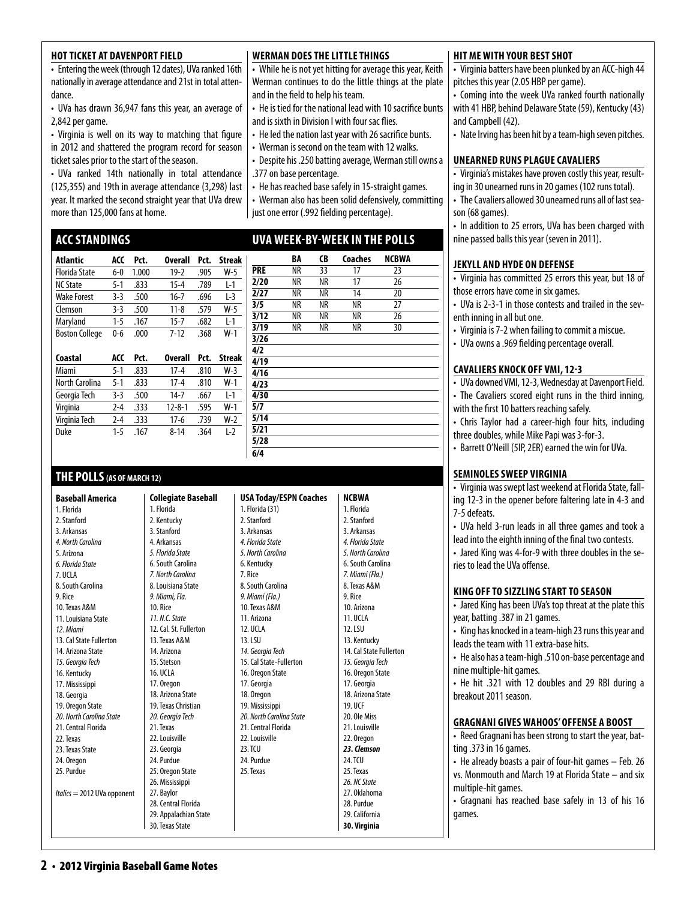#### **HOT TICKET AT DAVENPORT FIELD**

• Entering the week (through 12 dates), UVa ranked 16th nationally in average attendance and 21st in total attendance.

• UVa has drawn 36,947 fans this year, an average of 2,842 per game.

• Virginia is well on its way to matching that figure in 2012 and shattered the program record for season ticket sales prior to the start of the season.

• UVa ranked 14th nationally in total attendance (125,355) and 19th in average attendance (3,298) last year. It marked the second straight year that UVa drew more than 125,000 fans at home.

#### **ACCStandings**

| Atlantic              | ACC     | Pct.  | <b>Overall</b> | Pct. | <b>Streak</b> |
|-----------------------|---------|-------|----------------|------|---------------|
| <b>Florida State</b>  | $6-0$   | 1.000 | $19-2$         | .905 | W-5           |
| <b>NC State</b>       | $5-1$   | .833  | $15 - 4$       | .789 | $L-1$         |
| <b>Wake Forest</b>    | $3-3$   | .500  | $16 - 7$       | .696 | $L-3$         |
| Clemson               | $3-3$   | .500  | $11 - 8$       | .579 | $W-5$         |
| Maryland              | $1 - 5$ | .167  | $15 - 7$       | .682 | $L-1$         |
| <b>Boston College</b> | $0 - 6$ | .000  | $7 - 12$       | .368 | $W-1$         |
|                       |         |       |                |      |               |
| Coastal               | ACC     | Pct.  | <b>Overall</b> | Pct. | <b>Streak</b> |
| Miami                 | $5-1$   | .833  | $17 - 4$       | .810 | $W-3$         |
| North Carolina        | $5-1$   | .833  | $17 - 4$       | .810 | $W-1$         |
| Georgia Tech          | $3-3$   | .500  | $14 - 7$       | .667 | $L-1$         |
| Virginia              |         |       |                | .595 | $W-1$         |
|                       | $2 - 4$ | .333  | $12 - 8 - 1$   |      |               |

Duke 1-5 .167 8-14 .364 L-2

**Collegiate Baseball** 

1. Florida 2. Kentucky 3. Stanford 4. Arkansas *5. Florida State* 6. South Carolina *7. North Carolina* 8. Louisiana State *9. Miami, Fla.*  10. Rice *11. N.C. State*  12. Cal. St. Fullerton 13. Texas A&M 14. Arizona 15. Stetson 16. UCLA 17. Oregon 18. Arizona State 19. Texas Christian *20. Georgia Tech* 21. Texas 22. Louisville

#### **THE POLLS(AS OFMARCH 12)**

**Baseball America**  1. Florida 2. Stanford 3. Arkansas *4. North Carolina* 5. Arizona *6. Florida State*  7. UCLA 8. South Carolina 9. Rice 10. Texas A&M 11. Louisiana State *12. Miami*  13. Cal State Fullerton 14. Arizona State *15. Georgia Tech* 16. Kentucky 17. Mississippi 18. Georgia 19. Oregon State *20. North Carolina State*  21. Central Florida 22. Texas 23. Texas State 24. Oregon 25. Purdue *Italics* = 2012 UVa opponent

### **WERMAN DOES THE LITTLE THINGS**

• While he is not yet hitting for average this year, Keith Werman continues to do the little things at the plate and in the field to help his team.

• He is tied for the national lead with 10 sacrifice bunts and is sixth in Division I with four sac flies.

- He led the nation last year with 26 sacrifice bunts.
- Werman is second on the team with 12 walks.
- Despite his .250 batting average, Werman still owns a .377 on base percentage.
- He has reached base safely in 15-straight games.

• Werman also has been solid defensively, committing just one error (.992 fielding percentage).

### **uva week-by-week in the polls**

|      | BA | CB        | Coaches | <b>NCBWA</b> |  |
|------|----|-----------|---------|--------------|--|
| PRE  | NR | 33        | 17      | 23           |  |
| 2/20 | NR | <b>NR</b> | 17      | 26           |  |
| 2/27 | NR | NR        | 14      | 20           |  |
| 3/5  | NR | NR        | NR      | 27           |  |
| 3/12 | NR | NR        | NR      | 26           |  |
| 3/19 | NR | NR        | NR      | 30           |  |
| 3/26 |    |           |         |              |  |
| 4/2  |    |           |         |              |  |
| 4/19 |    |           |         |              |  |
| 4/16 |    |           |         |              |  |
| 4/23 |    |           |         |              |  |
| 4/30 |    |           |         |              |  |
| 5/7  |    |           |         |              |  |
| 5/14 |    |           |         |              |  |
| 5/21 |    |           |         |              |  |
| 5/28 |    |           |         |              |  |
| 6/4  |    |           |         |              |  |

**NCBWA** 1. Florida 2. Stanford 3. Arkansas

#### **hit mewith your best shot**

• Virginia batters have been plunked by an ACC-high 44 pitches this year (2.05 HBP per game).

• Coming into the week UVa ranked fourth nationally with 41 HBP, behind Delaware State (59), Kentucky (43) and Campbell (42).

• Nate Irving has been hit by a team-high seven pitches.

#### **UNEARNED RUNS PLAGUE CAVALIERS**

• Virginia's mistakes have proven costly this year, resulting in 30 unearned runs in 20 games (102 runs total).

• The Cavaliers allowed 30 unearned runs all of last season (68 games).

• In addition to 25 errors, UVa has been charged with nine passed balls this year (seven in 2011).

#### **jekyll and hyde on defense**

• Virginia has committed 25 errors this year, but 18 of those errors have come in six games.

• UVa is 2-3-1 in those contests and trailed in the seventh inning in all but one.

- Virginia is 7-2 when failing to commit a miscue.
- UVa owns a .969 fielding percentage overall.

#### **cavaliers knock off vmi, 12-3**

• UVa downed VMI, 12-3, Wednesday at Davenport Field. • The Cavaliers scored eight runs in the third inning, with the first 10 batters reaching safely.

• Chris Taylor had a career-high four hits, including three doubles, while Mike Papi was 3-for-3.

• Barrett O'Neill (5IP, 2ER) earned the win for UVa.

#### **Seminoles sweep virginia**

• Virginia was swept last weekend at Florida State, falling 12-3 in the opener before faltering late in 4-3 and 7-5 defeats.

• UVa held 3-run leads in all three games and took a lead into the eighth inning of the final two contests.

• Jared King was 4-for-9 with three doubles in the series to lead the UVa offense.

#### **KING OFF TO SIZZLING START TO SEASON**

• Jared King has been UVa's top threat at the plate this year, batting .387 in 21 games.

- King has knocked in a team-high 23 runs this year and leads the team with 11 extra-base hits.
- He also has a team-high .510 on-base percentage and nine multiple-hit games.

• He hit .321 with 12 doubles and 29 RBI during a breakout 2011 season.

#### **gragnani gives wahoos' offense a boost**

• Reed Gragnani has been strong to start the year, batting .373 in 16 games.

• He already boasts a pair of four-hit games – Feb. 26 vs. Monmouth and March 19 at Florida State – and six multiple-hit games.

• Gragnani has reached base safely in 13 of his 16 games.

#### 2. Stanford 3. Arkansas *4. Florida State 5. North Carolina*  6. Kentucky 7. Rice 8. South Carolina *9. Miami (Fla.)*  10. Texas A&M 11. Arizona 12. UCLA 13. LSU *14. Georgia Tech*  15. Cal State-Fullerton 16. Oregon State 17. Georgia 18. Oregon 19. Mississippi *20. North Carolina State*  21. Central Florida 22. Louisville 23 TCU 24. Purdue 25. Texas

**USA Today/ESPN Coaches**

1. Florida (31)

*4. Florida State 5. North Carolina*  6. South Carolina *7. Miami (Fla.)*  8. Texas A&M 9. Rice 10. Arizona 11. UCLA 12. LSU 13. Kentucky 14. Cal State Fullerton *15. Georgia Tech*  16. Oregon State 17. Georgia 18. Arizona State 19. UCF 20. Ole Miss 21. Louisville 22. Oregon *23. Clemson*  **24 TCU** 25. Texas *26. NC State*  27. Oklahoma 28. Purdue 29. California **30. Virginia**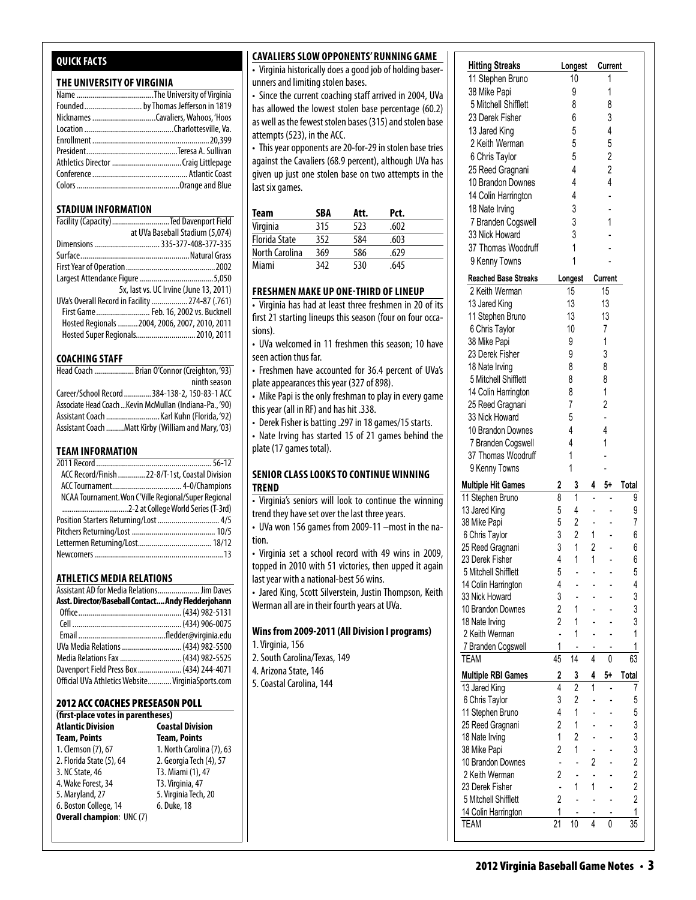#### **Quick Facts**

#### **THE UNIVERSITY OF VIRGINIA**

#### **STADIUM INFORMATION**

| Facility (Capacity) Ted Davenport Field         |                                        |
|-------------------------------------------------|----------------------------------------|
|                                                 | at UVa Baseball Stadium (5,074)        |
|                                                 |                                        |
|                                                 |                                        |
|                                                 |                                        |
|                                                 |                                        |
|                                                 | 5x, last vs. UC Irvine (June 13, 2011) |
| UVa's Overall Record in Facility  274-87 (.761) |                                        |
| First Game Feb. 16, 2002 vs. Bucknell           |                                        |
| Hosted Regionals  2004, 2006, 2007, 2010, 2011  |                                        |
| Hosted Super Regionals 2010, 2011               |                                        |

#### **COACHING STAFF**

| Head Coach  Brian O'Connor (Creighton, '93)             |
|---------------------------------------------------------|
| ninth season                                            |
| Career/School Record 384-138-2, 150-83-1 ACC            |
| Associate Head Coach  Kevin McMullan (Indiana-Pa., '90) |
|                                                         |
| Assistant Coach Matt Kirby (William and Mary, '03)      |

#### **TEAM INFORMATION**

| ACC Record/Finish 22-8/T-1st, Coastal Division       |  |
|------------------------------------------------------|--|
|                                                      |  |
| NCAA Tournament. Won C'Ville Regional/Super Regional |  |
|                                                      |  |
| Position Starters Returning/Lost  4/5                |  |
|                                                      |  |
|                                                      |  |
|                                                      |  |
|                                                      |  |

#### **Athletics MEDIA RELATIONS**

| Assistant AD for Media Relations Jim Daves         |  |
|----------------------------------------------------|--|
| Asst. Director/Baseball Contact Andy Fledderjohann |  |
|                                                    |  |
|                                                    |  |
|                                                    |  |
| UVa Media Relations  (434) 982-5500                |  |
| Media Relations Fax  (434) 982-5525                |  |
| Davenport Field Press Box  (434) 244-4071          |  |
| Official UVa Athletics Website VirginiaSports.com  |  |

#### 2012 ACC Coaches Preseason Poll

| (first-place votes in parentheses) |                           |
|------------------------------------|---------------------------|
| <b>Atlantic Division</b>           | <b>Coastal Division</b>   |
| <b>Team, Points</b>                | <b>Team, Points</b>       |
| 1. Clemson (7), 67                 | 1. North Carolina (7), 63 |
| 2. Florida State (5), 64           | 2. Georgia Tech (4), 57   |
| 3. NC State, 46                    | T3. Miami (1), 47         |
| 4. Wake Forest, 34                 | T3. Virginia, 47          |
| 5. Maryland, 27                    | 5. Virginia Tech, 20      |
| 6. Boston College, 14              | 6. Duke, 18               |
| <b>Overall champion: UNC (7)</b>   |                           |

#### **Cavaliers Slow Opponents' Running Game**

• Virginia historically does a good job of holding baser- $\frac{1}{100}$  and limiting stolen bases.

• Since the current coaching staff arrived in 2004, UVa has allowed the lowest stolen base percentage  $(60.2)$ as another the forces stolen base percentage (coll) attempts (523), in the ACC.  $\frac{25}{2}$ 

attempts (323), in the rice:<br>• This year opponents are 20-for-29 in stolen base tries against the Cavaliers (68.9 percent), although UVa has  $\big\vert$ given up just one stolen base on two attempts in the  $\vert$  $\vert$  ast six games.  $\frac{1}{2}$  year opponents are zo for z, in stolen base thes

| Team                 | SBA | Att. | Pct. |  |
|----------------------|-----|------|------|--|
| Virginia             | 315 | 523  | .602 |  |
| <b>Florida State</b> | 352 | 584  | .603 |  |
| North Carolina       | 369 | 586  | .629 |  |
| Miami                | 342 | 530  | .645 |  |

#### FRESHMEN MAKE UP ONE-THIRD OF LINI

• Virginia has had at least three freshmen in 20 of its first 21 starting lineups this season (four on four occasions).  $2$ 

• UVa welcomed in 11 freshmen this season; 10 have seen action thus far.

• Freshmen have accounted for 36.4 percent of UVa's plate appearances this year (327 of 898).

• Mike Papi is the only freshman to play in every game this year (all in RF) and has hit .338.

• Derek Fisher is batting .297 in 18 games/15 starts.

• Nate Irving has started 15 of 21 games behind the plate (17 games total). 37 Thomas Woodruff 1 -

#### **SENIOR CLASS LOOKS TO CONTINUE WINNING trend**

• Virginia's seniors will look to continue the winning trend they have set over the last three years.

• UVa won 156 games from 2009-11 –most in the nation.

• Virginia set a school record with 49 wins in 2009, topped in 2010 with 51 victories, then upped it again last year with a national-best 56 wins.

• Jared King, Scott Silverstein, Justin Thompson, Keith Werman all are in their fourth years at UVa.

#### **Wins from 2009-2011 (All Division I programs) Miscellaneous Stats for Virginia (as of Mar 22, 2012)**

TEAM AND THE AM INTERNATIONAL CONTINUES OF THE AM INTERNATIONAL CONTINUES OF THE AM INTERNATIONAL

- 1. Virginia, 156
- 2. South Carolina/Texas, 149
- 4. Arizona State, 146

#### **Multiple Bases**<br>5. Coastal Carolina, 144  $\frac{1}{2}$  Stephen Bruno 8 1  $\frac{1}{2}$  1  $\frac{1}{2}$  - 9 1  $\frac{1}{2}$  - 9 1  $\frac{1}{2}$  - 9 1  $\frac{1}{2}$  - 9 1  $\frac{1}{2}$  - 9 1  $\frac{1}{2}$  - 9 1  $\frac{1}{2}$  - 9 1  $\frac{1}{2}$  - 9 1  $\frac{1}{2}$  - 9 1  $\frac{1}{2}$  - 9 1  $\frac{1}{2}$  - 9 1  $\frac{1$

| <b>Hitting Streaks</b>              |                         | Longest        |                                          | <b>Current</b> |                         |
|-------------------------------------|-------------------------|----------------|------------------------------------------|----------------|-------------------------|
| 11 Stephen Bruno                    |                         | 10             |                                          | 1              |                         |
| 38 Mike Papi                        |                         | 9              |                                          | 1              |                         |
| 5 Mitchell Shifflett                |                         | 8              |                                          | 8              |                         |
| 23 Derek Fisher                     |                         | 6              |                                          | 3              |                         |
| 13 Jared King                       |                         | 5              |                                          | 4              |                         |
| 2 Keith Werman                      |                         | 5              |                                          | 5              |                         |
| 6 Chris Taylor                      |                         | 5              |                                          | $\overline{c}$ |                         |
| 25 Reed Gragnani                    |                         | 4              |                                          | $\overline{c}$ |                         |
| 10 Brandon Downes                   |                         | 4              |                                          | 4              |                         |
| 14 Colin Harrington                 |                         | 4              |                                          |                |                         |
| 18 Nate Irving                      |                         | 3              |                                          |                |                         |
| 7 Branden Cogswell                  |                         | 3              |                                          | 1              |                         |
| 33 Nick Howard                      |                         | 3              |                                          |                |                         |
| 37 Thomas Woodruff                  |                         | 1              |                                          |                |                         |
|                                     |                         | 1              |                                          |                |                         |
| 9 Kenny Towns                       |                         |                |                                          |                |                         |
| <b>Reached Base Streaks</b>         |                         | Longest        |                                          | Current        |                         |
| 2 Keith Werman                      |                         | 15             |                                          | 15             |                         |
| 13 Jared King                       |                         | 13             |                                          | 13             |                         |
| 11 Stephen Bruno                    |                         | 13             |                                          | 13             |                         |
| 6 Chris Taylor                      |                         | 10             |                                          | 7              |                         |
| 38 Mike Papi                        |                         | 9              |                                          | 1              |                         |
| 23 Derek Fisher                     |                         | 9              |                                          | 3              |                         |
| 18 Nate Irving                      |                         | 8              |                                          | 8              |                         |
| 5 Mitchell Shifflett                |                         | 8              |                                          | 8              |                         |
| 14 Colin Harrington                 |                         | 8              |                                          | 1              |                         |
| 25 Reed Gragnani                    |                         | 7              |                                          | 2              |                         |
| 33 Nick Howard                      |                         | 5              |                                          |                |                         |
| 10 Brandon Downes                   |                         | 4              |                                          | 4              |                         |
| 7 Branden Cogswell                  |                         | 4              |                                          | 1              |                         |
| 37 Thomas Woodruff                  |                         | 1              |                                          |                |                         |
| 9 Kenny Towns                       |                         | 1              |                                          |                |                         |
|                                     |                         |                |                                          |                |                         |
| <b>Multiple Hit Games</b>           | 2<br>8                  | 3<br>1         | 4                                        | 5+             | Total<br>9              |
| 11 Stephen Bruno<br>13 Jared King   | 5                       | $\overline{4}$ |                                          |                | 9                       |
|                                     | 5                       | $\overline{2}$ |                                          |                |                         |
| 38 Mike Papi                        | 3                       | $\overline{2}$ | $\overline{\phantom{a}}$<br>$\mathbf{1}$ |                | 7<br>6                  |
| 6 Chris Taylor                      | 3                       | $\mathbf{1}$   | $\overline{2}$                           |                | 6                       |
| 25 Reed Gragnani<br>23 Derek Fisher | 4                       | $\mathbf{1}$   | 1                                        |                | 6                       |
| 5 Mitchell Shifflett                | 5                       |                |                                          |                | 5                       |
| 14 Colin Harrington                 | 4                       |                |                                          |                | 4                       |
| 33 Nick Howard                      | 3                       |                |                                          |                | 3                       |
| 10 Brandon Downes                   | $\overline{2}$          | 1              |                                          |                | 3                       |
|                                     |                         |                |                                          |                |                         |
| 18 Nate Irving                      | $\overline{2}$          | $\mathbf{1}$   |                                          |                | 3                       |
| 2 Keith Werman                      | $\overline{a}$          | 1              |                                          |                | 1                       |
| 7 Branden Cogswell                  | 1                       |                |                                          |                | 1                       |
| TEAM                                | 45                      | 14             | 4                                        | 0              | 63                      |
| <b>Multiple RBI Games</b>           | $\overline{\mathbf{c}}$ | 3              | 4                                        | 5+             | Total                   |
| 13 Jared King                       | 4                       | $\overline{2}$ | 1                                        |                | 7                       |
| 6 Chris Taylor                      | 3                       | $\overline{c}$ |                                          |                | 5                       |
| 11 Stephen Bruno                    | 4                       | 1              |                                          |                | 5                       |
| 25 Reed Gragnani                    | $\overline{2}$          | 1              |                                          |                | 3                       |
| 18 Nate Irving                      | 1                       | $\overline{2}$ |                                          |                | 3                       |
| 38 Mike Papi                        | $\overline{2}$          | 1              |                                          |                | 3                       |
| 10 Brandon Downes                   |                         |                | $\overline{2}$                           |                | $\overline{\mathbf{c}}$ |
| 2 Keith Werman                      | 2                       | ÷              |                                          |                | $\overline{2}$          |
| 23 Derek Fisher                     | $\overline{a}$          | 1              | 1                                        |                | $\overline{2}$          |
| 5 Mitchell Shifflett                | $\overline{2}$          | $\overline{a}$ |                                          |                | $\overline{2}$          |
| 14 Colin Harrington                 | 1                       |                |                                          |                | 1                       |
| <b>TEAM</b>                         | 21                      | 10             | $\overline{4}$                           | 0              | 35                      |
|                                     |                         |                |                                          |                |                         |

**Multiple RBI Games 2 3 4 5+ Total** 13 Jared King 4 2 1 - 7 6 Chris Taylor 3 2 - - 5 11 Stephen Bruno 4 1 - - 5 25 Reed Gragnani 2 1 - - 3 18 Nate 19 38 Mike Papi 2 1 - - 3 10 Brandon Downes - - 2 - 2  $2.2$  Keith Werman 2 -  $2.2$ 23 Derek Fisher - 1 1 - 2  $5.5$  Mitchell Shifflett 2  $-$ 14 Colin Harrington 1 - - - 1 TEAM 21 10 4

**Reached Base Streaks Longest Current** 2 Keith Werman 15 15 13 Jared King 13 13 11 Stephen Bruno 13 13 6 Chris Taylor 10 7 38 Mike Papi 9 1 23 Derek Fisher 9 3 18 Nate Irving 8 8 5 Mitchell Shifflett 8 8 14 Colin Harrington 8 1 25 Reed Gragnani 7 2 33 Nick Howard 5 - 10 Brandon Downes 4 4

7 Branden Cogswell 3 1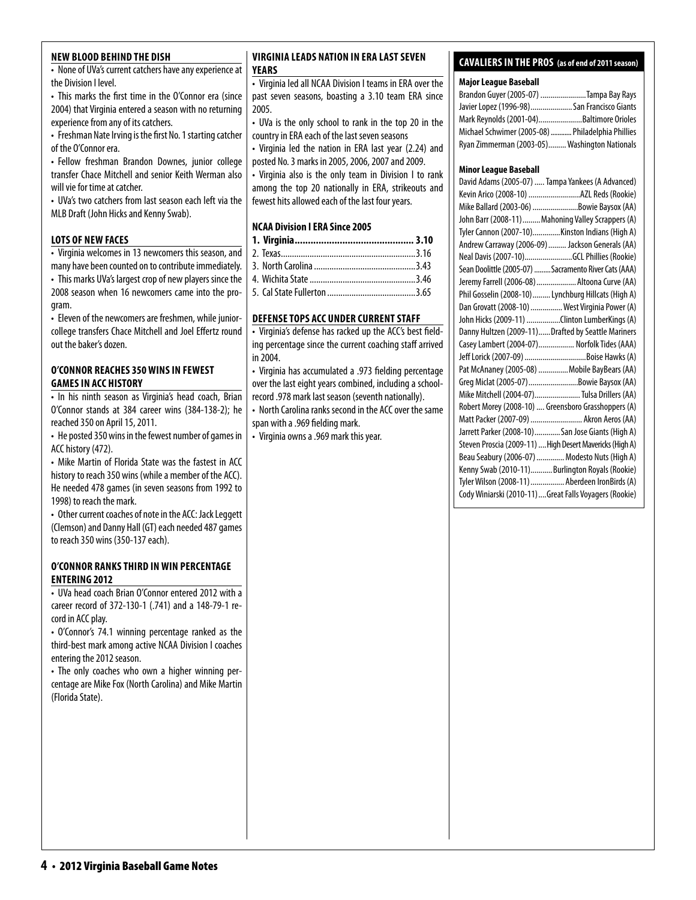#### **new blood behind the dish**

• None of UVa's current catchers have any experience at the Division I level.

• This marks the first time in the O'Connor era (since 2004) that Virginia entered a season with no returning experience from any of its catchers.

• Freshman Nate Irving is the first No. 1 starting catcher of the O'Connor era.

• Fellow freshman Brandon Downes, junior college transfer Chace Mitchell and senior Keith Werman also will vie for time at catcher.

• UVa's two catchers from last season each left via the MLB Draft (John Hicks and Kenny Swab).

#### **lots of new faces**

• Virginia welcomes in 13 newcomers this season, and many have been counted on to contribute immediately. • This marks UVa's largest crop of new players since the 2008 season when 16 newcomers came into the program.

• Eleven of the newcomers are freshmen, while juniorcollege transfers Chace Mitchell and Joel Effertz round out the baker's dozen.

#### **O'Connor reaches 350 wins in fewest games in ACC History**

• In his ninth season as Virginia's head coach, Brian O'Connor stands at 384 career wins (384-138-2); he reached 350 on April 15, 2011.

• He posted 350 wins in the fewest number of games in ACC history (472).

• Mike Martin of Florida State was the fastest in ACC history to reach 350 wins (while a member of the ACC). He needed 478 games (in seven seasons from 1992 to 1998) to reach the mark.

• Other current coaches of note in the ACC: Jack Leggett (Clemson) and Danny Hall (GT) each needed 487 games to reach 350 wins (350-137 each).

#### **o'Connor ranks third inwin percentage entering 2012**

• UVa head coach Brian O'Connor entered 2012 with a career record of 372-130-1 (.741) and a 148-79-1 record in ACC play.

• O'Connor's 74.1 winning percentage ranked as the third-best mark among active NCAA Division I coaches entering the 2012 season.

• The only coaches who own a higher winning percentage are Mike Fox (North Carolina) and Mike Martin (Florida State).

#### **virginia Leads Nation in ERA Last seven Years**

• Virginia led all NCAA Division I teams in ERA over the past seven seasons, boasting a 3.10 team ERA since 2005.

• UVa is the only school to rank in the top 20 in the country in ERA each of the last seven seasons

• Virginia led the nation in ERA last year (2.24) and posted No. 3 marks in 2005, 2006, 2007 and 2009.

• Virginia also is the only team in Division I to rank among the top 20 nationally in ERA, strikeouts and fewest hits allowed each of the last four years.

#### **NCAA Division I ERA Since 2005**

#### **DEFENSE TOPS ACC UNDER CURRENT STAFF**

• Virginia's defense has racked up the ACC's best fielding percentage since the current coaching staff arrived in 2004.

• Virginia has accumulated a .973 fielding percentage over the last eight years combined, including a schoolrecord .978 mark last season (seventh nationally).

• North Carolina ranks second in the ACC over the same span with a .969 fielding mark.

• Virginia owns a .969 mark this year.

#### **cavaliers in the pros (as of end of 2011 season)**

#### **Major League Baseball**

| Brandon Guyer (2005-07) Tampa Bay Rays            |  |
|---------------------------------------------------|--|
| Javier Lopez (1996-98) San Francisco Giants       |  |
| Mark Reynolds (2001-04)Baltimore Orioles          |  |
| Michael Schwimer (2005-08)  Philadelphia Phillies |  |
| Ryan Zimmerman (2003-05) Washington Nationals     |  |

#### **Minor League Baseball**

| David Adams (2005-07)  Tampa Yankees (A Advanced)        |  |
|----------------------------------------------------------|--|
| Kevin Arico (2008-10) AZL Reds (Rookie)                  |  |
| Mike Ballard (2003-06) Bowie Baysox (AA)                 |  |
| John Barr (2008-11)  Mahoning Valley Scrappers (A)       |  |
| Tyler Cannon (2007-10)Kinston Indians (High A)           |  |
| Andrew Carraway (2006-09)  Jackson Generals (AA)         |  |
| Neal Davis (2007-10)GCL Phillies (Rookie)                |  |
| Sean Doolittle (2005-07)  Sacramento River Cats (AAA)    |  |
| Jeremy Farrell (2006-08)  Altoona Curve (AA)             |  |
| Phil Gosselin (2008-10)  Lynchburg Hillcats (High A)     |  |
| Dan Grovatt (2008-10)  West Virginia Power (A)           |  |
| John Hicks (2009-11) Clinton LumberKings (A)             |  |
| Danny Hultzen (2009-11)Drafted by Seattle Mariners       |  |
| Casey Lambert (2004-07) Norfolk Tides (AAA)              |  |
| Jeff Lorick (2007-09) Boise Hawks (A)                    |  |
| Pat McAnaney (2005-08)  Mobile BayBears (AA)             |  |
| Greg Miclat (2005-07) Bowie Baysox (AA)                  |  |
| Mike Mitchell (2004-07) Tulsa Drillers (AA)              |  |
| Robert Morey (2008-10)  Greensboro Grasshoppers (A)      |  |
| Matt Packer (2007-09)  Akron Aeros (AA)                  |  |
| Jarrett Parker (2008-10)San Jose Giants (High A)         |  |
| Steven Proscia (2009-11)  High Desert Mavericks (High A) |  |
| Beau Seabury (2006-07)  Modesto Nuts (High A)            |  |
| Kenny Swab (2010-11)Burlington Royals (Rookie)           |  |
| Tyler Wilson (2008-11)  Aberdeen IronBirds (A)           |  |
| Cody Winiarski (2010-11)Great Falls Voyagers (Rookie)    |  |
|                                                          |  |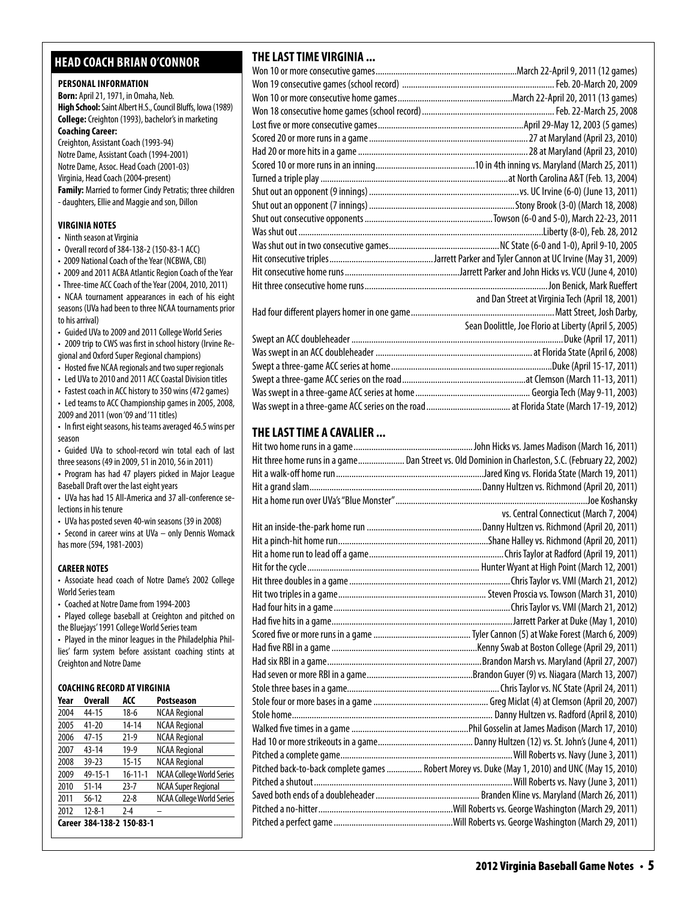#### **head coach brian o'connor**

#### **PERSONAL INFORMATION**

**Born:** April 21, 1971, in Omaha, Neb. **High School:** Saint Albert H.S., Council Bluffs, Iowa (1989) **College:** Creighton (1993), bachelor's in marketing **Coaching Career:**  Creighton, Assistant Coach (1993-94) Notre Dame, Assistant Coach (1994-2001)

Notre Dame, Assoc. Head Coach (2001-03) Virginia, Head Coach (2004-present) **Family:** Married to former Cindy Petratis; three children - daughters, Ellie and Maggie and son, Dillon

#### **virginia Notes**

- Ninth season at Virginia
- Overall record of 384-138-2 (150-83-1 ACC)
- 2009 National Coach of the Year (NCBWA, CBI)
- 2009 and 2011 ACBA Atlantic Region Coach of the Year

• Three-time ACC Coach of the Year (2004, 2010, 2011) • NCAA tournament appearances in each of his eight seasons (UVa had been to three NCAA tournaments prior to his arrival)

• Guided UVa to 2009 and 2011 College World Series

• 2009 trip to CWS was first in school history (Irvine Regional and Oxford Super Regional champions)

• Hosted five NCAA regionals and two super regionals

• Led UVa to 2010 and 2011 ACC Coastal Division titles

• Fastest coach in ACC history to 350 wins (472 games)

- Led teams to ACC Championship games in 2005, 2008, 2009 and 2011 (won '09 and '11 titles)
- In first eight seasons, his teams averaged 46.5 wins per season

• Guided UVa to school-record win total each of last three seasons (49 in 2009, 51 in 2010, 56 in 2011)

**•**  Program has had 47 players picked in Major League Baseball Draft over the last eight years

• UVa has had 15 All-America and 37 all-conference selections in his tenure

• UVa has posted seven 40-win seasons (39 in 2008)

• Second in career wins at UVa – only Dennis Womack has more (594, 1981-2003)

#### **CAREER NOTES**

• Associate head coach of Notre Dame's 2002 College World Series team

• Coached at Notre Dame from 1994-2003

• Played college baseball at Creighton and pitched on the Bluejays' 1991 College World Series team

• Played in the minor leagues in the Philadelphia Phillies' farm system before assistant coaching stints at Creighton and Notre Dame

#### **Coaching Record at virginia**

| Year | <b>Overall</b>            | ACC           | Postseason                       |
|------|---------------------------|---------------|----------------------------------|
| 2004 | 44-15                     | $18-6$        | <b>NCAA Regional</b>             |
| 2005 | $41 - 20$                 | $14 - 14$     | <b>NCAA Regional</b>             |
| 2006 | $47 - 15$                 | $21-9$        | <b>NCAA Regional</b>             |
| 2007 | 43-14                     | $19-9$        | <b>NCAA Regional</b>             |
| 2008 | $39 - 23$                 | $15 - 15$     | <b>NCAA Regional</b>             |
| 2009 | 49-15-1                   | $16 - 11 - 1$ | <b>NCAA College World Series</b> |
| 2010 | $51 - 14$                 | $23 - 7$      | <b>NCAA Super Regional</b>       |
| 2011 | $56-12$                   | $22 - 8$      | NCAA College World Series        |
| 2012 | $12 - 8 - 1$              | $2 - 4$       |                                  |
|      | Career 384-138-2 150-83-1 |               |                                  |

#### **THE LAST TIME VIRGINIA ...**

| and Dan Street at Virginia Tech (April 18, 2001)      |
|-------------------------------------------------------|
|                                                       |
| Sean Doolittle, Joe Florio at Liberty (April 5, 2005) |
|                                                       |
|                                                       |
|                                                       |
|                                                       |
|                                                       |
|                                                       |

#### **THE LAST TIME A CAVALIER ...**

| Hit three home runs in a game Dan Street vs. Old Dominion in Charleston, S.C. (February 22, 2002) |
|---------------------------------------------------------------------------------------------------|
|                                                                                                   |
|                                                                                                   |
|                                                                                                   |
| vs. Central Connecticut (March 7, 2004)                                                           |
|                                                                                                   |
|                                                                                                   |
|                                                                                                   |
|                                                                                                   |
|                                                                                                   |
|                                                                                                   |
|                                                                                                   |
|                                                                                                   |
|                                                                                                   |
|                                                                                                   |
|                                                                                                   |
|                                                                                                   |
|                                                                                                   |
|                                                                                                   |
|                                                                                                   |
|                                                                                                   |
|                                                                                                   |
|                                                                                                   |
| Pitched back-to-back complete games  Robert Morey vs. Duke (May 1, 2010) and UNC (May 15, 2010)   |
|                                                                                                   |
|                                                                                                   |
|                                                                                                   |
|                                                                                                   |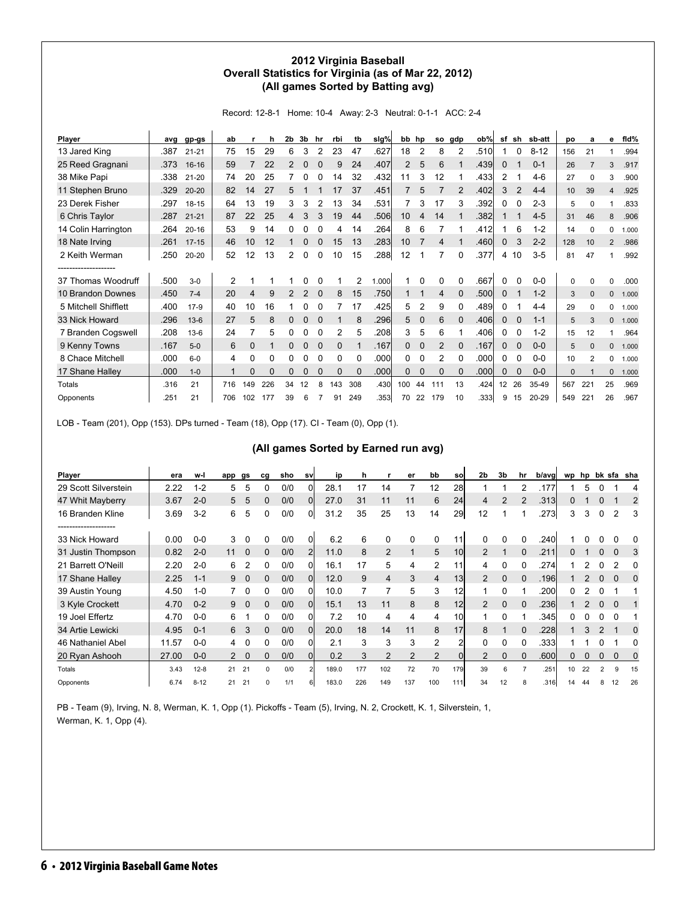#### **2012 Virginia Baseball Overall Statistics for Virginia (as of Mar 22, 2012) (All games Sorted by Batting avg)**

Record: 12-8-1 Home: 10-4 Away: 2-3 Neutral: 0-1-1 ACC: 2-4

| Player               | avg  | gp-gs     | ab             |                | h        | 2b | 3b | hr          | rbi      | tb           | slg%  | bb  | hp          | so             | gdp            | ob%  | sf           | sh             | sb-att   | po  | a              | е              | fid%  |
|----------------------|------|-----------|----------------|----------------|----------|----|----|-------------|----------|--------------|-------|-----|-------------|----------------|----------------|------|--------------|----------------|----------|-----|----------------|----------------|-------|
| 13 Jared King        | .387 | $21 - 21$ | 75             | 15             | 29       | 6  | 3  | 2           | 23       | 47           | .627  | 18  | 2           | 8              | $\overline{2}$ | .510 |              | 0              | $8 - 12$ | 156 | 21             |                | .994  |
| 25 Reed Gragnani     | .373 | 16-16     | 59             |                | 22       | 2  | 0  |             | 9        | 24           | .407  | 2   | 5           | 6              |                | .439 | 0            |                | $0 - 1$  | 26  | $\overline{7}$ | 3              | .917  |
| 38 Mike Papi         | .338 | $21 - 20$ | 74             | 20             | 25       |    |    |             | 14       | 32           | .432  | 11  | 3           | 12             |                | .433 | 2            |                | $4-6$    | 27  | $\Omega$       | 3              | .900  |
| 11 Stephen Bruno     | .329 | $20 - 20$ | 82             | 14             | 27       | 5  |    |             | 17       | 37           | .451  |     | 5           |                | 2              | .402 | 3            | $\overline{2}$ | $4 - 4$  | 10  | 39             | 4              | .925  |
| 23 Derek Fisher      | .297 | $18 - 15$ | 64             | 13             | 19       | 3  | 3  |             | 13       | 34           | .531  |     | 3           | 17             | 3              | .392 | 0            | 0              | $2 - 3$  | 5   | $\Omega$       |                | .833  |
| 6 Chris Taylor       | .287 | $21 - 21$ | 87             | 22             | 25       | 4  | 3  | 3           | 19       | 44           | .506  | 10  | 4           | 14             |                | .382 |              | 1              | $4 - 5$  | 31  | 46             | 8              | .906  |
| 14 Colin Harrington  | .264 | $20 - 16$ | 53             | 9              | 14       | 0  |    |             | 4        | 14           | .264  | 8   | 6           |                |                | .412 |              | 6              | $1 - 2$  | 14  | $\Omega$       | 0              | 1.000 |
| 18 Nate Irving       | .261 | $17 - 15$ | 46             | 10             | 12       |    | 0  |             | 15       | 13           | .283  | 10  |             | 4              |                | .460 | $\mathbf{0}$ | 3              | $2 - 2$  | 128 | 10             | $\overline{2}$ | .986  |
| 2 Keith Werman       | .250 | $20 - 20$ | 52             | 12             | 13       | 2  | 0  | 0           | 10       | 15           | .288  | 12  | 1           | 7              | 0              | .377 | 4            | 10             | $3-5$    | 81  | 47             |                | .992  |
|                      |      |           |                |                |          |    |    |             |          |              |       |     |             |                |                |      |              |                |          |     |                |                |       |
| 37 Thomas Woodruff   | .500 | $3-0$     | $\overline{2}$ |                |          |    |    |             |          | 2            | 1.000 |     |             | 0              |                | .667 | $\Omega$     | $\Omega$       | $0 - 0$  | 0   | $\Omega$       | 0              | .000  |
| 10 Brandon Downes    | .450 | $7 - 4$   | 20             | $\overline{4}$ | 9        | 2  | 2  | $\Omega$    | 8        | 15           | .750  |     |             | 4              | $\Omega$       | .500 | $\mathbf{0}$ |                | $1 - 2$  | 3   | $\mathbf{0}$   | 0              | 1.000 |
| 5 Mitchell Shifflett | .400 | $17-9$    | 40             | 10             | 16       |    | n  | O           |          | 17           | .425  | 5   | 2           | 9              | 0              | .489 | 0            |                | $4 - 4$  | 29  | $\Omega$       | 0              | 1.000 |
| 33 Nick Howard       | .296 | $13-6$    | 27             | 5              | 8        | 0  | 0  | $\mathbf 0$ |          | 8            | .296  | 5   | $\mathbf 0$ | 6              | $\Omega$       | .406 | $\mathbf{0}$ | 0              | $1 - 1$  | 5   | 3              | 0              | 1.000 |
| 7 Branden Cogswell   | .208 | $13-6$    | 24             |                | 5        | 0  | 0  | 0           | 2        | 5            | .208  | 3   | 5           | 6              |                | .406 | 0            | 0              | $1 - 2$  | 15  | 12             |                | .964  |
| 9 Kenny Towns        | .167 | $5-0$     | 6              | $\mathbf 0$    |          | 0  | 0  | 0           | 0        |              | .167  | 0   | $\mathbf 0$ | 2              | 0              | .167 | $\mathbf{0}$ | 0              | $0 - 0$  | 5   | $\Omega$       | 0              | 1.000 |
| 8 Chace Mitchell     | .000 | $6-0$     | 4              | 0              | 0        |    | ი  | O           | 0        | <sup>0</sup> | .000  | 0   | $\Omega$    | $\overline{2}$ | $\Omega$       | .000 | 0            | $\Omega$       | $0-0$    | 10  | $\overline{2}$ | 0              | 1.000 |
| 17 Shane Halley      | .000 | $1 - 0$   | -1             | $\Omega$       | $\Omega$ | 0  | 0  | $\Omega$    | $\Omega$ | $\Omega$     | .000  | 0   | 0           | $\Omega$       | $\Omega$       | .000 | 0            | $\mathbf 0$    | $0-0$    | 0   |                | 0              | 1.000 |
| Totals               | .316 | 21        | 716            | 149            | 226      | 34 | 12 | 8           | 143      | 308          | .430  | 100 | 44          | 111            | 13             | .424 | 12           | 26             | 35-49    | 567 | 221            | 25             | .969  |
| Opponents            | .251 | 21        | 706            | 102            | 177      | 39 | 6  |             | 91       | 249          | .353  | 70  | 22          | 179            | 10             | .333 | 9            | 15             | 20-29    | 549 | 221            | 26             | .967  |

LOB - Team (201), Opp (153). DPs turned - Team (18), Opp (17). CI - Team (0), Opp (1).

#### **(All games Sorted by Earned run avg)**

| Player               | era   | w-l      | app            | gs          | cg       | sho | sv             | ip    | h   |                | er  | bb             | so              | 2 <sub>b</sub> | 3b             | hr | b/avg | wp | hp |   |          | bk sfa sha |
|----------------------|-------|----------|----------------|-------------|----------|-----|----------------|-------|-----|----------------|-----|----------------|-----------------|----------------|----------------|----|-------|----|----|---|----------|------------|
| 29 Scott Silverstein | 2.22  | $1 - 2$  | 5              | 5           | 0        | 0/0 |                | 28.1  | 17  | 14             |     | 12             | 28              |                |                |    | .177  |    | 5  |   |          |            |
| 47 Whit Mayberry     | 3.67  | $2 - 0$  | 5              | 5           | 0        | 0/0 | Οl             | 27.0  | 31  | 11             | 11  | 6              | 24              | 4              | $\mathfrak{p}$ |    | .313  | 0  |    | 0 |          | 2          |
| 16 Branden Kline     | 3.69  | $3-2$    | 6              | 5           | 0        | 0/0 | Οl             | 31.2  | 35  | 25             | 13  | 14             | 29              | 12             |                |    | .2731 | 3  | 3  |   | 2        | 3          |
|                      |       |          |                |             |          |     |                |       |     |                |     |                |                 |                |                |    |       |    |    |   |          |            |
| 33 Nick Howard       | 0.00  | $0-0$    | 3              | 0           | 0        | 0/0 | 0              | 6.2   | 6   | 0              | 0   | 0              |                 |                |                |    | .240  |    |    |   |          | 0          |
| 31 Justin Thompson   | 0.82  | $2 - 0$  | 11             | $\Omega$    | $\Omega$ | 0/0 | $\overline{2}$ | 11.0  | 8   | $\overline{2}$ |     | 5              | 10 <sup>1</sup> | $\overline{2}$ |                | 0  | .211  |    |    |   | $\Omega$ | 3          |
| 21 Barrett O'Neill   | 2.20  | $2 - 0$  | 6              | 2           | 0        | 0/0 | 0              | 16.1  | 17  | 5              | 4   | 2              | 11              | 4              |                |    | .274  |    |    |   |          | 0          |
| 17 Shane Halley      | 2.25  | $1 - 1$  | 9              | 0           | 0        | 0/0 | 01             | 12.0  | 9   | 4              | 3   | 4              | 13              | 2              | 0              |    | .196  |    |    |   | $\Omega$ | 0          |
| 39 Austin Young      | 4.50  | $1 - 0$  |                | 0           | 0        | 0/0 | 0              | 10.0  |     | 7              | 5   | 3              | 12              |                | 0              |    | .200  | 0  | 2  |   |          |            |
| 3 Kyle Crockett      | 4.70  | $0 - 2$  | 9              | $\Omega$    | 0        | 0/0 | 0l             | 15.1  | 13  | 11             | 8   | 8              | 12              | $\overline{2}$ | $\Omega$       |    | .2361 | 1  | 2  | 0 | $\Omega$ |            |
| 19 Joel Effertz      | 4.70  | $0-0$    | 6              |             | 0        | 0/0 | $\Omega$       | 7.2   | 10  | 4              | 4   | 4              | 10              |                |                |    | .345  |    |    |   |          |            |
| 34 Artie Lewicki     | 4.95  | $0 - 1$  | 6              | 3           | 0        | 0/0 | Οl             | 20.0  | 18  | 14             | 11  | 8              | 17              | 8              |                |    | .228  |    |    |   |          | 0          |
| 46 Nathaniel Abel    | 11.57 | $0-0$    | 4              | $\Omega$    | 0        | 0/0 |                | 2.1   | 3   | 3              | 3   | 2              |                 | 0              |                |    | .3331 |    |    |   |          | 0          |
| 20 Ryan Ashooh       | 27.00 | $0-0$    | $\overline{2}$ | $\mathbf 0$ | 0        | 0/0 | Οl             | 0.2   | 3   | $\overline{2}$ | 2   | $\overline{2}$ |                 | 2              | 0              |    | .600  | 0  | 0  | 0 | $\Omega$ | 0          |
| Totals               | 3.43  | $12 - 8$ | 21             | 21          | 0        | 0/0 |                | 189.0 | 177 | 102            | 72  | 70             | 179             | 39             | 6              |    | .251  | 10 | 22 | 2 | 9        | 15         |
| Opponents            | 6.74  | $8 - 12$ | 21             | 21          | $\Omega$ | 1/1 | 6              | 183.0 | 226 | 149            | 137 | 100            | 111             | 34             | 12             | 8  | .316  | 14 |    |   | 12       | 26         |

PB - Team (9), Irving, N. 8, Werman, K. 1, Opp (1). Pickoffs - Team (5), Irving, N. 2, Crockett, K. 1, Silverstein, 1, Werman, K. 1, Opp (4).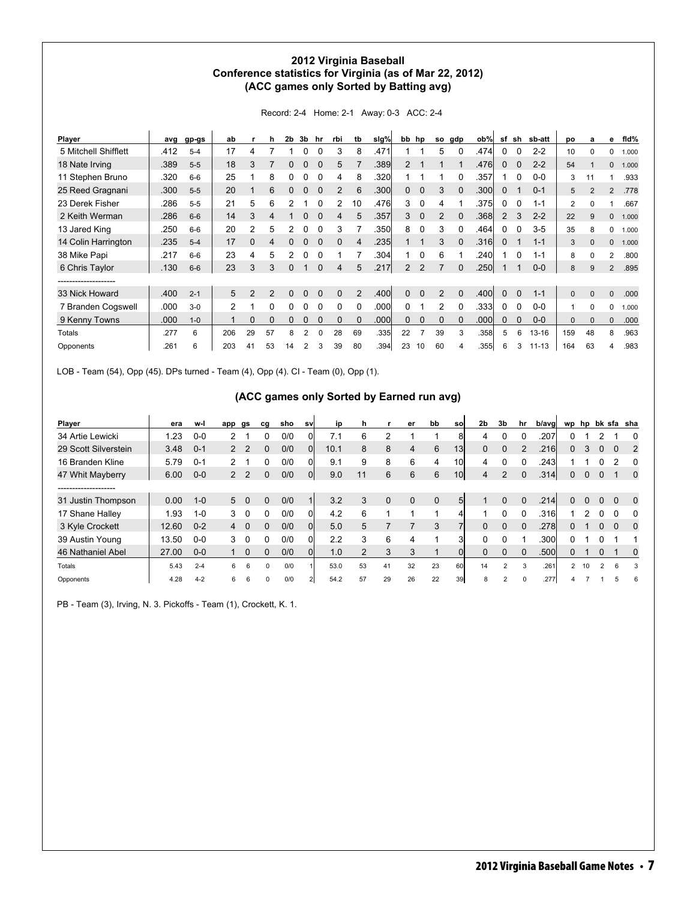#### **2012 Virginia Baseball Conference statistics for Virginia (as of Mar 22, 2012) (ACC games only Sorted by Batting avg)**

| Player               | ava  | gp-gs   | ab            |                | h              | 2b            | 3b | hr       | rbi          | tb | slg% | bb hp          |             | so             | gdp      | ob%  | sf       | sh       | sb-att    | po             | a              | е              | fid%  |
|----------------------|------|---------|---------------|----------------|----------------|---------------|----|----------|--------------|----|------|----------------|-------------|----------------|----------|------|----------|----------|-----------|----------------|----------------|----------------|-------|
| 5 Mitchell Shifflett | .412 | $5 - 4$ | 17            |                |                |               |    |          | 3            | 8  | .471 |                |             | 5              |          | .474 |          |          | $2 - 2$   | 10             | U              | 0              | 1.000 |
| 18 Nate Irving       | .389 | $5 - 5$ | 18            | 3              |                |               | 0  |          | 5            |    | .389 |                |             |                |          | .476 | 0        | $\Omega$ | $2 - 2$   | 54             |                | 0              | 1.000 |
| 11 Stephen Bruno     | .320 | $6-6$   | 25            |                | 8              |               |    |          | 4            | 8  | .320 |                |             |                |          | .357 |          | 0        | $0-0$     | 3              | 11             |                | .933  |
| 25 Reed Gragnani     | .300 | $5 - 5$ | 20            |                | 6              |               | 0  |          | 2            | 6  | .300 | $\mathbf{0}$   | 0           | 3              |          | .300 | 0        |          | $0 - 1$   | 5              | $\overline{2}$ | $\overline{2}$ | .778  |
| 23 Derek Fisher      | .286 | $5 - 5$ | 21            | 5              | 6              | 2             |    |          | 2            | 10 | .476 | 3              | $\Omega$    | 4              |          | .375 | 0        | $\Omega$ | $1 - 1$   | $\overline{2}$ | <sup>0</sup>   |                | .667  |
| 2 Keith Werman       | .286 | $6 - 6$ | 14            | 3              | 4              |               | O  |          | 4            | 5  | .357 | 3              | $\Omega$    | $\overline{2}$ | $\Omega$ | .368 | 2        | 3        | $2 - 2$   | 22             | $\mathbf{Q}$   | 0              | 1.000 |
| 13 Jared King        | .250 | $6 - 6$ | 20            | $\mathfrak{p}$ | 5              | $\mathcal{P}$ |    |          | 3            |    | .350 | 8              |             | 3              |          | .464 | 0        |          | $3 - 5$   | 35             | 8              | 0              | 1.000 |
| 14 Colin Harrington  | .235 | $5 - 4$ | 17            | 0              | 4              |               | O  |          | $\Omega$     | 4  | .235 |                |             | 3              |          | .316 | $\Omega$ |          | $1 - 1$   | 3              | $\Omega$       | $\Omega$       | 1.000 |
| 38 Mike Papi         | .217 | $6-6$   | 23            | 4              | 5              |               |    |          |              |    | .304 |                |             | 6              |          | .240 |          | 0        | $1 - 1$   | 8              | 0              | 2              | .800  |
| 6 Chris Taylor       | .130 | $6-6$   | 23            | 3              | 3              | 0             |    |          | 4            | 5  | .217 | $\overline{2}$ | 2           |                |          | .250 |          |          | $0-0$     | 8              | 9              | $\overline{2}$ | .895  |
|                      |      |         |               |                |                |               |    |          |              |    |      |                |             |                |          |      |          |          |           |                |                |                |       |
| 33 Nick Howard       | .400 | $2 - 1$ | 5             | 2              | $\mathfrak{p}$ | $\Omega$      | O  |          | $\Omega$     | 2  | .400 | $\Omega$       |             | 2              | $\Omega$ | .400 | $\Omega$ | $\Omega$ | $1 - 1$   | $\Omega$       | $\Omega$       | $\Omega$       | .000  |
| 7 Branden Cogswell   | .000 | $3-0$   | $\mathcal{P}$ |                | 0              |               |    |          | <sup>0</sup> |    | .000 | 0              |             | 2              |          | .333 |          | $\Omega$ | $0-0$     |                | $\Omega$       | 0              | 1.000 |
| 9 Kenny Towns        | .000 | $1 - 0$ |               | $\Omega$       | 0              | 0             | 0  |          | $\Omega$     | 0  | .000 | 0              | $\mathbf 0$ | $\Omega$       | $\Omega$ | .000 | 0        | $\Omega$ | $0-0$     | $\mathbf{0}$   | $\Omega$       | 0              | .000  |
| Totals               | .277 | 6       | 206           | 29             | 57             | 8             | 2  | $\Omega$ | 28           | 69 | .335 | 22             |             | 39             | 3        | .358 | 5        | 6        | $13 - 16$ | 159            | 48             | 8              | .963  |
| Opponents            | .261 | 6       | 203           | 41             | 53             | 14            | 2  | 3        | 39           | 80 | .394 | 23             | 10          | 60             |          | .355 | 6        | 3        | $11 - 13$ | 164            | 63             | 4              | .983  |

Record: 2-4 Home: 2-1 Away: 0-3 ACC: 2-4

LOB - Team (54), Opp (45). DPs turned - Team (4), Opp (4). CI - Team (0), Opp (1).

#### **(ACC games only Sorted by Earned run avg)**

| Player               | era   | w-l     | app                  | gs             | cg       | sho | sv | ip   | h. |             | er       | bb          | sol             | 2 <sub>b</sub> | 3b             | hr       | b/avg | wp | hp              |   |          | bk sfa sha  |
|----------------------|-------|---------|----------------------|----------------|----------|-----|----|------|----|-------------|----------|-------------|-----------------|----------------|----------------|----------|-------|----|-----------------|---|----------|-------------|
| 34 Artie Lewicki     | 1.23  | $0 - 0$ | 2                    |                | 0        | 0/0 |    | 7.1  | 6  | 2           |          |             | 8l              | 4              |                |          | .207  |    |                 |   |          |             |
| 29 Scott Silverstein | 3.48  | $0 - 1$ |                      | 2 <sub>2</sub> | 0        | 0/0 | 0l | 10.1 | 8  | 8           | 4        | 6           | 13 <sub>l</sub> |                |                |          | .216l | 0  |                 |   | 0        | 2           |
| 16 Branden Kline     | 5.79  | $0 - 1$ | $\mathbf{2}^{\circ}$ |                | 0        | 0/0 | 0  | 9.1  | 9  | 8           | 6        | 4           | 10l             | 4              |                |          | .243  |    |                 |   | っ        | 0           |
| 47 Whit Mayberry     | 6.00  | $0 - 0$ |                      | 2 <sub>2</sub> | 0        | 0/0 | 0l | 9.0  |    | 6           | 6        | 6           | 10 <sup>1</sup> | 4              | 2              | $\Omega$ | .314  | 0  |                 |   |          | $\mathbf 0$ |
| -------------------  |       |         |                      |                |          |     |    |      |    |             |          |             |                 |                |                |          |       |    |                 |   |          |             |
| 31 Justin Thompson   | 0.00  | $1 - 0$ |                      | $5\quad 0$     | 0        | 0/0 | 1  | 3.2  | 3  | $\mathbf 0$ | $\Omega$ | $\mathbf 0$ | 5 <sup>1</sup>  |                | $\Omega$       | $\Omega$ | .214  | 0  | 0               | 0 | $\Omega$ | $\Omega$    |
| 17 Shane Halley      | 1.93  | $1 - 0$ | 3                    | $\Omega$       | 0        | 0/0 | 0l | 4.2  | 6  |             |          |             |                 |                |                | 0        | .316l |    |                 |   | 0        | 0           |
| 3 Kyle Crockett      | 12.60 | $0 - 2$ | $\overline{4}$       | $\Omega$       | 0        | 0/0 | Οl | 5.0  | 5  |             |          | 3           |                 |                | $\Omega$       | $\Omega$ | .2781 | 0  |                 | 0 | $\Omega$ | 0           |
| 39 Austin Young      | 13.50 | $0-0$   | 3                    | 0              | 0        | 0/0 | Οl | 2.2  | 3  | 6           | 4        |             | зı              |                |                |          | .300l | 0  |                 |   |          |             |
| 46 Nathaniel Abel    | 27.00 | $0-0$   |                      | $\Omega$       | 0        | 0/0 | Οl | 1.0  |    | 3           | 3        |             | ΟI              |                |                |          | .500  | D  |                 |   |          | 0           |
| Totals               | 5.43  | $2 - 4$ | 6.                   | 6              | $\Omega$ | 0/0 |    | 53.0 | 53 | 41          | 32       | 23          | 60I             | 14             |                |          | .261  | 2  | 10 <sup>1</sup> | 2 | 6        | 3           |
| Opponents            | 4.28  | $4 - 2$ | 6                    | 6              | $\Omega$ | 0/0 |    | 54.2 | 57 | 29          | 26       | 22          | 39I             | 8              | $\overline{2}$ |          | .277  |    |                 |   |          | 6           |

PB - Team (3), Irving, N. 3. Pickoffs - Team (1), Crockett, K. 1.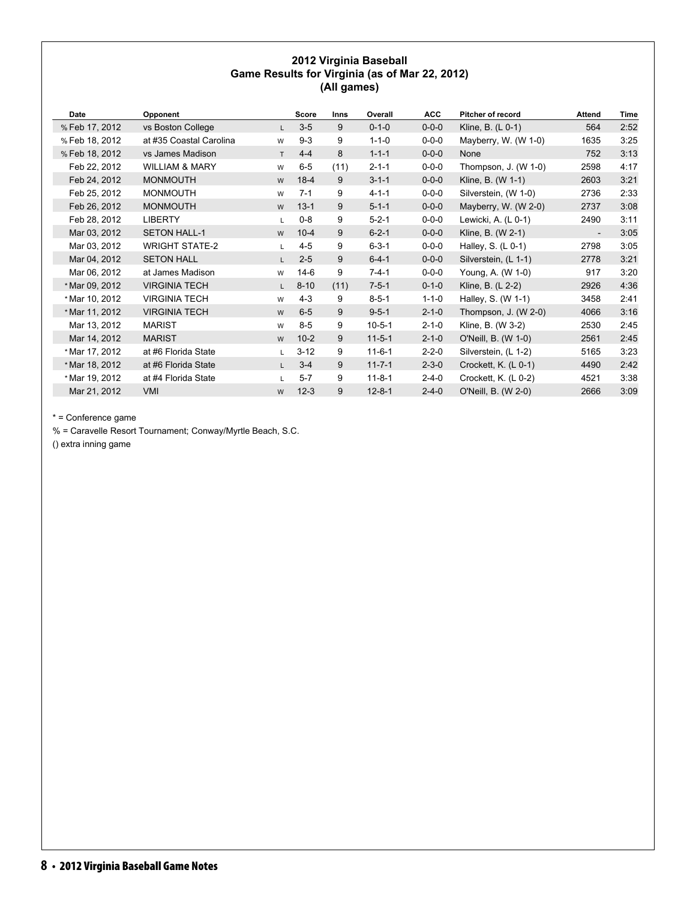#### **2012 Virginia Baseball Game Results for Virginia (as of Mar 22, 2012) (All games)**

| Date           | Opponent                  |              | Score    | <b>Inns</b> | Overall      | <b>ACC</b>  | <b>Pitcher of record</b> | <b>Attend</b>            | Time |
|----------------|---------------------------|--------------|----------|-------------|--------------|-------------|--------------------------|--------------------------|------|
| % Feb 17, 2012 | vs Boston College         | $\mathsf{L}$ | $3-5$    | 9           | $0 - 1 - 0$  | $0 - 0 - 0$ | Kline, B. (L 0-1)        | 564                      | 2:52 |
| % Feb 18, 2012 | at #35 Coastal Carolina   | W            | $9 - 3$  | 9           | $1 - 1 - 0$  | $0 - 0 - 0$ | Mayberry, W. (W 1-0)     | 1635                     | 3:25 |
| % Feb 18, 2012 | vs James Madison          | T            | $4 - 4$  | 8           | $1 - 1 - 1$  | $0 - 0 - 0$ | None                     | 752                      | 3:13 |
| Feb 22, 2012   | <b>WILLIAM &amp; MARY</b> | W            | $6-5$    | (11)        | $2 - 1 - 1$  | $0 - 0 - 0$ | Thompson, J. (W 1-0)     | 2598                     | 4:17 |
| Feb 24, 2012   | <b>MONMOUTH</b>           | W            | $18-4$   | 9           | $3 - 1 - 1$  | $0 - 0 - 0$ | Kline, B. (W 1-1)        | 2603                     | 3:21 |
| Feb 25, 2012   | <b>MONMOUTH</b>           | W            | $7 - 1$  | 9           | $4 - 1 - 1$  | $0 - 0 - 0$ | Silverstein, (W 1-0)     | 2736                     | 2:33 |
| Feb 26, 2012   | <b>MONMOUTH</b>           | W            | $13 - 1$ | 9           | $5 - 1 - 1$  | $0 - 0 - 0$ | Mayberry, W. (W 2-0)     | 2737                     | 3:08 |
| Feb 28, 2012   | <b>LIBERTY</b>            | L.           | $0 - 8$  | 9           | $5 - 2 - 1$  | $0 - 0 - 0$ | Lewicki, A. (L 0-1)      | 2490                     | 3:11 |
| Mar 03, 2012   | <b>SETON HALL-1</b>       | W            | $10 - 4$ | 9           | $6 - 2 - 1$  | $0 - 0 - 0$ | Kline, B. (W 2-1)        | $\overline{\phantom{a}}$ | 3:05 |
| Mar 03, 2012   | <b>WRIGHT STATE-2</b>     | L.           | $4 - 5$  | 9           | $6 - 3 - 1$  | $0 - 0 - 0$ | Halley, S. $(L 0-1)$     | 2798                     | 3:05 |
| Mar 04, 2012   | <b>SETON HALL</b>         | $\mathsf{L}$ | $2 - 5$  | 9           | $6 - 4 - 1$  | $0 - 0 - 0$ | Silverstein, (L 1-1)     | 2778                     | 3:21 |
| Mar 06, 2012   | at James Madison          | W            | $14-6$   | 9           | $7 - 4 - 1$  | $0 - 0 - 0$ | Young, A. (W 1-0)        | 917                      | 3:20 |
| * Mar 09, 2012 | <b>VIRGINIA TECH</b>      | $\mathsf{L}$ | $8 - 10$ | (11)        | $7 - 5 - 1$  | $0 - 1 - 0$ | Kline, B. (L 2-2)        | 2926                     | 4:36 |
| * Mar 10, 2012 | <b>VIRGINIA TECH</b>      | W            | $4 - 3$  | 9           | $8 - 5 - 1$  | $1 - 1 - 0$ | Halley, S. (W 1-1)       | 3458                     | 2:41 |
| * Mar 11, 2012 | <b>VIRGINIA TECH</b>      | W            | $6-5$    | 9           | $9 - 5 - 1$  | $2 - 1 - 0$ | Thompson, J. $(W 2-0)$   | 4066                     | 3:16 |
| Mar 13, 2012   | <b>MARIST</b>             | W            | $8 - 5$  | 9           | $10 - 5 - 1$ | $2 - 1 - 0$ | Kline, B. (W 3-2)        | 2530                     | 2:45 |
| Mar 14, 2012   | <b>MARIST</b>             | W            | $10-2$   | 9           | $11-5-1$     | $2 - 1 - 0$ | O'Neill, B. (W 1-0)      | 2561                     | 2:45 |
| * Mar 17, 2012 | at #6 Florida State       | $\mathsf{L}$ | $3 - 12$ | 9           | $11 - 6 - 1$ | $2 - 2 - 0$ | Silverstein, (L 1-2)     | 5165                     | 3:23 |
| * Mar 18, 2012 | at #6 Florida State       | $\mathsf{L}$ | $3 - 4$  | 9           | $11 - 7 - 1$ | $2 - 3 - 0$ | Crockett, K. (L 0-1)     | 4490                     | 2:42 |
| * Mar 19, 2012 | at #4 Florida State       | L.           | $5 - 7$  | 9           | $11 - 8 - 1$ | $2 - 4 - 0$ | Crockett, K. (L 0-2)     | 4521                     | 3:38 |
| Mar 21, 2012   | VMI                       | W            | $12 - 3$ | 9           | $12 - 8 - 1$ | $2 - 4 - 0$ | O'Neill, B. (W 2-0)      | 2666                     | 3:09 |

\* = Conference game

% = Caravelle Resort Tournament; Conway/Myrtle Beach, S.C.

() extra inning game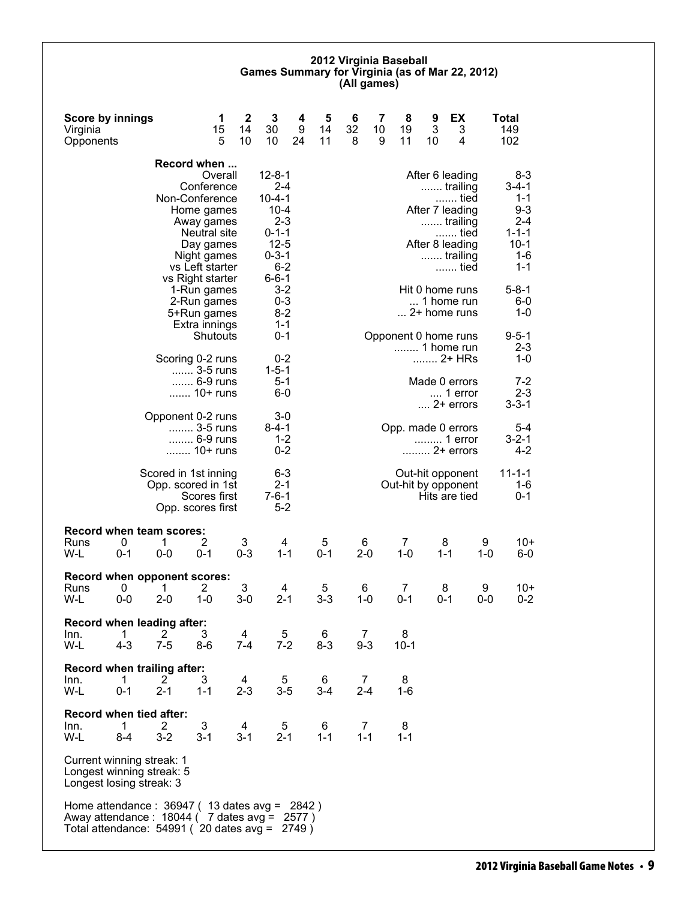#### **2012 Virginia Baseball Games Summary for Virginia (as of Mar 22, 2012) (All games)**

| <b>Score by innings</b><br>Virginia<br>Opponents                                                                                                     |                         |                                            | 1<br>15<br>5                                                                                                                                                  | 2<br>14<br>10                   | 3<br>30<br>10                                                                                                                      | 4<br>9<br>24 | 5<br>14<br>11 | 6<br>32<br>8 | 7<br>10<br>9 | 8<br>19<br>11                           | 9<br>3<br>10                                          | EX<br>3<br>4                                                                                                         |                                 | Total<br>149<br>102                                                                                    |
|------------------------------------------------------------------------------------------------------------------------------------------------------|-------------------------|--------------------------------------------|---------------------------------------------------------------------------------------------------------------------------------------------------------------|---------------------------------|------------------------------------------------------------------------------------------------------------------------------------|--------------|---------------|--------------|--------------|-----------------------------------------|-------------------------------------------------------|----------------------------------------------------------------------------------------------------------------------|---------------------------------|--------------------------------------------------------------------------------------------------------|
|                                                                                                                                                      |                         |                                            | Record when                                                                                                                                                   |                                 |                                                                                                                                    |              |               |              |              |                                         |                                                       |                                                                                                                      |                                 |                                                                                                        |
|                                                                                                                                                      |                         |                                            | Overall<br>Conference<br>Non-Conference<br>Home games<br>Away games<br><b>Neutral site</b><br>Day games<br>Night games<br>vs Left starter<br>vs Right starter |                                 | $12 - 8 - 1$<br>$2 - 4$<br>$10 - 4 - 1$<br>$10 - 4$<br>$2 - 3$<br>$0 - 1 - 1$<br>$12 - 5$<br>$0 - 3 - 1$<br>$6 - 2$<br>$6 - 6 - 1$ |              |               |              |              |                                         |                                                       | After 6 leading<br>trailing<br>tied<br>After 7 leading<br>trailing<br>…… tied<br>After 8 leading<br>trailing<br>tied |                                 | $8 - 3$<br>$3 - 4 - 1$<br>$1 - 1$<br>$9 - 3$<br>$2 - 4$<br>$1 - 1 - 1$<br>$10-1$<br>$1 - 6$<br>$1 - 1$ |
|                                                                                                                                                      |                         |                                            | 1-Run games<br>2-Run games<br>5+Run games<br>Extra innings                                                                                                    |                                 | $3 - 2$<br>$0 - 3$<br>$8-2$<br>$1 - 1$                                                                                             |              |               |              |              |                                         |                                                       | Hit 0 home runs<br>1 home run<br>2+ home runs                                                                        |                                 | $5 - 8 - 1$<br>$6-0$<br>$1 - 0$                                                                        |
|                                                                                                                                                      |                         |                                            | Shutouts<br>Scoring 0-2 runs                                                                                                                                  |                                 | $0 - 1$<br>$0 - 2$                                                                                                                 |              |               |              |              | Opponent 0 home runs<br>1 home run      |                                                       | 2+ HRs                                                                                                               |                                 | $9 - 5 - 1$<br>$2 - 3$<br>1-0                                                                          |
|                                                                                                                                                      |                         | 3-5 runs<br>6-9 runs<br>10+ runs           |                                                                                                                                                               | $1 - 5 - 1$<br>$5 - 1$<br>$6-0$ |                                                                                                                                    |              |               |              |              |                                         | Made 0 errors<br>$\dots$ 1 error<br>$\dots$ 2+ errors |                                                                                                                      | $7-2$<br>$2 - 3$<br>$3 - 3 - 1$ |                                                                                                        |
|                                                                                                                                                      |                         | Opponent 0-2 runs                          | 3-5 runs<br>6-9 runs<br>10+ runs                                                                                                                              |                                 | 3-0<br>8-4-1<br>$1 - 2$<br>$0 - 2$                                                                                                 |              |               |              |              | Opp. made 0 errors                      |                                                       | 1 error<br>2+ errors                                                                                                 |                                 | $5 - 4$<br>$3 - 2 - 1$<br>$4 - 2$                                                                      |
|                                                                                                                                                      |                         | Scored in 1st inning<br>Opp. scored in 1st | Scores first<br>Opp. scores first                                                                                                                             |                                 | $6 - 3$<br>$2 - 1$<br>$7 - 6 - 1$<br>$5-2$                                                                                         |              |               |              |              | Out-hit opponent<br>Out-hit by opponent |                                                       | Hits are tied                                                                                                        |                                 | $11 - 1 - 1$<br>1-6<br>$0 - 1$                                                                         |
| <b>Record when team scores:</b><br>Runs<br>W-L                                                                                                       | 0<br>$0 - 1$            | 1<br>$0-0$                                 | 2<br>$0 - 1$                                                                                                                                                  | 3<br>$0 - 3$                    | 4<br>$1 - 1$                                                                                                                       |              | 5<br>$0 - 1$  | 6<br>$2 - 0$ |              | $\overline{7}$<br>$1 - 0$               | 8<br>$1 - 1$                                          |                                                                                                                      | 9<br>$1 - 0$                    | $10+$<br>$6-0$                                                                                         |
| <b>Record when opponent scores:</b><br>Runs<br>W-L                                                                                                   | 0<br>$0-0$              | 1<br>$2 - 0$                               | $\overline{2}$<br>$1 - 0$                                                                                                                                     | 3<br>$3-0$                      | 4<br>$2 - 1$                                                                                                                       |              | 5<br>$3 - 3$  | 6<br>$1 - 0$ |              | 7<br>0-1                                | 8<br>$0 - 1$                                          |                                                                                                                      | 9<br>$0-0$                      | $10+$<br>$0 - 2$                                                                                       |
| Record when leading after:<br>Inn.<br>W-L                                                                                                            | $\mathbf{1}$<br>$4 - 3$ | $\overline{c}$<br>$7 - 5$                  | 3<br>8-6                                                                                                                                                      | 4<br>7-4                        | 5<br>$7-2$                                                                                                                         |              | 6<br>$8 - 3$  | 7<br>$9 - 3$ |              | 8<br>$10 - 1$                           |                                                       |                                                                                                                      |                                 |                                                                                                        |
| Record when trailing after:<br>Inn.<br>W-L                                                                                                           | 1<br>$0 - 1$            | 2<br>$2 - 1$                               | 3<br>$1 - 1$                                                                                                                                                  | 4<br>$2 - 3$                    | 5<br>$3-5$                                                                                                                         |              | 6<br>$3 - 4$  | 7<br>$2 - 4$ |              | 8<br>1-6                                |                                                       |                                                                                                                      |                                 |                                                                                                        |
| <b>Record when tied after:</b><br>Inn.<br>W-L                                                                                                        | 1<br>$8 - 4$            | $\overline{2}$<br>$3 - 2$                  | 3<br>$3 - 1$                                                                                                                                                  | 4<br>$3 - 1$                    | 5<br>$2 - 1$                                                                                                                       |              | 6<br>$1 - 1$  | 7<br>$1 - 1$ |              | 8<br>$1 - 1$                            |                                                       |                                                                                                                      |                                 |                                                                                                        |
| Current winning streak: 1<br>Longest winning streak: 5<br>Longest losing streak: 3                                                                   |                         |                                            |                                                                                                                                                               |                                 |                                                                                                                                    |              |               |              |              |                                         |                                                       |                                                                                                                      |                                 |                                                                                                        |
| Home attendance : $36947$ (13 dates avg = 2842)<br>Away attendance: $18044$ ( 7 dates avg = 2577)<br>Total attendance: $54991$ (20 dates avg = 2749) |                         |                                            |                                                                                                                                                               |                                 |                                                                                                                                    |              |               |              |              |                                         |                                                       |                                                                                                                      |                                 |                                                                                                        |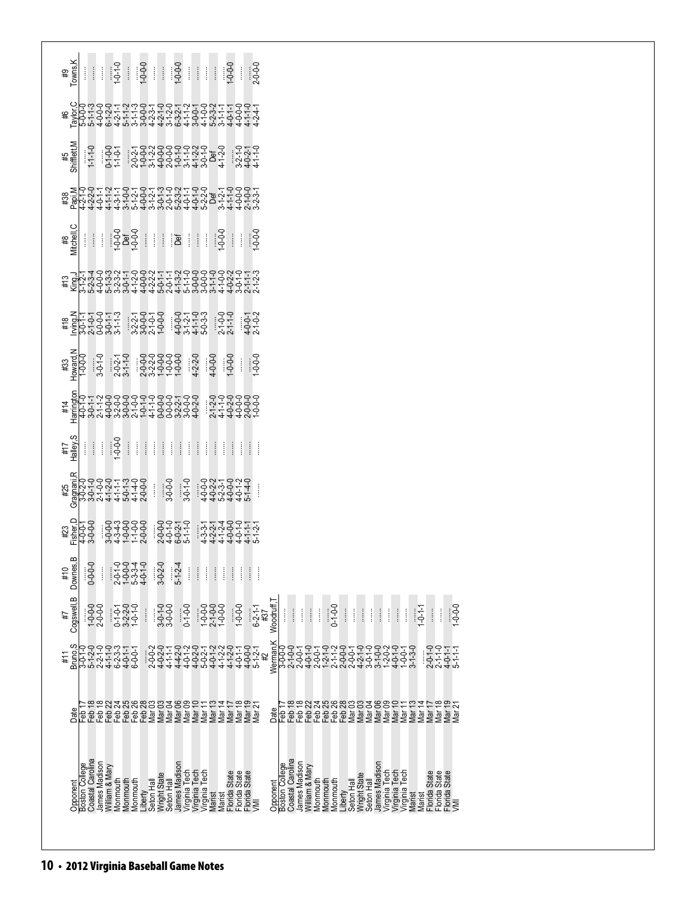| Towns, K<br>$1 - 0 - 0 - 0$<br>$1 - 0 - 0 - 0$<br>$1 - 0 - 1$<br>$1 - 0 - 0 - 0$<br>$2 - 0 - 0 - 0$<br>$\begin{array}{c} \vdots \\ \vdots \\ \vdots \end{array}$<br>$\frac{1}{2}$<br>Ħ<br>H<br>Ħ<br>ł<br>Î<br>₽                                                                                                                                                                                                                                                                                                                                                                                                                                                          |
|--------------------------------------------------------------------------------------------------------------------------------------------------------------------------------------------------------------------------------------------------------------------------------------------------------------------------------------------------------------------------------------------------------------------------------------------------------------------------------------------------------------------------------------------------------------------------------------------------------------------------------------------------------------------------|
| #6                                                                                                                                                                                                                                                                                                                                                                                                                                                                                                                                                                                                                                                                       |
| Shifflett, M<br>$0-1-0-0$<br>1-1-0-1<br>゚゚ヾ゚゠゚゚ゕゟゟゟゟゟゕ゚ゟ゠゚゚<br>゚゠゚ゕゟゕゟゟゟヹヹゖゟヹ゚<br>゚ゕ゚ゟゕゟゟゟヹゖゟゟゟゟゟ<br>$1 - 1 - 0$<br>$3-2-1$ -0<br>4-0-2-1<br>4-1-1-0<br>#5                                                                                                                                                                                                                                                                                                                                                                                                                                                                                                               |
| $\sharp 38$                                                                                                                                                                                                                                                                                                                                                                                                                                                                                                                                                                                                                                                              |
| Mitchell, C<br>$1 - 0 - 0 - 0$<br>$1 - 0 - 0 - 0$<br>$\begin{array}{c}\n\overline{1\cdot 0\cdot 0} \\ \overline{1\cdot 0}\cdot 0\n\end{array}$<br>$-0-0-1$<br>$      $ $  $ $  $<br>Ħ<br>ł<br>#8                                                                                                                                                                                                                                                                                                                                                                                                                                                                         |
| ĔჁ゚゙゚゚ゕ゚゚゚゚ヰゕ゚゚゚ゕ゚ヸヸヸゕ゚ゕヸヸゕ゚ゕ゚ゕヸヸゕ゚ゕ゚゚゚<br>゚゚゚ヹ゚ゖ゙ゕ゚゚゚ヮ゚ゖ゙ゕ゚ヸゖゟゖヸゖ゚ゖヸゖゟゟヸゖゟゖヸゖ<br>゚゠゚゚゚゚゚ヸヸゟゕ゚ゖヸヿ゚ゟゟゖ゙ヸヹゟゟゟゟゟゖゟヸゖ<br>#13                                                                                                                                                                                                                                                                                                                                                                                                                                                                                                                                                 |
| $4 - 0 - 0 - 0$<br>$4 - 1 - 1 - 0 - 3 - 3$<br>$4 - 1 - 1 - 3 - 3$<br>$5 - 0 - 3 - 3 - 3$<br>$2 - 1 - 0 - 0$<br>2-1-1-0<br>$4 - 0 - 1$<br>2-1-0-2<br>#18                                                                                                                                                                                                                                                                                                                                                                                                                                                                                                                  |
| #33<br>Howard,N<br>1-0-0-0<br>$2-0-2-1$<br>3-1-1-0<br>999999<br>::99999<br>:99999<br>$4 - 2 - 2 - 0$<br>$3 - 0 - 1 - 0$<br>$4 - 0 - 0 - 0$<br>$0 - 0 - 1$<br>$-0.0 - 0$<br>ŧ                                                                                                                                                                                                                                                                                                                                                                                                                                                                                             |
| #14                                                                                                                                                                                                                                                                                                                                                                                                                                                                                                                                                                                                                                                                      |
| Halley,S<br>ļ<br>I<br>ŧ<br>#7<br>ł                                                                                                                                                                                                                                                                                                                                                                                                                                                                                                                                                                                                                                       |
| $3 - 0 - 0 - 0$<br>$3-0-1-0$<br>ŧ.<br>#25                                                                                                                                                                                                                                                                                                                                                                                                                                                                                                                                                                                                                                |
| Fisher, D<br>4-0-0-1<br>3-0-0-0<br>844448<br>  94666<br>  94666<br>2-0-0-0<br>2-0-1-0<br>2-0-2-1-0<br>5-1-1-0<br>5-1-1-0<br>4444446<br>  22466447<br>  22466447<br>#23                                                                                                                                                                                                                                                                                                                                                                                                                                                                                                   |
| Downes, E<br>$3 - 0 - 2 - 0$<br>$0 - 0 - 0 - 0$<br>$29949$ $29949$ $-09949$ $-09949$ $-09949$<br>$5 - 1 - 2 - 4$<br>$\begin{array}{c} \vdots \\ \vdots \\ \vdots \end{array}$<br>$\vdots$<br>Î<br>Î<br>$\begin{array}{c} \vdots \\ \vdots \\ \vdots \end{array}$<br>#10<br>ĺ<br>ĺ<br>ļ<br>ĺ<br>ł                                                                                                                                                                                                                                                                                                                                                                         |
| Cogswell, B<br>Woodruff,<br>0-1-0-1-0<br>0-2-2-0<br>0-2-2-0<br>1-0-1-0<br>$3-0-0-0$<br>$3-0-0-0$<br>$7-0-0$<br>$2-1-0-0$<br>$1-0-0-0$<br>$-0.0 - 0.1$<br>$0 - 1 - 0 - 0$<br>$-0.0 - 1$<br>$1 - 0 - 0 - 0$<br>2-0-0-0<br>$0 - 1 - 0 - 0$<br>$6-2-1-1$<br>#37<br>$1 - 0 - 1 - 1$<br>$\vdots$<br>$\vdots$<br>$\vdots$<br>$\vdots$<br>$\frac{1}{2}$<br>$\vdots$<br>$\frac{1}{2}$<br>Î<br>$\vdots$<br>$\frac{1}{2}$<br>Î<br>ĺ<br>İ<br>İ<br>Î<br>Î<br>1#                                                                                                                                                                                                                       |
| Werman,K<br>#11                                                                                                                                                                                                                                                                                                                                                                                                                                                                                                                                                                                                                                                          |
| Date<br>Date<br>မှူ                                                                                                                                                                                                                                                                                                                                                                                                                                                                                                                                                                                                                                                      |
| Opponent<br>Boston College<br>Coastal Carolina<br>Opponent<br>Boston College<br>Coastal Carolina<br>James Madison<br>William & Mary<br>James Madison<br>Virginia Tech<br>Virginia Tech<br>Virginia Tech<br>Marist Records State<br>Marist Records State<br>Records State<br>Records State<br>James Madison<br>William & Mary<br>James Madison<br>Virginia Tech<br>Virginia Tech<br>Virginia Tech<br>Marist Rencide State<br>Marist Rencide State<br>Rencide State<br>Rencide State<br>Wright State<br>Seton Hall<br>Liberty<br>Seton Hall<br>Wright State<br>Seton Hall<br>Monmouth<br>Monmouth<br>Monmouth<br>Monmouth<br>Monmouth<br>Monmouth<br>Liberty<br>Seton Hall |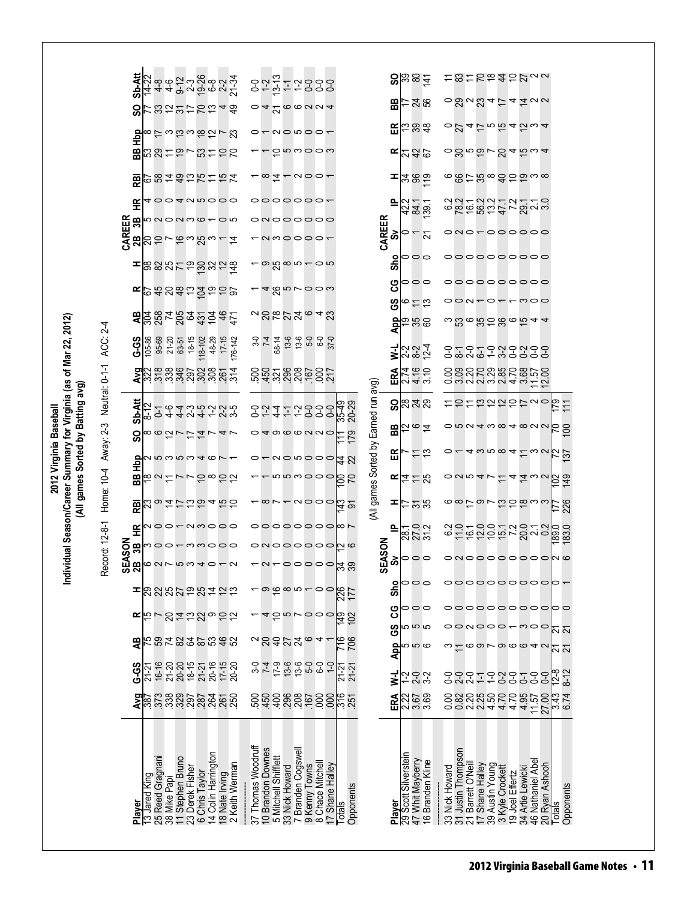|                                                                           |                         | Sb-Att             | 7186023880237<br>444929882                                                     |                  |                                                          |                                               |               |                             |       |                  |                                                                                                                        |                                        |                      |                                      |           | 8884                                                      |                |                                                 |                 |                                    |                                     | こ8ことあまらりって                                                      |                       |  |
|---------------------------------------------------------------------------|-------------------------|--------------------|--------------------------------------------------------------------------------|------------------|----------------------------------------------------------|-----------------------------------------------|---------------|-----------------------------|-------|------------------|------------------------------------------------------------------------------------------------------------------------|----------------------------------------|----------------------|--------------------------------------|-----------|-----------------------------------------------------------|----------------|-------------------------------------------------|-----------------|------------------------------------|-------------------------------------|-----------------------------------------------------------------|-----------------------|--|
|                                                                           |                         | င္တ                | け322け2248                                                                      |                  |                                                          |                                               |               |                             |       |                  | $\alpha$ 4 $\alpha$ 000004                                                                                             |                                        |                      |                                      | 58        | $-28$                                                     |                |                                                 |                 |                                    |                                     | $-8a$ a $3a$ $\overline{c}$ $4\overline{a}$ aa                  |                       |  |
|                                                                           |                         | <b>RH</b>          | 81というほうだい                                                                      |                  |                                                          |                                               |               |                             |       |                  | $-0$                                                                                                                   |                                        |                      |                                      |           | $E \approx 3.3$                                           |                |                                                 |                 |                                    |                                     | $0.24$ $5.0545$ $\omega$ $4$                                    |                       |  |
|                                                                           |                         | æ                  | <b>881か?810の</b>                                                               |                  |                                                          |                                               |               |                             |       |                  | g n w o o w                                                                                                            |                                        |                      |                                      |           | $E^{23}$ 82                                               |                |                                                 |                 |                                    |                                     | <u>៰ៜ</u> ៲៰៑៰៴ៜ៹៑៰៶៹                                           |                       |  |
|                                                                           |                         | 霞                  | <b>の8492万15万</b>                                                               |                  |                                                          |                                               |               |                             |       |                  | - <b>x</b> I - voor                                                                                                    |                                        |                      |                                      |           | $=$ $ z $ $\approx$ $\frac{1}{2}$                         |                |                                                 |                 |                                    |                                     | ౚౚఄ౼ౘౚఀఀౚఄ౽ౚఀ౻ౚ                                                 |                       |  |
|                                                                           |                         | £                  | 400405000                                                                      |                  |                                                          |                                               |               |                             |       |                  | 0000000-                                                                                                               |                                        |                      |                                      | 뜨         | $221$<br>$723$<br>$739$                                   |                |                                                 |                 |                                    |                                     | sarawaran sa                                                    |                       |  |
|                                                                           |                         | CAREER<br>2B<br>3B | <b>5000000000000</b>                                                           |                  |                                                          |                                               |               |                             |       |                  | 00000000                                                                                                               |                                        |                      | CAREER                               | ္တ        |                                                           |                |                                                 |                 |                                    |                                     | ono-oooooo                                                      |                       |  |
|                                                                           |                         |                    | ສ                                                                              |                  | いておきる!                                                   |                                               |               |                             |       |                  | amoooo-                                                                                                                |                                        |                      |                                      |           | $\sim$                                                    |                |                                                 |                 |                                    |                                     |                                                                 |                       |  |
|                                                                           |                         |                    | 888578832峰                                                                     |                  |                                                          |                                               |               |                             |       |                  | $-$ o $\omega$ o $-$ o $\omega$                                                                                        |                                        |                      |                                      | ۰<br>င်္တ | 000                                                       |                |                                                 |                 |                                    |                                     | 000000000                                                       |                       |  |
|                                                                           |                         | <b>k</b>           | 648852656                                                                      |                  |                                                          |                                               |               |                             |       |                  | -48nroow                                                                                                               |                                        |                      |                                      | ပ္ပ       | 900                                                       |                |                                                 |                 |                                    |                                     | 000000000                                                       |                       |  |
|                                                                           |                         |                    |                                                                                |                  |                                                          |                                               |               |                             |       |                  |                                                                                                                        | $\alpha$ ನ್ಗಳೂ $\alpha$ ನ              |                      |                                      | ၓ         | しこお                                                       |                |                                                 |                 |                                    |                                     | 000000000                                                       |                       |  |
|                                                                           |                         | æ                  | ខ្លួនដូច្នូទី៩ភ្ន                                                              |                  |                                                          |                                               |               |                             |       |                  |                                                                                                                        |                                        |                      |                                      |           | <mark>ಕ್ಷ</mark> ಿಪ್ರಿ ಜಿ                                 |                |                                                 |                 |                                    |                                     | ៰៶ៜ៰៷៓៑ៜ៓៰៷៝៹                                                   |                       |  |
|                                                                           |                         | <b>G-9</b>         | 105-86<br>95-69<br>21-20                                                       | $63-51$<br>18-15 | 18-102                                                   | 48-29<br>$17 - 15$                            | 176-142       | $\frac{3}{7}$ $\frac{4}{7}$ | 68-14 |                  | $13.6$ 6-0<br>$-6.6$ 6-0                                                                                               | $37 - 0$                               |                      |                                      | Ξ         | 2327<br>234                                               |                |                                                 |                 |                                    |                                     | <b>いというこうこうこう</b><br>ことによることの                                   |                       |  |
|                                                                           |                         |                    | $\frac{9}{322}$                                                                |                  |                                                          | sääänääästä                                   |               |                             |       |                  |                                                                                                                        | ខ្លួន ខ្លួនខ្លួន ខ្លួន                 |                      |                                      | ERA       | 2460<br>2460                                              |                |                                                 |                 |                                    |                                     | owawaw4wf5                                                      |                       |  |
| Sorted by Batting avg)                                                    | Neutral: 0-1-1 ACC: 2-4 | Sb-Att             | 8-12                                                                           |                  |                                                          | て<br>1 4 4 2 4 4 4 2 2 9<br>1 4 4 2 4 4 7 2 9 |               |                             |       |                  | 82472888                                                                                                               |                                        | 35-49<br>20-29       |                                      |           | $9\%$ កនា                                                 |                |                                                 |                 |                                    |                                     | <b>ことここうこうしっ</b>                                                | $\frac{179}{27}$      |  |
|                                                                           |                         | 0<br>Ū)            | ∞ ∞ ひ ! び れ ! 4 !                                                              |                  |                                                          |                                               |               |                             |       |                  | 04000000                                                                                                               |                                        | $\Xi$                |                                      |           | <b>ਸ਼</b> ੑਜ਼ਫ਼                                           |                |                                                 |                 |                                    |                                     |                                                                 | R<br>8                |  |
| 2012 Virginia Baseball                                                    |                         |                    | $\frac{1}{\sqrt{2}}$                                                           |                  |                                                          |                                               |               |                             |       |                  |                                                                                                                        | $0 - u \circ u \circ \circ \circ   2N$ |                      |                                      | 띥         | $\stackrel{11}{\scriptstyle\sim}$                         |                |                                                 |                 |                                    |                                     | $4\omega$ n $\infty$ $4\approx$ $\omega$ $\sim$                 | $\frac{137}{137}$     |  |
|                                                                           |                         | æ                  | <b>1825758828</b>                                                              |                  |                                                          |                                               |               |                             |       |                  |                                                                                                                        | - 666000                               | 85                   |                                      |           | 도효는정                                                      |                | $\circ$ <i>a</i> $\circ$ <i>a</i> $\sim$ $\leq$ |                 |                                    |                                     | <u>4 4 w v b a</u>                                              |                       |  |
| dual Season/Career Summary for Virginia (as of Mar 22, 2012)<br>All games | Home: 10-4 Away: 2-3    | <b>REI</b>         |                                                                                |                  |                                                          |                                               |               |                             |       |                  | $-$ ∞ $\sim$ $ \sim$ $\sim$ $\sim$ $\sim$                                                                              |                                        | ఛ వ్                 | (All games Sorted by Earned run avg) | ᆂ         | $\simeq$ ភន                                               |                |                                                 |                 |                                    |                                     | <u>6879700833</u>                                               | 226<br>IЦ             |  |
|                                                                           |                         | 臣                  | noo-nmooo                                                                      |                  |                                                          |                                               |               |                             |       |                  |                                                                                                                        | 000000000                              |                      |                                      | ௨         | ಗ್ಗ<br>ಜನಸ                                                |                |                                                 |                 |                                    |                                     | steddring under<br>steddring under                              |                       |  |
|                                                                           |                         | SON<br>æ           | noornnooo                                                                      |                  |                                                          |                                               |               |                             |       |                  |                                                                                                                        | onoooooo <mark>n</mark> o              |                      |                                      |           |                                                           |                |                                                 |                 |                                    |                                     |                                                                 |                       |  |
| Indivi                                                                    | Record: 12-8-1          | ⋖<br>සිස           | <b>0075994078</b>                                                              |                  |                                                          |                                               |               |                             |       |                  |                                                                                                                        | ᅮᇱᅮᆼᆼᆼᆼᅌᇦᅇ                             |                      | SEASON                               |           | $\infty$                                                  |                |                                                 |                 |                                    |                                     | onoooooooono                                                    |                       |  |
|                                                                           |                         | ᆍ                  | <b>222222422</b>                                                               |                  |                                                          |                                               |               |                             |       |                  | <u>- စဓိ စ ၈ – ဝ ဝ</u>                                                                                                 |                                        | <b>226</b>           |                                      | Sho       | <b>POC</b>                                                |                |                                                 |                 |                                    |                                     | 000000000                                                       |                       |  |
|                                                                           |                         | œ                  | ちてのはおひっかな                                                                      |                  |                                                          |                                               |               |                             |       |                  | 45 rooo                                                                                                                |                                        | 5<br>102             |                                      | ပ္ပ       | 000                                                       |                |                                                 |                 |                                    |                                     | oooooooooooo                                                    |                       |  |
|                                                                           |                         |                    | 202202024<br>2022024                                                           |                  |                                                          |                                               |               |                             |       |                  |                                                                                                                        |                                        |                      |                                      | <u>ဖိ</u> | <b>555</b>                                                |                |                                                 |                 |                                    |                                     | 00N000 <del>-</del> m00                                         | <u> ក</u>             |  |
|                                                                           |                         | æ                  |                                                                                |                  |                                                          |                                               |               |                             |       |                  | aggha <sub>@4</sub> -                                                                                                  |                                        | <b>PIE</b><br>706    |                                      |           | $\frac{d}{d}$                                             |                |                                                 |                 |                                    |                                     | $\circ$ $\circ$ $\circ$ $\circ$ $\circ$ $\circ$ $\circ$ $\circ$ | N N                   |  |
|                                                                           |                         | <b>G-GS</b>        | $21-2$                                                                         |                  |                                                          |                                               |               | $\frac{5}{6}$               |       | $7.99$<br>$7.99$ | $6-6$                                                                                                                  | $6-0$<br>$\overline{C}$                | $\sqrt{21}$<br>21-21 |                                      | ₹         | というとし                                                     |                |                                                 |                 |                                    |                                     | 8887988788<br>888798888                                         | $12-8$<br>$8 - 12$    |  |
|                                                                           |                         |                    | <b>২</b> ២ ក្នុង ខ្លួន ២ ភូមិ ៥ ភូមិ<br><b>২</b> ២ ក្នុង ១ ភូមិ ភូមិ ភូមិ ភូមិ |                  |                                                          |                                               |               |                             |       |                  |                                                                                                                        |                                        | <b>88888688858</b>   |                                      | ERA       | 2258<br>2358                                              |                | oouu4444                                        |                 |                                    |                                     | 11.57                                                           | 27.43<br>0.43<br>6.74 |  |
|                                                                           |                         |                    |                                                                                |                  |                                                          |                                               |               |                             |       |                  |                                                                                                                        |                                        |                      |                                      |           |                                                           |                |                                                 |                 |                                    |                                     |                                                                 |                       |  |
|                                                                           |                         |                    |                                                                                |                  |                                                          |                                               |               |                             |       |                  |                                                                                                                        |                                        |                      |                                      |           |                                                           |                |                                                 |                 |                                    |                                     |                                                                 |                       |  |
|                                                                           |                         |                    |                                                                                |                  |                                                          |                                               |               |                             |       |                  |                                                                                                                        |                                        |                      |                                      |           |                                                           |                |                                                 |                 |                                    |                                     |                                                                 |                       |  |
|                                                                           |                         | Player             | 25 Reed Gragnani<br>13 Jared King<br>38 Mike Papi                              | 11 Stephen Bruno | 6 Chris Taylor<br>14 Colin Harrington<br>23 Derek Fisher | 18 Nate Irving                                | 2 Keith Weman | 37 Thomas Woodruff          |       |                  | 10 Brandon Downes<br>5 Mitchell Shifflett<br>33 Nick Howard<br>7 Branden Cogswell<br>9 Kenny Towns<br>8 Chace Mitchell | 17 Shane Halley                        | Opponents<br>Totals  |                                      | Player    | 29 Scott Silverstein<br>47 Whit Mayberry<br>Branden Kline | 33 Nick Howard | 31 Justin Thompson<br>21 Barrett O'Neil         | 17 Shane Halley | 39 Austin Young<br>3 Kyle Crockett | 34 Artie Lewicki<br>19 Joel Effertz | 46 Nathaniel Abel<br>20 Ryan Ashooh                             | Opponents<br>Totals   |  |
|                                                                           |                         |                    |                                                                                |                  |                                                          |                                               |               |                             |       |                  |                                                                                                                        |                                        |                      |                                      |           | $\frac{6}{5}$                                             |                |                                                 |                 |                                    |                                     |                                                                 |                       |  |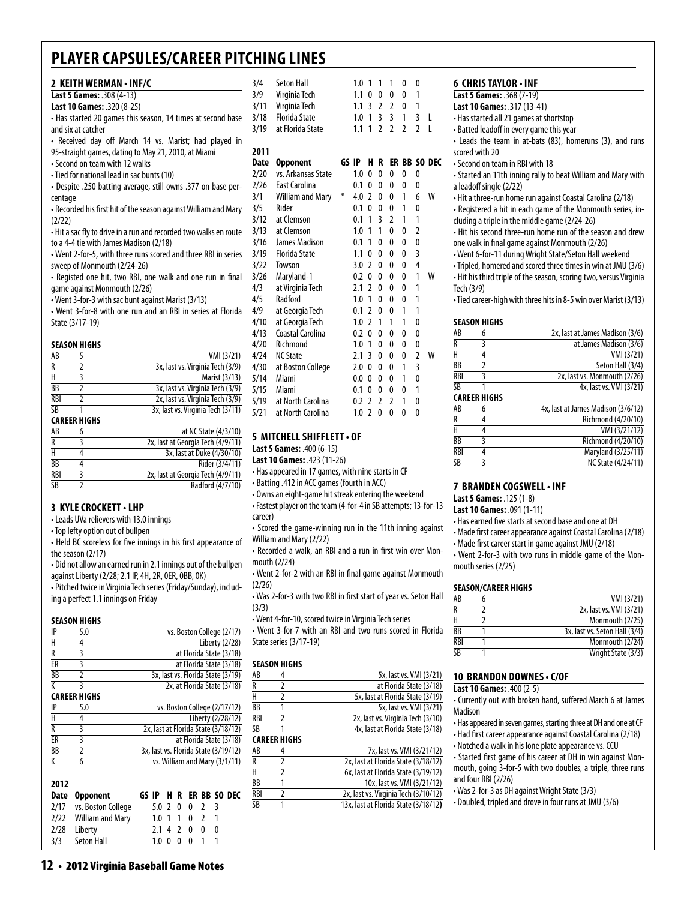| 2 KEITH WERMAN • INF/C                                               | 3/4         |
|----------------------------------------------------------------------|-------------|
| Last 5 Games: .308 (4-13)                                            | 3/9         |
| Last 10 Games: .320 (8-25)                                           | 3/11        |
| • Has started 20 games this season, 14 times at second base          | 3/18        |
| and six at catcher                                                   | 3/19        |
| • Received day off March 14 vs. Marist; had played in                |             |
| 95-straight games, dating to May 21, 2010, at Miami                  | 2011        |
| • Second on team with 12 walks                                       | <b>Date</b> |
| • Tied for national lead in sac bunts (10)                           | 2/20        |
| - Despite .250 batting average, still owns .377 on base per-         | 2/26        |
| centage                                                              | 3/1         |
| • Recorded his first hit of the season against William and Mary      | 3/5         |
| (2/22)                                                               | 3/12        |
| • Hit a sac fly to drive in a run and recorded two walks en route    | 3/13        |
| to a 4-4 tie with James Madison (2/18)                               | 3/16        |
| • Went 2-for-5, with three runs scored and three RBI in series       | 3/19        |
| sweep of Monmouth (2/24-26)                                          | 3/22        |
| • Registed one hit, two RBI, one walk and one run in final           | 3/26        |
| game against Monmouth (2/26)                                         | 4/3         |
| • Went 3-for-3 with sac bunt against Marist (3/13)                   | 4/5         |
| • Went 3-for-8 with one run and an RBI in series at Florida          | 4/9         |
| State (3/17-19)                                                      | 4/10        |
|                                                                      | 4/13        |
| <b>SEASON HIGHS</b>                                                  | 4/20        |
| VMI (3/21)<br>AB<br>5                                                | 4/24        |
| $\overline{R}$<br>$\overline{2}$<br>3x, last vs. Virginia Tech (3/9) | 4/30        |
| $\overline{\mathsf{H}}$<br>$\overline{\mathbf{3}}$<br>Marist (3/13)  | 5/14        |
| $\overline{2}$<br>3x, last vs. Virginia Tech (3/9)<br>BB             | 5/15        |
| $\overline{2}$<br>2x, last vs. Virginia Tech (3/9)<br>RBI            | 5/19        |
| SB<br>1<br>3x, last vs. Virginia Tech (3/11)                         | 5/71        |

#### **Career Highs**

| AB         | 6 | at NC State (4/3/10)              |
|------------|---|-----------------------------------|
| R          |   | 2x, last at Georgia Tech (4/9/11) |
| н          |   | 3x, last at Duke (4/30/10)        |
| <b>BB</b>  |   | Rider (3/4/11)                    |
| <b>RBI</b> |   | 2x, last at Georgia Tech (4/9/11) |
| SΒ         |   | Radford (4/7/10)                  |
|            |   |                                   |

#### **3 KYLE CROCKETT • LHP**

• Leads UVa relievers with 13.0 innings

• Top lefty option out of bullpen

• Held BC scoreless for five innings in his first appearance of the season (2/17)

• Did not allow an earned run in 2.1 innings out of the bullpen against Liberty (2/28; 2.1 IP, 4H, 2R, 0ER, 0BB, 0K) • Pitched twice in Virginia Tech series (Friday/Sunday), includ-

ing a perfect 1.1 innings on Friday

#### **Season Highs**

| IP   | 5.0                 |       |     |   |   |   |   |   | vs. Boston College (2/17)            |
|------|---------------------|-------|-----|---|---|---|---|---|--------------------------------------|
| H    | 4                   |       |     |   |   |   |   |   | Liberty (2/28)                       |
| R    | 3                   |       |     |   |   |   |   |   | at Florida State (3/18)              |
| ER   | 3                   |       |     |   |   |   |   |   | at Florida State (3/18)              |
| BB   | $\overline{2}$      |       |     |   |   |   |   |   | 3x, last vs. Florida State (3/19)    |
| К    | 3                   |       |     |   |   |   |   |   | 2x, at Florida State (3/18)          |
|      | <b>CAREER HIGHS</b> |       |     |   |   |   |   |   |                                      |
| IP   | 5.0                 |       |     |   |   |   |   |   | vs. Boston College (2/17/12)         |
| H    | 4                   |       |     |   |   |   |   |   | Liberty (2/28/12)                    |
| R    | 3                   |       |     |   |   |   |   |   | 2x, last at Florida State (3/18/12)  |
| ER   | 3                   |       |     |   |   |   |   |   | at Florida State (3/18)              |
| ВB   | 2                   |       |     |   |   |   |   |   | 3x, last vs. Florida State (3/19/12) |
| K    | 6                   |       |     |   |   |   |   |   | vs. William and Mary (3/1/11)        |
|      |                     |       |     |   |   |   |   |   |                                      |
| 2012 |                     |       |     |   |   |   |   |   |                                      |
| Date | Opponent            | GS IP |     | н | R |   |   |   | er BB so dec                         |
| 2/17 | vs. Boston College  |       | 5.0 | 2 | 0 | 0 | 2 | 3 |                                      |
| 2/22 | William and Mary    |       | 1.0 | 1 | 1 | 0 | 2 | 1 |                                      |
| 2/28 | Liberty             |       | 2.1 | 4 | 2 | 0 | 0 | 0 |                                      |
| 3/3  | <b>Seton Hall</b>   |       | 1.0 |   | O | n | 1 | 1 |                                      |
|      |                     |       |     |   |   |   |   |   |                                      |

| 3/4<br>3/9<br>3/11<br>3/18<br>3/19 | Seton Hall<br>Virginia Tech<br>Virginia Tech<br><b>Florida State</b><br>at Florida State |       | 1.0<br>1.1<br>1.1<br>1.0<br>1.1 | 1<br>0<br>3<br>1<br>1    | 1<br>0<br>$\overline{2}$<br>$\overline{3}$<br>$\overline{2}$ | 1<br>0<br>$\overline{2}$<br>$\overline{3}$<br>$\overline{\phantom{a}}$ | 0<br>0<br>0<br>1<br>$\overline{2}$ | 0<br>1<br>1<br>3<br>$\overline{2}$ | L<br>L       |
|------------------------------------|------------------------------------------------------------------------------------------|-------|---------------------------------|--------------------------|--------------------------------------------------------------|------------------------------------------------------------------------|------------------------------------|------------------------------------|--------------|
|                                    |                                                                                          |       |                                 |                          |                                                              |                                                                        |                                    |                                    |              |
| 2011                               |                                                                                          |       |                                 |                          |                                                              |                                                                        |                                    |                                    |              |
| Date                               | <b>Opponent</b>                                                                          | GS IP |                                 | н                        | R                                                            |                                                                        |                                    |                                    | ER BB SO DEC |
| 2/20                               | vs. Arkansas State                                                                       |       | 1.0                             | 0                        | $\mathbf{0}$                                                 | 0                                                                      | 0                                  | 0                                  |              |
| 2/26                               | East Carolina                                                                            |       | 0.1                             | 0                        | $\mathbf{0}$                                                 | 0                                                                      | 0                                  | 0                                  |              |
| 3/1                                | <b>William and Mary</b>                                                                  | ∗     | 4.0                             | $\mathfrak z$            | $\mathbf{0}$                                                 | 0                                                                      | 1                                  | 6                                  | w            |
| 3/5                                | Rider                                                                                    |       | 0.1                             | $\mathbf{0}$             | 0                                                            | 0                                                                      | 1                                  | 0                                  |              |
| 3/12                               | at Clemson                                                                               |       | 0.1                             | 1                        | 3                                                            | $\overline{2}$                                                         | 1                                  | 1                                  |              |
| 3/13                               | at Clemson                                                                               |       | 1.0                             | 1                        | 1                                                            | 0                                                                      | 0                                  | $\overline{2}$                     |              |
| 3/16                               | <b>James Madison</b>                                                                     |       | 0.1                             | 1                        | $\mathbf{0}$                                                 | 0                                                                      | 0                                  | 0                                  |              |
| 3/19                               | <b>Florida State</b>                                                                     |       | 1.1                             | 0                        | $\mathbf{0}$                                                 | 0                                                                      | 0                                  | 3                                  |              |
| 3/22                               | Towson                                                                                   |       | 3.0                             | $\mathfrak z$            | 0                                                            | $\Omega$                                                               | 0                                  | 4                                  |              |
| 3/26                               | Maryland-1                                                                               |       | 0.2                             | 0                        | 0                                                            | 0                                                                      | 0                                  | 1                                  | W            |
| 4/3                                | at Virginia Tech                                                                         |       | 2.1                             | $\mathfrak z$            | 0                                                            | 0                                                                      | 0                                  | 1                                  |              |
| 4/5                                | Radford                                                                                  |       | 1.0                             | 1                        | 0                                                            | $\Omega$                                                               | 0                                  | 1                                  |              |
| 4/9                                | at Georgia Tech                                                                          |       | 0.1                             | 2                        | 0                                                            | 0                                                                      | 1                                  | 1                                  |              |
| 4/10                               | at Georgia Tech                                                                          |       | 1.0                             | $\overline{2}$           | 1                                                            | 1                                                                      | 1                                  | 0                                  |              |
| 4/13                               | Coastal Carolina                                                                         |       | 0.2                             | 0                        | 0                                                            | 0                                                                      | 0                                  | 0                                  |              |
| 4/20                               | Richmond                                                                                 |       | 1.0                             | 1                        | 0                                                            | 0                                                                      | 0                                  | 0                                  |              |
| 4/24                               | <b>NC State</b>                                                                          |       | 2.1                             | 3                        | 0                                                            | 0                                                                      | 0                                  | $\overline{2}$                     | W            |
| 4/30                               | at Boston College                                                                        |       | 2.0                             | 0                        | 0                                                            | 0                                                                      | 1                                  | $\overline{3}$                     |              |
| 5/14                               | Miami                                                                                    |       | 0.0                             | 0                        | 0                                                            | 0                                                                      | 1                                  | 0                                  |              |
| 5/15                               | Miami                                                                                    |       | 0.1                             | 0                        | 0                                                            | 0                                                                      | 0                                  | 1                                  |              |
| 5/19                               | at North Carolina                                                                        |       | 0.2                             | $\mathfrak z$            | $\overline{\phantom{a}}$                                     | $\overline{2}$                                                         | 1                                  | 0                                  |              |
| 5/21                               | at North Carolina                                                                        |       | 1.0                             | $\overline{\phantom{a}}$ | 0                                                            | 0                                                                      | 0                                  | 0                                  |              |

#### **5 MitchellShifflett• OF**

**Last 5 Games:** .400 (6-15)

**Last 10 Games:** .423 (11-26)

• Has appeared in 17 games, with nine starts in CF

• Batting .412 in ACC games (fourth in ACC)

• Owns an eight-game hit streak entering the weekend • Fastest player on the team (4-for-4 in SB attempts; 13-for-13 career)

• Scored the game-winning run in the 11th inning against William and Mary (2/22)

• Recorded a walk, an RBI and a run in first win over Monmouth (2/24)

• Went 2-for-2 with an RBI in final game against Monmouth (2/26)

• Was 2-for-3 with two RBI in first start of year vs. Seton Hall (3/3)

• Went 4-for-10, scored twice in Virginia Tech series

• Went 3-for-7 with an RBI and two runs scored in Florida State series (3/17-19)

#### **season Highs**

| AB         | 4                   | 5x, last vs. VMI (3/21)              |
|------------|---------------------|--------------------------------------|
| R          | 2                   | at Florida State (3/18)              |
| H          | 2                   | 5x, last at Florida State (3/19)     |
| BB         | 1                   | 5x, last vs. VMI (3/21)              |
| <b>RBI</b> | 2                   | 2x, last vs. Virginia Tech (3/10)    |
| SB         | 1                   | 4x, last at Florida State (3/18)     |
|            | <b>CAREER HIGHS</b> |                                      |
| AB         | 4                   | 7x, last vs. VMI (3/21/12)           |
| R          | $\overline{2}$      | 2x, last at Florida State (3/18/12)  |
| Н          | $\overline{2}$      | 6x, last at Florida State (3/19/12)  |
| <b>BB</b>  | 1                   | 10x, last vs. VMI (3/21/12)          |
| <b>RBI</b> | 2                   | 2x, last vs. Virginia Tech (3/10/12) |
| SB         | 1                   | 13x, last at Florida State (3/18/12) |
|            |                     |                                      |
|            |                     |                                      |

#### **6 Chris Taylor • INF**

- **Last 5 Games:** .368 (7-19)
- **Last 10 Games:** .317 (13-41)
- Has started all 21 games at shortstop
- Batted leadoff in every game this year

• Leads the team in at-bats (83), homeruns (3), and runs scored with 20

• Second on team in RBI with 18

• Started an 11th inning rally to beat William and Mary with a leadoff single (2/22)

• Hit a three-run home run against Coastal Carolina (2/18)

• Registered a hit in each game of the Monmouth series, including a triple in the middle game (2/24-26)

• Hit his second three-run home run of the season and drew one walk in final game against Monmouth (2/26)

• Went 6-for-11 during Wright State/Seton Hall weekend

• Tripled, homered and scored three times in win at JMU (3/6) • Hit his third triple of the season, scoring two, versus Virginia Tech (3/9)

• Tied career-high with three hits in 8-5 win over Marist (3/13)

#### **Season Highs**

| AB         | 6                   | 2x, last at James Madison (3/6)    |
|------------|---------------------|------------------------------------|
| R          |                     | at James Madison (3/6)             |
| H          | 4                   | VMI (3/21)                         |
| BB         | 2                   | Seton Hall (3/4)                   |
| <b>RBI</b> | 3                   | 2x, last vs. Monmouth (2/26)       |
| <b>SB</b>  |                     | 4x, last vs. VMI (3/21)            |
|            | <b>CAREER HIGHS</b> |                                    |
| AB         | 6                   | 4x, last at James Madison (3/6/12) |
| R          | 4                   | Richmond (4/20/10)                 |
| H          | 4                   | VMI (3/21/12)                      |
| ВB         | 3                   | Richmond (4/20/10)                 |
| <b>RBI</b> | 4                   | Maryland (3/25/11)                 |
| SB         |                     | NC State (4/24/11)                 |

#### **7 Branden Cogswell• INF**

#### **Last 5 Games:** .125 (1-8)

**Last 10 Games:** .091 (1-11)

• Has earned five starts at second base and one at DH

• Made first career appearance against Coastal Carolina (2/18)

• Made first career start in game against JMU (2/18)

• Went 2-for-3 with two runs in middle game of the Monmouth series (2/25)

#### **Season/Career Highs**

| AB                     | VMI (3/21)                    |
|------------------------|-------------------------------|
| R                      | 2x, last vs. VMI (3/21)       |
| н                      | Monmouth (2/25)               |
| BB                     | 3x, last vs. Seton Hall (3/4) |
| RBI                    | Monmouth (2/24)               |
| $\overline{\text{SB}}$ | Wright State (3/3)            |

#### **10 brandon downes • c/OF**

**Last 10 Games:** .400 (2-5)

• Currently out with broken hand, suffered March 6 at James Madison

• Has appeared in seven games, starting three at DH and one at CF

• Had first career appearance against Coastal Carolina (2/18)

• Notched a walk in his lone plate appearance vs. CCU

• Started first game of his career at DH in win against Monmouth, going 3-for-5 with two doubles, a triple, three runs and four RBI (2/26)

• Was 2-for-3 as DH against Wright State (3/3)

• Doubled, tripled and drove in four runs at JMU (3/6)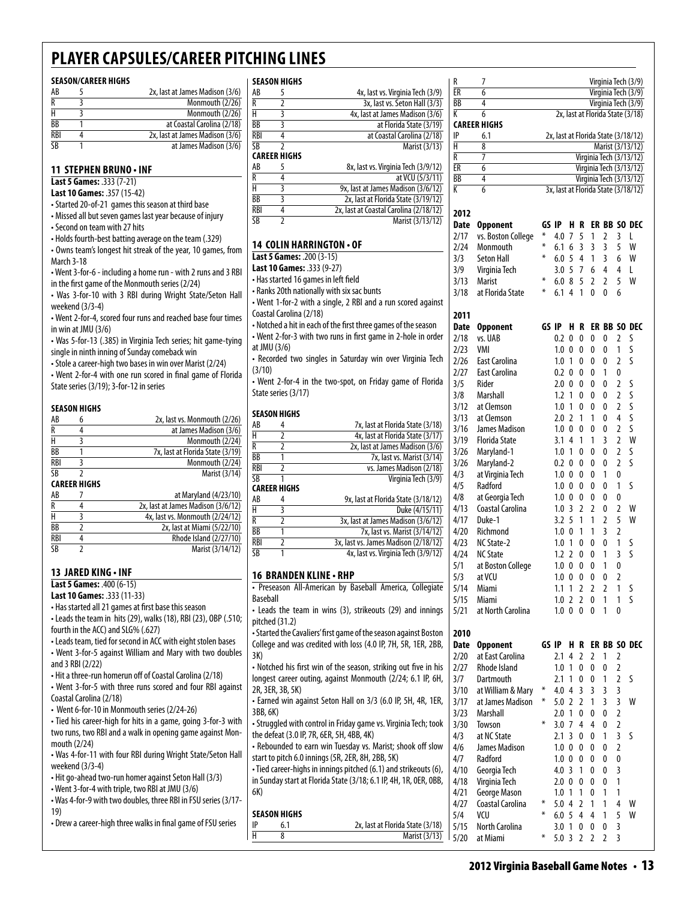#### **Season/Career Highs**

| AB                      | 2x, last at James Madison (3/6) |
|-------------------------|---------------------------------|
| R                       | Monmouth (2/26)                 |
| н                       | Monmouth (2/26)                 |
| BB                      | at Coastal Carolina (2/18)      |
| RBI                     | 2x, last at James Madison (3/6) |
| $\overline{\textsf{S}}$ | at James Madison (3/6)          |

#### **11 Stephen Bruno • INF**

**Last 5 Games:** .333 (7-21)

**Last 10 Games:** .357 (15-42)

- Started 20-of-21 games this season at third base
- Missed all but seven games last year because of injury
- Second on team with 27 hits

• Holds fourth-best batting average on the team (.329)

- Owns team's longest hit streak of the year, 10 games, from March 3-18
- Went 3-for-6 including a home run with 2 runs and 3 RBI in the first game of the Monmouth series (2/24)

• Was 3-for-10 with 3 RBI during Wright State/Seton Hall weekend (3/3-4)

• Went 2-for-4, scored four runs and reached base four times in win at JMU (3/6)

• Was 5-for-13 (.385) in Virginia Tech series; hit game-tying single in ninth inning of Sunday comeback win

• Stole a career-high two bases in win over Marist (2/24)

• Went 2-for-4 with one run scored in final game of Florida State series (3/19); 3-for-12 in series

#### **Season Highs**

| AB  | n                   | 2x, last vs. Monmouth (2/26)     |  |  |  |  |
|-----|---------------------|----------------------------------|--|--|--|--|
| R   |                     | at James Madison (3/6)           |  |  |  |  |
| н   |                     | Monmouth (2/24)                  |  |  |  |  |
| ВB  |                     | 7x, last at Florida State (3/19) |  |  |  |  |
| RBI |                     | Monmouth (2/24)                  |  |  |  |  |
| SΒ  |                     | Marist (3/14)                    |  |  |  |  |
|     | <b>CAREER HIGHS</b> |                                  |  |  |  |  |

| AB  | at Maryland (4/23/10)              |
|-----|------------------------------------|
| R   | 2x, last at James Madison (3/6/12) |
| н   | 4x, last vs. Monmouth (2/24/12)    |
| ВB  | 2x, last at Miami (5/22/10)        |
| RBI | Rhode Island (2/27/10)             |
| SΒ  | Marist (3/14/12)                   |

#### **13 Jared King • INF**

**Last 5 Games:** .400 (6-15)

**Last 10 Games:** .333 (11-33)

• Has started all 21 games at first base this season • Leads the team in hits (29), walks (18), RBI (23), OBP (.510; fourth in the ACC) and SLG% (.627)

• Leads team, tied for second in ACC with eight stolen bases • Went 3-for-5 against William and Mary with two doubles and 3 RBI (2/22)

• Hit a three-run homerun off of Coastal Carolina (2/18)

• Went 3-for-5 with three runs scored and four RBI against Coastal Carolina (2/18)

• Went 6-for-10 in Monmouth series (2/24-26)

• Tied his career-high for hits in a game, going 3-for-3 with two runs, two RBI and a walk in opening game against Monmouth (2/24)

• Was 4-for-11 with four RBI during Wright State/Seton Hall weekend (3/3-4)

• Hit go-ahead two-run homer against Seton Hall (3/3)

• Went 3-for-4 with triple, two RBI at JMU (3/6)

• Was 4-for-9 with two doubles, three RBI in FSU series (3/17- 19)

• Drew a career-high three walks in final game of FSU series

#### **season Highs**

| AB         |                     | 4x, last vs. Virginia Tech (3/9)       |
|------------|---------------------|----------------------------------------|
| R          | 2                   | 3x, last vs. Seton Hall (3/3)          |
| H          | ξ                   | 4x, last at James Madison (3/6)        |
| BB         | 3                   | at Florida State (3/19)                |
| <b>RBI</b> | 4                   | at Coastal Carolina (2/18)             |
| SB         |                     | Marist (3/13)                          |
|            | <b>CAREER HIGHS</b> |                                        |
| AB         | 5                   | 8x, last vs. Virginia Tech (3/9/12)    |
| R          |                     | at VCU (5/3/11)                        |
| H          | 3                   | 9x, last at James Madison (3/6/12)     |
| BB         | 3                   | 2x, last at Florida State (3/19/12)    |
| <b>RBI</b> | 4                   | 2x, last at Coastal Carolina (2/18/12) |
| SB         |                     | Marist (3/13/12)                       |

#### **14 Colin Harrington • OF**

**Last 5 Games:** .200 (3-15)

**Last 10 Games:** .333 (9-27)

• Has started 16 games in left field

• Ranks 20th nationally with six sac bunts

• Went 1-for-2 with a single, 2 RBI and a run scored against Coastal Carolina (2/18)

- Notched a hit in each of the first three games of the season • Went 2-for-3 with two runs in first game in 2-hole in order
- at JMU (3/6)

• Recorded two singles in Saturday win over Virginia Tech (3/10)

• Went 2-for-4 in the two-spot, on Friday game of Florida State series (3/17)

#### **SEASON HIGHS**

| AB  | 4                   | 7x, last at Florida State (3/18)     |
|-----|---------------------|--------------------------------------|
| н   | 2                   | 4x, last at Florida State (3/17)     |
| R   | 2                   | 2x, last at James Madison (3/6)      |
| ВB  |                     | 7x, last vs. Marist (3/14)           |
| RBI | 2                   | vs. James Madison (2/18)             |
| SB  |                     | Virginia Tech (3/9)                  |
|     | <b>CAREER HIGHS</b> |                                      |
| AB  |                     | 9x, last at Florida State (3/18/12)  |
| н   | 3                   | Duke (4/15/11)                       |
|     |                     |                                      |
| R   | 2                   | 3x, last at James Madison (3/6/12)   |
| ВB  |                     | 7x, last vs. Marist (3/14/12)        |
| RBI |                     | 3x, last vs. James Madison (2/18/12) |

#### **16 branden kline• RHP**

• Preseason All-American by Baseball America, Collegiate Baseball

• Leads the team in wins (3), strikeouts (29) and innings pitched (31.2)

• Started the Cavaliers' first game of the season against Boston College and was credited with loss (4.0 IP, 7H, 5R, 1ER, 2BB, 3K) • Notched his first win of the season, striking out five in his

longest career outing, against Monmouth (2/24; 6.1 IP, 6H, 2R, 3ER, 3B, 5K)

• Earned win against Seton Hall on 3/3 (6.0 IP, 5H, 4R, 1ER, 3BB, 6K)

• Struggled with control in Friday game vs. Virginia Tech; took the defeat (3.0 IP, 7R, 6ER, 5H, 4BB, 4K)

• Rebounded to earn win Tuesday vs. Marist; shook off slow start to pitch 6.0 innings (5R, 2ER, 8H, 2BB, 5K)

• Tied career-highs in innings pitched (6.1) and strikeouts (6), in Sunday start at Florida State (3/18; 6.1 IP, 4H, 1R, 0ER, 0BB, 6K)

#### **Season Highs**

 $\frac{1}{11}$  6.1 2x, last at Florida State (3/18)<br>  $\frac{1}{11}$  8 Marist (3/13) 8 Marist  $(3/13)$  5/20 at Miami

| R            | 7                                |       |                  |                   |                |                |        |                         | Virginia Tech (3/9)                                            |
|--------------|----------------------------------|-------|------------------|-------------------|----------------|----------------|--------|-------------------------|----------------------------------------------------------------|
| ER           | 6                                |       |                  |                   |                |                |        |                         | Virginia Tech (3/9)                                            |
| ВB<br>K      | 4<br>6                           |       |                  |                   |                |                |        |                         | Virginia Tech (3/9)<br>2x, last at Florida State (3/18)        |
|              | CAREER HIGHS                     |       |                  |                   |                |                |        |                         |                                                                |
| IP           | 6.1                              |       |                  |                   |                |                |        |                         | 2x, last at Florida State (3/18/12)                            |
| H            | 8                                |       |                  |                   |                |                |        |                         | Marist (3/13/12)                                               |
| R            | 7                                |       |                  |                   |                |                |        |                         | Virginia Tech (3/13/12)                                        |
| ER           | 6                                |       |                  |                   |                |                |        |                         | Virginia Tech (3/13/12)                                        |
| BB<br>К      | 4<br>6                           |       |                  |                   |                |                |        |                         | Virginia Tech (3/13/12)<br>3x, last at Florida State (3/18/12) |
|              |                                  |       |                  |                   |                |                |        |                         |                                                                |
| 2012         |                                  |       |                  |                   |                |                |        |                         |                                                                |
| Date         | <b>Opponent</b>                  |       | GS IP            | н                 | R              |                |        |                         | ER BB SO DEC                                                   |
| 2/17         | vs. Boston College               | ∗     | 4.0              | 7                 | 5              | 1              | 2      | 3                       | L                                                              |
| 2/24         | Monmouth                         | ⋇     | 6.1              | 6                 | 3              | 3              | 3      | 5                       | W                                                              |
| 3/3          | <b>Seton Hall</b>                | ⋇     | 6.0              | 5                 | 4              | 1              | 3      | 6                       | W                                                              |
| 3/9          | Virginia Tech                    | ⋇     | 3.0              | 5                 | 7              | 6              | 4      | 4                       | L                                                              |
| 3/13<br>3/18 | Marist<br>at Florida State       | ⋇     | 6.0<br>6.1       | 8<br>4            | 5<br>1         | 2<br>0         | 2<br>0 | 5<br>6                  | W                                                              |
|              |                                  |       |                  |                   |                |                |        |                         |                                                                |
| 2011         |                                  |       |                  |                   |                |                |        |                         |                                                                |
| <b>Date</b>  | <b>Opponent</b>                  | GS IP |                  | H                 | R              |                |        |                         | ER BB SO DEC                                                   |
| 2/18         | vs. UAB                          |       | 0.2              | 0                 | 0              | 0              | 0      | 2                       | S                                                              |
| 2/23         | VMI                              |       | 1.0              | 0                 | 0              | 0              | 0      | 1                       | S                                                              |
| 2/26         | <b>East Carolina</b>             |       | 1.0              | 1                 | 0              | 0              | 0      | $\overline{2}$          | S                                                              |
| 2/27<br>3/5  | <b>East Carolina</b><br>Rider    |       | 0.2<br>2.0       | 0<br>0            | 0<br>0         | 0<br>0         | 1<br>0 | 0<br>2                  | S                                                              |
| 3/8          | Marshall                         |       | 1.2              | 1                 | 0              | 0              | 0      | $\overline{2}$          | S                                                              |
| 3/12         | at Clemson                       |       | 1.0              | 1                 | 0              | 0              | 0      | $\overline{2}$          | S                                                              |
| 3/13         | at Clemson                       |       | 2.0              | $\overline{2}$    | 1              | 1              | 0      | 4                       | S                                                              |
| 3/16         | <b>James Madison</b>             |       | 1.0              | 0                 | 0              | 0              | 0      | $\overline{2}$          | S                                                              |
| 3/19         | <b>Florida State</b>             |       | 3.1              | 4                 | 1              | 1              | 3      | $\overline{2}$          | W                                                              |
| 3/26         | Maryland-1                       |       | 1.0              | 1                 | 0              | 0              | 0      | $\overline{2}$          | S                                                              |
| 3/26         | Maryland-2                       |       | 0.2              | 0                 | 0              | 0              | 0      | $\overline{2}$          | S                                                              |
| 4/3<br>4/5   | at Virginia Tech<br>Radford      |       | 1.0<br>1.0       | 0<br>0            | 0<br>0         | 0<br>0         | 1<br>0 | 0<br>1                  | S                                                              |
| 4/8          | at Georgia Tech                  |       | 1.0              | 0                 | 0              | 0              | 0      | 0                       |                                                                |
| 4/13         | Coastal Carolina                 |       | 1.0              | 3                 | 2              | $\overline{2}$ | 0      | $\overline{2}$          | W                                                              |
| 4/17         | Duke-1                           |       | 3.2              | 5                 | 1              | 1              | 2      | 5                       | W                                                              |
| 4/20         | Richmond                         |       | 1.0              | 0                 | 1              | 1              | 3      | $\overline{2}$          |                                                                |
| 4/23         | NC State-2                       |       | 1.0              | 1                 | 0              | 0              | 0      | 1                       | S                                                              |
| 4/24         | <b>NC State</b>                  |       | 1.2              | 2                 | 0              | 0              | 1      | $\overline{3}$          | S                                                              |
| 5/1          | at Boston College                |       | 1.0              | 0                 | 0              | 0              | 1      | 0<br>$\overline{2}$     |                                                                |
| 5/3<br>5/14  | at VCU<br>Miami                  |       | 1.0<br>1.1 1     | 0                 | 0<br>2         | 0<br>2         | 0<br>2 | 1                       | S                                                              |
| 5/15         | Miami                            |       | 1.0 <sub>2</sub> |                   | 2              | 0              | 1      | 1                       | S                                                              |
| 5/21         | at North Carolina                |       | $1.0\,$          | 0                 | 0              | 0              | 1      | 0                       |                                                                |
|              |                                  |       |                  |                   |                |                |        |                         |                                                                |
| 2010         |                                  |       |                  |                   |                |                |        |                         |                                                                |
| Date         | <b>Opponent</b>                  |       | GS IP            | H                 | R              |                |        |                         | ER BB SO DEC                                                   |
| 2/20<br>2/27 | at East Carolina<br>Rhode Island |       | 2.1<br>1.0       | 4<br>$\mathbf{1}$ | 2<br>0         | 2<br>0         | 1<br>0 | 2<br>$\overline{2}$     |                                                                |
| 3/7          | Dartmouth                        |       | 2.1              | 1                 | 0              | 0              | 1      | $\overline{\mathbf{c}}$ | S                                                              |
| 3/10         | at William & Mary                | ⋇     | 4.0              | 4                 | 3              | 3              | 3      | 3                       |                                                                |
| 3/17         | at James Madison                 | ⋇     | 5.0              | $\overline{2}$    | $\overline{2}$ | 1              | 3      | 3                       | W                                                              |
| 3/23         | Marshall                         |       | 2.0              | 1                 | 0              | 0              | 0      | $\overline{2}$          |                                                                |
| 3/30         | Towson                           | ⋇     | 3.0              | 7                 | 4              | 4              | 0      | $\overline{\mathbf{c}}$ |                                                                |
| 4/3          | at NC State                      |       | 2.1              | 3                 | 0              | 0              | 1      | 3                       | S                                                              |
| 4/6          | James Madison                    |       | 1.0              | 0                 | 0              | 0              | 0      | 2                       |                                                                |
| 4/7<br>4/10  | Radford<br>Georgia Tech          |       | 1.0<br>4.0       | 0<br>3            | 0<br>1         | 0<br>0         | 0<br>0 | 0<br>3                  |                                                                |
| 4/18         | Virginia Tech                    |       | 2.0              | 0                 | 0              | 0              | 0      | 1                       |                                                                |
| 4/21         | George Mason                     |       | 1.0              | 1                 | 1              | 0              | 1      | 1                       |                                                                |
| 4/27         | Coastal Carolina                 | ⋇     | 5.0              | 4                 | $\overline{2}$ | 1              | 1      | 4                       | W                                                              |
| 5/4          | VCU                              | ⋇     | 6.0              | 5                 | 4              | 4              | 1      | 5                       | W                                                              |
| 5/15         | North Carolina                   |       | 3.0 <sub>1</sub> |                   | 0              | 0              | 0      | 3                       |                                                                |

 $*$  5.0 3 2 2 2 3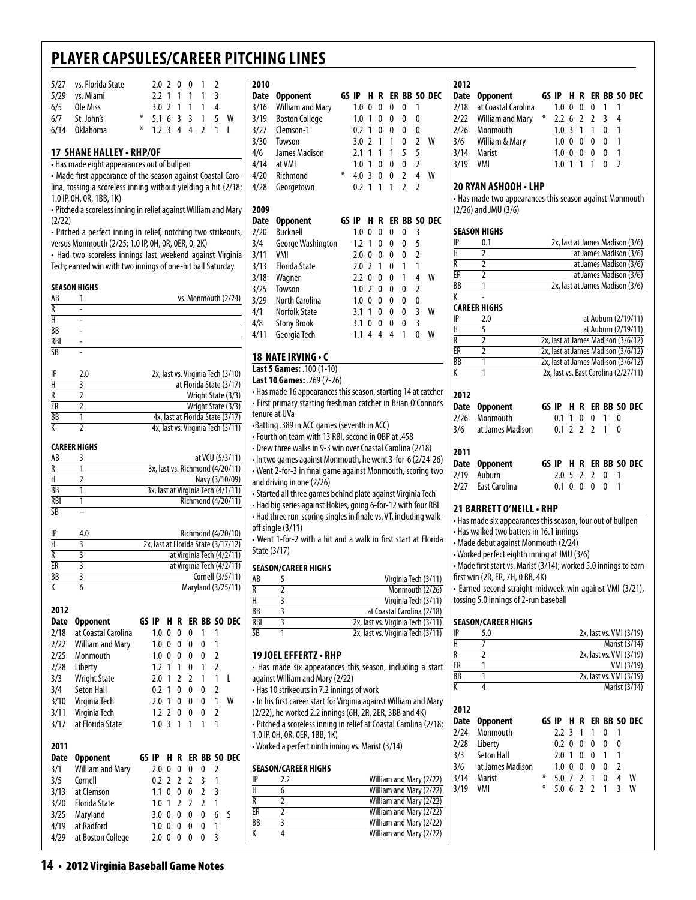| 5/27 vs. Florida State | 2.0 2 0 0 1 2       |  |  |  |
|------------------------|---------------------|--|--|--|
| 5/29 vs. Miami         | 2.2 1 1 1 1 3       |  |  |  |
| 6/5 Ole Miss           | 3.0 2 1 1 1 4       |  |  |  |
| $6/7$ St. John's       | $*$ 5.1 6 3 3 1 5 W |  |  |  |
| 6/14 Oklahoma          | $*$ 12344211        |  |  |  |
|                        |                     |  |  |  |

#### **17 shane halley • RHP/OF**

• Has made eight appearances out of bullpen • Made first appearance of the season against Coastal Carolina, tossing a scoreless inning without yielding a hit (2/18; 1.0 IP, 0H, 0R, 1BB, 1K)

| .<br>• Pitched a scoreless inning in relief against William and Mary $\parallel$ 2 |   |
|------------------------------------------------------------------------------------|---|
| (2/22)                                                                             | D |

• Pitched a perfect inning in relief, notching two strikeouts, versus Monmouth (2/25; 1.0 IP, 0H, 0R, 0ER, 0, 2K)

• Had two scoreless innings last weekend against Virginia Tech; earned win with two innings of one-hit ball Saturday

#### **Season Highs**

| AB     |   | vs. Monmouth (2/24) |
|--------|---|---------------------|
| n      | ۰ |                     |
|        |   |                     |
| BB     |   |                     |
| RBI    |   |                     |
| $\sim$ |   |                     |

| IP | 2.0 | 2x, last vs. Virginia Tech (3/10) |
|----|-----|-----------------------------------|
| Н  |     | at Florida State (3/17)           |
| R  |     | Wright State (3/3)                |
| ER |     | Wright State (3/3)                |
| ВB |     | 4x, last at Florida State (3/17)  |
| K  |     | 4x, last vs. Virginia Tech (3/11) |

#### **Career Highs**

| AB              | at VCU (5/3/11)                    |
|-----------------|------------------------------------|
| R               | 3x, last vs. Richmond (4/20/11)    |
|                 | Navy (3/10/09)                     |
| ВB              | 3x, last at Virginia Tech (4/1/11) |
| RBI             | Richmond (4/20/11)                 |
| $\overline{SB}$ |                                    |

| IP              | 4.0 | Richmond (4/20/10)                  |
|-----------------|-----|-------------------------------------|
| н               |     | 2x, last at Florida State (3/17/12) |
| R               |     | at Virginia Tech (4/2/11)           |
| FR              |     | at Virginia Tech (4/2/11)           |
| $\overline{BB}$ |     | Cornell (3/5/11)                    |
|                 |     | Maryland (3/25/11)                  |

**2012**

| <b>Date</b> | <b>Opponent</b>     | GS IP |                  |                | ΗR            |                |   |   | ER BB SO DEC |
|-------------|---------------------|-------|------------------|----------------|---------------|----------------|---|---|--------------|
| 2/18        | at Coastal Carolina |       | 1.0              | 0              | 0             | 0              |   |   |              |
| 2/22        | William and Mary    |       | 1.0 <sub>0</sub> |                | 0             | 0              | 0 |   |              |
| 2/25        | Monmouth            |       | 1.0              | $\overline{0}$ | 0             | 0              | 0 | 2 |              |
| 2/28        | Liberty             |       | 1.2 <sub>1</sub> |                | 1             | 0              | 1 | 2 |              |
| 3/3         | <b>Wright State</b> |       | 2.0              | - 1            | $\mathcal{L}$ | $\overline{2}$ |   |   |              |
| 3/4         | Seton Hall          |       | 0.2              | - 1            | 0             | 0              | 0 | 2 |              |
| 3/10        | Virginia Tech       |       | 2.0              | -1             | 0             | 0              | 0 | 1 | W            |
| 3/11        | Virginia Tech       |       | 1.2 <sub>2</sub> |                | 0             | 0              | 0 | 2 |              |
| 3/17        | at Florida State    |       | 1.0              |                |               |                |   |   |              |

#### **2011**

|      | Date Opponent          |            |   |   |                 |                         |                          | GS IP H R ER BB SO DEC |
|------|------------------------|------------|---|---|-----------------|-------------------------|--------------------------|------------------------|
|      | 3/1 William and Mary   | $2.0 \, 0$ |   | 0 | 0               | - 0                     |                          |                        |
| 3/5  | Cornell                |            |   |   | $0.2$ 2 2 2 3 1 |                         |                          |                        |
|      | 3/13 at Clemson        | $1.1 \; 0$ |   | 0 | $02$ 3          |                         |                          |                        |
|      | 3/20 Florida State     |            |   |   | 1.0 1 2 2 2 1   |                         |                          |                        |
| 3/25 | Maryland               | 3.0 0 0    |   |   | $\overline{0}$  | $\overline{\mathbf{0}}$ | 6 S                      |                        |
|      | 4/19 at Radford        | 1.0        | 0 | 0 | 0               | 0                       | $\overline{\phantom{0}}$ |                        |
|      | 4/29 at Boston College | 2.0        |   |   | 0               | 0                       |                          |                        |

| 2010          |                                                                      |     |       |                |   |   |   |                     |                                   |
|---------------|----------------------------------------------------------------------|-----|-------|----------------|---|---|---|---------------------|-----------------------------------|
| Date          | Opponent                                                             |     | GS IP | H              | R |   |   |                     | ER BB SO DEC                      |
| 3/16          | <b>William and Mary</b>                                              | 1.0 | 0     | 0              | 0 | 0 | 1 |                     |                                   |
| 3/19          | <b>Boston College</b>                                                |     | 1.0   | 1              | 0 | 0 | 0 | 0                   |                                   |
| 3/27          | Clemson-1                                                            |     | 0.2   | 1              | 0 | 0 | 0 | 0                   |                                   |
| 3/30          | Towson                                                               |     | 3.0   | $\overline{2}$ | 1 | 1 | 0 | 2                   | W                                 |
|               |                                                                      |     | 2.1   | 1              | 1 | 1 |   |                     |                                   |
| 4/6           | James Madison                                                        |     |       | 1              |   |   | 5 | 5<br>$\overline{2}$ |                                   |
| 4/14          | at VMI                                                               | ⋇   | 1.0   |                | 0 | 0 | 0 |                     |                                   |
| 4/20          | 3<br>$\overline{2}$<br>4<br>W<br>Richmond<br>4.0<br>0<br>0           |     |       |                |   |   |   |                     |                                   |
| 4/28          | 0.2<br>1<br>1<br>1<br>$\overline{2}$<br>$\overline{2}$<br>Georgetown |     |       |                |   |   |   |                     |                                   |
| 2009          |                                                                      |     |       |                |   |   |   |                     |                                   |
| Date          | ER BB SO DEC<br>GS IP<br>H<br>R                                      |     |       |                |   |   |   |                     |                                   |
| 2/20          | <b>Opponent</b><br><b>Bucknell</b>                                   |     | 1.0   | 0              | 0 | 0 | 0 | 3                   |                                   |
| 3/4           |                                                                      |     | 1.2   | 1              | 0 | 0 | 0 | 5                   |                                   |
|               | George Washington                                                    |     |       |                |   |   |   |                     |                                   |
| 3/11          | VMI                                                                  |     | 2.0   | 0              | 0 | 0 | 0 | $\overline{2}$      |                                   |
| 3/13          | Florida State                                                        |     | 2.0   | $\overline{2}$ | 1 | 0 | 1 | 1                   |                                   |
| 3/18          | Wagner                                                               |     | 2.2   | 0              | 0 | 0 | 1 | 4                   | W                                 |
| 3/25          | Towson                                                               |     | 1.0   | $\overline{2}$ | 0 | 0 | 0 | 2                   |                                   |
| 3/29          | North Carolina                                                       |     | 1.0   | 0              | 0 | 0 | 0 | 0                   |                                   |
| 4/1           | Norfolk State                                                        |     | 3.1   | 1              | 0 | 0 | 0 | $\overline{3}$      | W                                 |
| 4/8           | <b>Stony Brook</b>                                                   |     | 3.1   | 0              | 0 | 0 | 0 | 3                   |                                   |
| 4/11          | Georgia Tech                                                         |     | 1.1   | 4              | 4 | 4 | 1 | 0                   | W                                 |
|               |                                                                      |     |       |                |   |   |   |                     |                                   |
|               | 18 NATE IRVING • C                                                   |     |       |                |   |   |   |                     |                                   |
|               | Last 5 Games: . 100 (1-10)                                           |     |       |                |   |   |   |                     |                                   |
|               | Last 10 Games: .269 (7-26)                                           |     |       |                |   |   |   |                     |                                   |
|               | • Has made 16 appearances this season, starting 14 at catcher        |     |       |                |   |   |   |                     |                                   |
|               | · First primary starting freshman catcher in Brian O'Connor's        |     |       |                |   |   |   |                     |                                   |
| tenure at UVa |                                                                      |     |       |                |   |   |   |                     |                                   |
|               | •Batting .389 in ACC games (seventh in ACC)                          |     |       |                |   |   |   |                     |                                   |
|               | . Fourth on team with 13 RBI, second in OBP at .458                  |     |       |                |   |   |   |                     |                                   |
|               | • Drew three walks in 9-3 win over Coastal Carolina (2/18)           |     |       |                |   |   |   |                     |                                   |
|               | . In two games against Monmouth, he went 3-for-6 (2/24-26)           |     |       |                |   |   |   |                     |                                   |
|               | • Went 2-for-3 in final game against Monmouth, scoring two           |     |       |                |   |   |   |                     |                                   |
|               | and driving in one (2/26)                                            |     |       |                |   |   |   |                     |                                   |
|               | • Started all three games behind plate against Virginia Tech         |     |       |                |   |   |   |                     |                                   |
|               | • Had big series against Hokies, going 6-for-12 with four RBI        |     |       |                |   |   |   |                     |                                   |
|               | - Had three run-scoring singles in finale vs. VT, including walk-    |     |       |                |   |   |   |                     |                                   |
|               | off single (3/11)                                                    |     |       |                |   |   |   |                     |                                   |
|               | • Went 1-for-2 with a hit and a walk in first start at Florida       |     |       |                |   |   |   |                     |                                   |
| State (3/17)  |                                                                      |     |       |                |   |   |   |                     |                                   |
|               | <b>SEASON/CAREER HIGHS</b>                                           |     |       |                |   |   |   |                     |                                   |
| AB            | 5                                                                    |     |       |                |   |   |   |                     | Virginia Tech (3/11)              |
| R             | 2                                                                    |     |       |                |   |   |   |                     | Monmouth (2/26)                   |
| Н             | 3                                                                    |     |       |                |   |   |   |                     | Virginia Tech (3/11)              |
| ВB            | 3                                                                    |     |       |                |   |   |   |                     | at Coastal Carolina (2/18)        |
| <b>RBI</b>    | 3                                                                    |     |       |                |   |   |   |                     | 2x, last vs. Virginia Tech (3/11) |
| SB            | 1                                                                    |     |       |                |   |   |   |                     | 2x, last vs. Virginia Tech (3/11) |
|               |                                                                      |     |       |                |   |   |   |                     |                                   |
|               | <b>19 JOEL EFFERTZ • RHP</b>                                         |     |       |                |   |   |   |                     |                                   |
|               | • Has made six appearances this season, including a start            |     |       |                |   |   |   |                     |                                   |
|               | against William and Mary (2/22)                                      |     |       |                |   |   |   |                     |                                   |
|               | . Has 10 strikeouts in 7.2 innings of work                           |     |       |                |   |   |   |                     |                                   |
|               | . In his first career start for Virginia against William and Mary    |     |       |                |   |   |   |                     |                                   |
|               | (2/22), he worked 2.2 innings (6H, 2R, 2ER, 3BB and 4K)              |     |       |                |   |   |   |                     |                                   |
|               | · Pitched a scoreless inning in relief at Coastal Carolina (2/18;    |     |       |                |   |   |   |                     |                                   |
|               | 1.0 IP, OH, OR, OER, 1BB, 1K)                                        |     |       |                |   |   |   |                     |                                   |
|               | • Worked a perfect ninth inning vs. Marist (3/14)                    |     |       |                |   |   |   |                     |                                   |
|               |                                                                      |     |       |                |   |   |   |                     |                                   |
|               | <b>SEASON/CAREER HIGHS</b>                                           |     |       |                |   |   |   |                     |                                   |

#### $\frac{1}{11}$  2.2 William and Mary (2/22)<br> $\frac{1}{11}$  6  $\overline{6}$  William and Mary (2/22) R 2 William and Mary (2/22) ER 2 William and Mary (2/22)<br>
BB 3 William and Mary (2/22)  $\frac{1}{\text{BB}}$  3 William and Mary (2/22)<br>K 4 William and Mary (2/22) 4 William and Mary (2/22)

|          | Date Opponent            |                   |  |                          | GS IP H R ER BB SO DEC |
|----------|--------------------------|-------------------|--|--------------------------|------------------------|
|          | 2/18 at Coastal Carolina | 1.000011          |  |                          |                        |
|          | 2/22 William and Mary    | $*$ 2.2 6 2 2 3 4 |  |                          |                        |
|          | 2/26 Monmouth            | 1.0 3 1 1 0 1     |  |                          |                        |
|          | 3/6 William & Mary       | 1.0 0 0 0 0       |  | $\overline{\phantom{0}}$ |                        |
|          | 3/14 Marist              | 1.0 0 0 0 0 1     |  |                          |                        |
| 3/19 VMI |                          | $1.0$ 1 1 1 0 2   |  |                          |                        |

#### **20 Ryan Ashooh • LHP**

• Has made two appearances this season against Monmouth (2/26) and JMU (3/6)

#### **Season Highs**

| IP | 0.1 | 2x, last at James Madison (3/6) |
|----|-----|---------------------------------|
|    |     | at James Madison (3/6)          |
| R  |     | at James Madison (3/6)          |
| FR |     | at James Madison (3/6)          |
| BB |     | 2x, last at James Madison (3/6) |
|    |     |                                 |

#### **Career Highs**

|           | 2.0 | at Auburn (2/19/11)                  |
|-----------|-----|--------------------------------------|
|           |     | at Auburn (2/19/11)                  |
| R         |     | 2x, last at James Madison (3/6/12)   |
| FR        |     | 2x, last at James Madison (3/6/12)   |
| <b>BB</b> |     | 2x, last at James Madison (3/6/12)   |
|           |     | 2x, last vs. East Carolina (2/27/11) |

| 2012                               |  |  |               |  |                        |  |
|------------------------------------|--|--|---------------|--|------------------------|--|
| Date Opponent                      |  |  |               |  | GS IP H R ER BB SO DEC |  |
| 2/26 Monmouth                      |  |  | 0.1 1 0 0 1 0 |  |                        |  |
| 3/6 at James Madison 0.1 2 2 2 1 0 |  |  |               |  |                        |  |
| 2011                               |  |  |               |  |                        |  |
| Date Opponent                      |  |  |               |  | GS IP H R ER BB SO DEC |  |

| 2/19 Auburn        | 2.05220     |  |  |  |
|--------------------|-------------|--|--|--|
| 2/27 East Carolina | 0.1 0 0 0 0 |  |  |  |

#### **21 Barrett o'neill• RHP**

• Has made six appearances this season, four out of bullpen

- Has walked two batters in 16.1 innings • Made debut against Monmouth (2/24)
- Worked perfect eighth inning at JMU (3/6)

• Made first start vs. Marist (3/14); worked 5.0 innings to earn first win (2R, ER, 7H, 0 BB, 4K)

• Earned second straight midweek win against VMI (3/21), tossing 5.0 innings of 2-run baseball

#### **Season/career Highs**

| IP                      | 5.0              |       |               |   |               |               |   |   | 2x, last vs. VMI (3/19) |
|-------------------------|------------------|-------|---------------|---|---------------|---------------|---|---|-------------------------|
| H                       | 7                |       |               |   |               |               |   |   | Marist (3/14)           |
| $\overline{\mathsf{R}}$ | 2                |       |               |   |               |               |   |   | 2x, last vs. VMI (3/19) |
| ER                      | 1                |       |               |   |               |               |   |   | VMI (3/19)              |
| BB                      | 1                |       |               |   |               |               |   |   | 2x, last vs. VMI (3/19) |
| K                       | 4                |       |               |   |               |               |   |   | Marist (3/14)           |
| 2012                    |                  |       |               |   |               |               |   |   |                         |
| Date                    | <b>Opponent</b>  | GS IP |               | н | R             |               |   |   | ER BB SO DEC            |
| 2/24                    | Monmouth         |       | $2.2^{\circ}$ | 3 | 1             | 1             | O | 1 |                         |
| 2/28                    | Liberty          |       | 0.2           | 0 | 0             | 0             | 0 | 0 |                         |
| 3/3                     | Seton Hall       |       | 2.0           | 1 | 0             | 0             | 1 | 1 |                         |
| 3/6                     | at James Madison |       | 1.0           | 0 | 0             | 0             | 0 | 2 |                         |
| 3/14                    | Marist           | ⋇     | 5.0           | 7 | $\mathcal{I}$ | 1             | 0 | 4 | W                       |
| 3/19                    | VMI              | ∗     | 5.0           | 6 | 2             | $\mathfrak z$ | 1 | ξ | W                       |
|                         |                  |       |               |   |               |               |   |   |                         |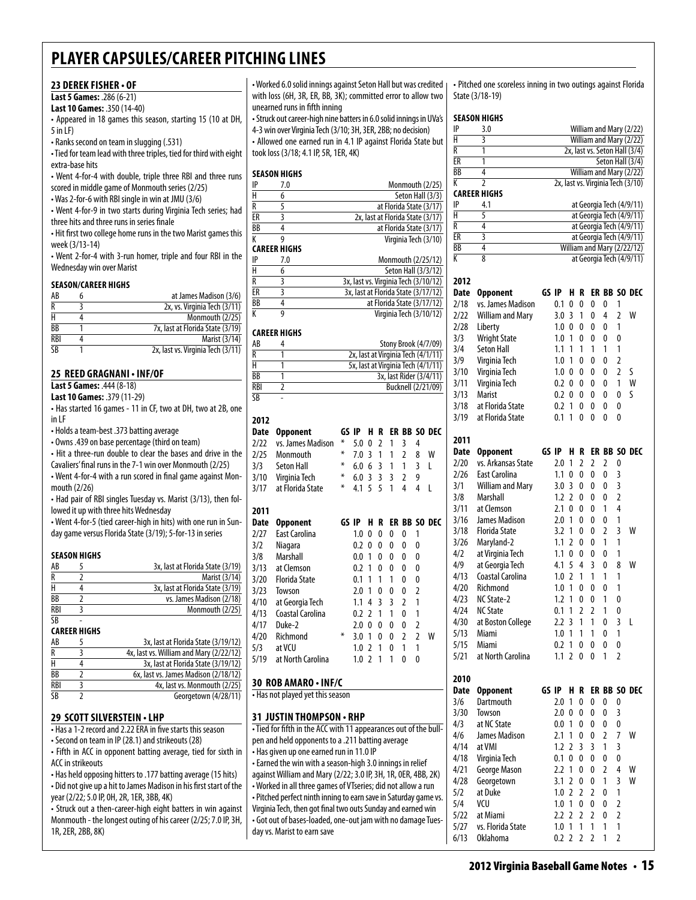#### **23 Derek fisher • of**

**Last 5 Games:** .286 (6-21)

**Last 10 Games:** .350 (14-40)

• Appeared in 18 games this season, starting 15 (10 at DH, 5 in LF)

• Ranks second on team in slugging (.531)

• Tied for team lead with three triples, tied for third with eight extra-base hits

• Went 4-for-4 with double, triple three RBI and three runs scored in middle game of Monmouth series (2/25)

• Was 2-for-6 with RBI single in win at JMU (3/6)

• Went 4-for-9 in two starts during Virginia Tech series; had three hits and three runs in series finale

• Hit first two college home runs in the two Marist games this week (3/13-14)

• Went 2-for-4 with 3-run homer, triple and four RBI in the Wednesday win over Marist

#### **Season/career Highs**

| AB              | at James Madison (3/6)            |
|-----------------|-----------------------------------|
| R               | 2x, vs. Virginia Tech (3/11)      |
|                 | Monmouth (2/25)                   |
| $\overline{BB}$ | 7x, last at Florida State (3/19)  |
| <b>RBI</b>      | Marist (3/14)                     |
| SΒ              | 2x, last vs. Virginia Tech (3/11) |

#### **25 Reed Gragnani • INF/OF**

**Last 5 Games:** .444 (8-18)

| <b>Last 10 Games: .379 (11-29)</b>                           |  |
|--------------------------------------------------------------|--|
| • Has started 16 games - 11 in CF, two at DH, two at 2B, one |  |
| in LF                                                        |  |

• Holds a team-best .373 batting average

• Owns .439 on base percentage (third on team)

• Hit a three-run double to clear the bases and drive in the

Cavaliers' final runs in the 7-1 win over Monmouth (2/25) • Went 4-for-4 with a run scored in final game against Monmouth (2/26)

• Had pair of RBI singles Tuesday vs. Marist (3/13), then followed it up with three hits Wednesday

• Went 4-for-5 (tied career-high in hits) with one run in Sunday game versus Florida State (3/19); 5-for-13 in series

#### **Season Highs**

| AB                    | 3x, last at Florida State (3/19) |
|-----------------------|----------------------------------|
|                       | Marist (3/14)                    |
|                       | 3x, last at Florida State (3/19) |
| BB                    | vs. James Madison (2/18)         |
| RBI                   | Monmouth (2/25)                  |
| $\overline{\text{S}}$ |                                  |

#### **Career Highs**

| AB         | 3x, last at Florida State (3/19/12)     |
|------------|-----------------------------------------|
| R          | 4x, last vs. William and Mary (2/22/12) |
| Н          | 3x, last at Florida State (3/19/12)     |
| BB         | 6x, last vs. James Madison (2/18/12)    |
| <b>RBI</b> | 4x, last vs. Monmouth (2/25)            |
| SB         | Georgetown (4/28/11)                    |

#### **29 scott silverstein • LHP**

• Has a 1-2 record and 2.22 ERA in five starts this season

• Second on team in IP (28.1) and strikeouts (28)

• Fifth in ACC in opponent batting average, tied for sixth in ACC in strikeouts

• Has held opposing hitters to .177 batting average (15 hits) • Did not give up a hit to James Madison in his first start of the year (2/22; 5.0 IP, 0H, 2R, 1ER, 3BB, 4K)

• Struck out a then-career-high eight batters in win against Monmouth - the longest outing of his career (2/25; 7.0 IP, 3H, 1R, 2ER, 2BB, 8K)

• Worked 6.0 solid innings against Seton Hall but was credited with loss (6H, 3R, ER, BB, 3K); committed error to allow two unearned runs in fifth inning

• Struck out career-high nine batters in 6.0 solid innings in UVa's 4-3 win over Virginia Tech (3/10; 3H, 3ER, 2BB; no decision) • Allowed one earned run in 4.1 IP against Florida State but took loss (3/18; 4.1 IP, 5R, 1ER, 4K)

#### **season Highs**

| IP             | 7.0                 | Monmouth (2/25)                      |
|----------------|---------------------|--------------------------------------|
| H              | 6                   | Seton Hall (3/3)                     |
| R              | 5                   | at Florida State (3/17)              |
| ER             | 3                   | 2x, last at Florida State (3/17)     |
| BB             | 4                   | at Florida State (3/17)              |
| К              | g                   | Virginia Tech (3/10)                 |
|                | <b>CAREER HIGHS</b> |                                      |
| IP             | 7.0                 | Monmouth (2/25/12)                   |
| H              | 6                   | Seton Hall (3/3/12)                  |
| $\overline{R}$ | 3                   | 3x, last vs. Virginia Tech (3/10/12) |
| ER             | 3                   | 3x, last at Florida State (3/17/12)  |
| BB             | 4                   | at Florida State (3/17/12)           |
| К              | 9                   | Virginia Tech (3/10/12)              |

#### **career Highs**

| AB                     | Stony Brook (4/7/09)               |
|------------------------|------------------------------------|
| R                      | 2x, last at Virginia Tech (4/1/11) |
| н                      | 5x, last at Virginia Tech (4/1/11) |
| BB                     | 3x, last Rider (3/4/11)            |
| <b>RBI</b>             | Bucknell (2/21/09)                 |
| $\overline{\text{SB}}$ |                                    |

#### **2012**

### **Date Opponent GS IP H R ER BB SO DEC**<br>2/22 vs. James Madison \* 5002134

| 2/22 | vs. James Madison    | ∗     | 5.0 | 0              | 2 | 1  | 3 | 4 |                  |
|------|----------------------|-------|-----|----------------|---|----|---|---|------------------|
| 2/25 | Monmouth             | ⋇     | 7.0 | 3              | 1 | 1  | 2 | 8 | W                |
| 3/3  | <b>Seton Hall</b>    | ∗     | 6.0 | 6              | 3 | 1  | 1 | 3 | I                |
| 3/10 | Virginia Tech        | ∗     | 6.0 | 3              | 3 | 3  | 2 | 9 |                  |
| 3/17 | at Florida State     | ∗     | 4.1 | 5              | 5 | 1  | 4 | 4 | L                |
|      |                      |       |     |                |   |    |   |   |                  |
| 2011 |                      |       |     |                |   |    |   |   |                  |
| Date | <b>Opponent</b>      | GS IP |     | н              | R | ER |   |   | <b>BB SO DEC</b> |
| 2/27 | <b>East Carolina</b> |       | 1.0 | 0              | 0 | 0  | 0 | 1 |                  |
| 3/2  | Niagara              |       | 0.2 | 0              | 0 | 0  | 0 | 0 |                  |
| 3/8  | Marshall             |       | 0.0 | 1              | 0 | 0  | 0 | 0 |                  |
| 3/13 | at Clemson           |       | 0.2 | 1              | 0 | 0  | 0 | 0 |                  |
| 3/20 | <b>Florida State</b> |       | 0.1 | 1              | 1 | 1  | 0 | 0 |                  |
| 3/23 | Towson               |       | 2.0 | 1              | 0 | 0  | 0 | 2 |                  |
| 4/10 | at Georgia Tech      |       | 1.1 | 4              | 3 | 3  | 2 | 1 |                  |
| 4/13 | Coastal Carolina     |       | 0.2 | $\overline{2}$ | 1 | 1  | 0 | 1 |                  |
| 4/17 | Duke-2               |       | 2.0 | 0              | 0 | 0  | 0 | 2 |                  |
| 4/20 | Richmond             | ∗     | 3.0 | 1              | 0 | 0  | 2 | 2 | W                |
| 5/3  | at VCU               |       | 1.0 | 2              | 1 | 0  | 1 | 1 |                  |
| 5/19 | at North Carolina    |       | 1.0 | $\overline{2}$ | 1 | 1  | 0 | 0 |                  |
|      |                      |       |     |                |   |    |   |   |                  |

#### **30 Rob Amaro • INF/C**

• Has not played yet this season

#### **31 justin thompson • RHP**

• Tied for fifth in the ACC with 11 appearances out of the bullpen and held opponents to a .211 batting average • Has given up one earned run in 11.0 IP • Earned the win with a season-high 3.0 innings in relief against William and Mary (2/22; 3.0 IP, 3H, 1R, 0ER, 4BB, 2K) • Worked in all three games of VTseries; did not allow a run • Pitched perfect ninth inning to earn save in Saturday game vs. Virginia Tech, then got final two outs Sunday and earned win • Got out of bases-loaded, one-out jam with no damage Tuesday vs. Marist to earn save

• Pitched one scoreless inning in two outings against Florida State (3/18-19)

#### **season Highs**

|      | SEASUN HIGHS            |       |       |                |                |                |   |                         |                                                      |
|------|-------------------------|-------|-------|----------------|----------------|----------------|---|-------------------------|------------------------------------------------------|
| IP   | 3.0                     |       |       |                |                |                |   |                         | William and Mary (2/22)                              |
| Н    | 3                       |       |       |                |                |                |   |                         | William and Mary (2/22)                              |
| R    | 1                       |       |       |                |                |                |   |                         | 2x, last vs. Seton Hall (3/4)                        |
| ER   | 1                       |       |       |                |                |                |   |                         | Seton Hall (3/4)                                     |
| ВB   | 4                       |       |       |                |                |                |   |                         | William and Mary (2/22)                              |
| K    | 2                       |       |       |                |                |                |   |                         | 2x, last vs. Virginia Tech (3/10)                    |
| IP   | CAREER HIGHS            |       |       |                |                |                |   |                         |                                                      |
| Н    | 4.1<br>5                |       |       |                |                |                |   |                         | at Georgia Tech (4/9/11)                             |
| R    | 4                       |       |       |                |                |                |   |                         | at Georgia Tech (4/9/11)<br>at Georgia Tech (4/9/11) |
| ER   | 3                       |       |       |                |                |                |   |                         | at Georgia Tech (4/9/11)                             |
| BB   | 4                       |       |       |                |                |                |   |                         | William and Mary (2/22/12)                           |
| К    | 8                       |       |       |                |                |                |   |                         | at Georgia Tech (4/9/11)                             |
|      |                         |       |       |                |                |                |   |                         |                                                      |
| 2012 |                         |       |       |                |                |                |   |                         |                                                      |
| Date | <b>Opponent</b>         | GS IP |       | H              | R              |                |   |                         | ER BB SO DEC                                         |
| 2/18 | vs. James Madison       |       | 0.1   | 0              | 0              | 0              | 0 | 1                       |                                                      |
| 2/22 | William and Mary        |       | 3.0   | 3              | 1              | 0              | 4 | 2                       | w                                                    |
| 2/28 | Liberty                 |       | 1.0   | 0              | 0              | 0              | 0 | 1                       |                                                      |
| 3/3  | <b>Wright State</b>     |       | 1.0   | 1              | 0              | 0              | 0 | 0                       |                                                      |
| 3/4  | <b>Seton Hall</b>       |       | 1.1   | 1              | 1              | 1              | 1 | 1                       |                                                      |
|      |                         |       | 1.0   | 1              | 0              | 0              | 0 | $\overline{2}$          |                                                      |
| 3/9  | Virginia Tech           |       | 1.0   | 0              | 0              | 0              | 0 | 2                       | S                                                    |
| 3/10 | Virginia Tech           |       |       |                |                |                |   | 1                       | W                                                    |
| 3/11 | Virginia Tech           |       | 0.2   | 0              | 0              | 0              | 0 |                         |                                                      |
| 3/13 | Marist                  |       | 0.2   | 0              | 0              | 0              | 0 | 0                       | S                                                    |
| 3/18 | at Florida State        |       | 0.2   | 1              | 0              | 0              | 0 | 0                       |                                                      |
| 3/19 | at Florida State        |       | 0.1   | 1              | 0              | 0              | 0 | 0                       |                                                      |
|      |                         |       |       |                |                |                |   |                         |                                                      |
| 2011 |                         |       |       |                |                |                |   |                         |                                                      |
| Date | Opponent                |       | GS IP | H              | R              |                |   |                         | ER BB SO DEC                                         |
| 2/20 | vs. Arkansas State      |       | 2.0   | 1              | $\overline{2}$ | 2              | 2 | 0                       |                                                      |
| 2/26 | East Carolina           |       | 1.1   | 0              | 0              | 0              | 0 | 3                       |                                                      |
| 3/1  | <b>William and Mary</b> |       | 3.0   | 3              | 0              | 0              | 0 | 3                       |                                                      |
| 3/8  | Marshall                |       | 1.2   | 2              | 0              | 0              | 0 | $\overline{2}$          |                                                      |
| 3/11 | at Clemson              |       | 2.1   | 0              | 0              | 0              | 1 | 4                       |                                                      |
| 3/16 | James Madison           |       | 2.0   | 1              | 0              | 0              | 0 | 1                       |                                                      |
| 3/18 | <b>Florida State</b>    |       | 3.2   | 1              | 0              | 0              | 2 | 3                       | W                                                    |
| 3/26 | Maryland-2              |       | 1.1   | $\overline{2}$ | 0              | 0              | 1 | 1                       |                                                      |
| 4/2  | at Virginia Tech        |       | 1.1   | 0              | 0              | 0              | 0 | 1                       |                                                      |
| 4/9  | at Georgia Tech         |       | 4.1   | 5              | 4              | 3              | 0 | 8                       | W                                                    |
| 4/13 | Coastal Carolina        |       | 1.0   | 2              | 1              | 1              | 1 | 1                       |                                                      |
| 4/20 | Richmond                |       | 1.0   | 1              | 0              | 0              | 0 | 1                       |                                                      |
| 4/23 | NC State-2              |       | 1.2   | 1              | 0              | 0              | 1 | 0                       |                                                      |
| 4/24 | <b>NC State</b>         |       | 0.1   | 1              | 2              | $\overline{2}$ | 1 | 0                       |                                                      |
| 4/30 | at Boston College       |       | 2.2   | 3              | 1              | 1              | 0 | 3                       | L                                                    |
| 5/13 | Miami                   |       | 1.0   | 1              | 1              | 1              | 0 | 1                       |                                                      |
| 5/15 | Miami                   |       | 0.2   | 1              | 0              | 0              | 0 | 0                       |                                                      |
| 5/21 | at North Carolina       |       | 1.1   | 2              | 0              | 0              | 1 | $\overline{2}$          |                                                      |
|      |                         |       |       |                |                |                |   |                         |                                                      |
| 2010 |                         |       |       |                |                |                |   |                         |                                                      |
| Date | <b>Opponent</b>         |       | GS IP | H.             | R              |                |   |                         | ER BB SO DEC                                         |
| 3/6  | Dartmouth               |       | 2.0   | 1              | 0              | 0              | 0 | 0                       |                                                      |
| 3/30 | Towson                  |       | 2.0   | 0              | 0              | 0              | 0 | 3                       |                                                      |
| 4/3  | at NC State             |       | 0.0   | 1              | 0              | 0              | 0 | 0                       |                                                      |
| 4/6  | James Madison           |       | 2.1   | 1              | 0              | 0              | 2 | 7                       | W                                                    |
| 4/14 | at VMI                  |       | 1.2   | 2              | 3              | 3              | 1 | 3                       |                                                      |
| 4/18 | Virginia Tech           |       | 0.1   | 0              | 0              | 0              | 0 | 0                       |                                                      |
| 4/21 | George Mason            |       | 2.2   | 1              | 0              | 0              | 2 | 4                       | W                                                    |
| 4/28 | Georgetown              |       | 3.1   | 2              | 0              | 0              | 1 | 3                       | W                                                    |
| 5/2  | at Duke                 |       | 1.0   | 2              | 2              | 2              | 0 | 1                       |                                                      |
| 5/4  | VCU                     |       | 1.0   | 1              | 0              | 0              | 0 | $\overline{\mathbf{c}}$ |                                                      |
| 5/22 | at Miami                |       | 2.2   | 2              | 2              | 2              | 0 | $\overline{2}$          |                                                      |
| 5/27 | vs. Florida State       |       | 1.0   | 1              | 1              | 1              | 1 | 1                       |                                                      |
| 6/13 | <b>Oklahoma</b>         |       | 0.2   | $\overline{2}$ | 2              | 2              | 1 | $\overline{2}$          |                                                      |
|      |                         |       |       |                |                |                |   |                         |                                                      |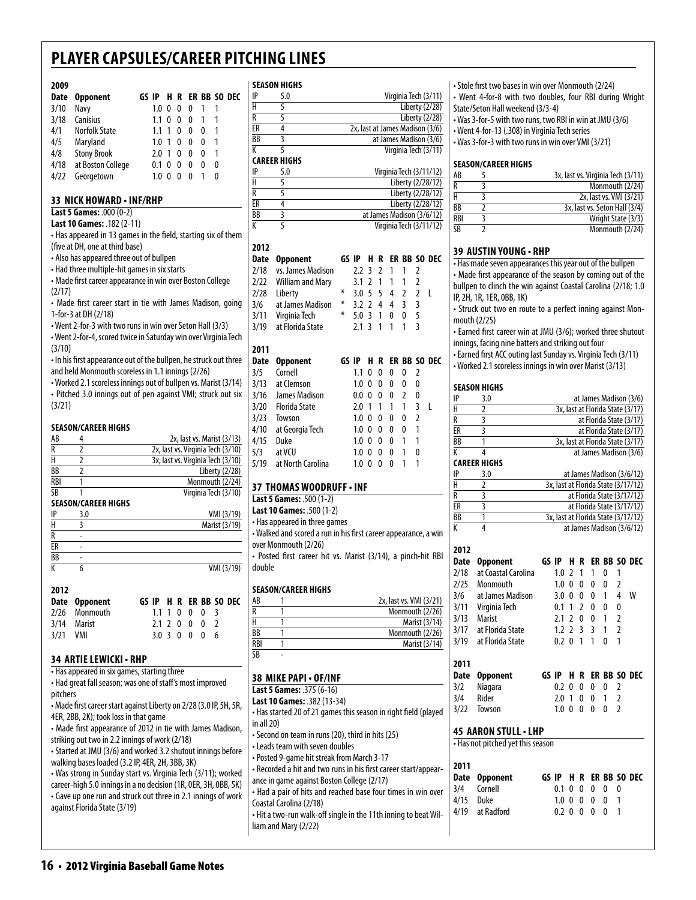#### **2009**

| Date | <b>Opponent</b>      |                  |    |          |   |              |   | GS IP H R ER BB SO DEC |
|------|----------------------|------------------|----|----------|---|--------------|---|------------------------|
| 3/10 | Navy                 | 1.0 <sub>0</sub> |    | $\theta$ | 0 |              |   |                        |
| 3/18 | Canisius             | $1.1 \; 0$       |    | $\Omega$ | 0 | $\mathbf{1}$ |   |                        |
| 4/1  | <b>Norfolk State</b> | 1.1 <sub>1</sub> |    | 0        | 0 | 0            |   |                        |
| 4/5  | Maryland             | 1.0 <sub>1</sub> |    | 0        | 0 | 0            |   |                        |
| 4/8  | <b>Stony Brook</b>   | 2.0 1            |    | 0        | 0 | 0            |   |                        |
| 4/18 | at Boston College    | $0.1\,0$         |    | 0        | 0 | 0            | 0 |                        |
| 4/22 | Georgetown           | 1.0              | -0 | 0        | 0 |              |   |                        |

#### **33 nick howard • inf/rhp**

**Last 5 Games:** .000 (0-2)

**Last 10 Games:** .182 (2-11) • Has appeared in 13 games in the field, starting six of them

(five at DH, one at third base) • Also has appeared three out of bullpen

• Had three multiple-hit games in six starts

• Made first career appearance in win over Boston College (2/17)

• Made first career start in tie with James Madison, going 1-for-3 at DH (2/18)

• Went 2-for-3 with two runs in win over Seton Hall (3/3) • Went 2-for-4, scored twice in Saturday win over Virginia Tech

(3/10)

• In his first appearance out of the bullpen, he struck out three and held Monmouth scoreless in 1.1 innings (2/26)

• Worked 2.1 scoreless innings out of bullpen vs. Marist (3/14) • Pitched 3.0 innings out of pen against VMI; struck out six (3/21)

#### **Season/career Highs**

| AB  | 2x, last vs. Marist (3/13)        |
|-----|-----------------------------------|
|     | 2x, last vs. Virginia Tech (3/10) |
|     | 3x, last vs. Virginia Tech (3/10) |
| ВB  | Liberty (2/28)                    |
| RBI | Monmouth (2/24)                   |
| ςR  | Virginia Tech (3/10)              |

#### **season/career Highs**

| ID        | 3.0 | VMI (3/19)    |
|-----------|-----|---------------|
|           |     | Marist (3/19) |
|           | ٠   |               |
| ER        | ٠   |               |
| <b>BB</b> | ٠   |               |
|           |     | VMI (3/19)    |

| 2012       |               |  |  |               |  |                        |
|------------|---------------|--|--|---------------|--|------------------------|
|            | Date Opponent |  |  |               |  | GS IP H R ER BB SO DEC |
|            | 2/26 Monmouth |  |  | 1.1 1 0 0 0 3 |  |                        |
|            | 3/14 Marist   |  |  | 2.1 2 0 0 0 2 |  |                        |
| $3/21$ VMI |               |  |  | 3.0 3 0 0 0 6 |  |                        |
|            |               |  |  |               |  |                        |

#### **34 artielewicki • rhp**

• Has appeared in six games, starting three • Had great fall season; was one of staff's most improved pitchers

• Made first career start against Liberty on 2/28 (3.0 IP, 5H, 5R, 4ER, 2BB, 2K); took loss in that game

• Made first appearance of 2012 in tie with James Madison, striking out two in 2.2 innings of work (2/18)

• Started at JMU (3/6) and worked 3.2 shutout innings before walking bases loaded (3.2 IP, 4ER, 2H, 3BB, 3K)

• Was strong in Sunday start vs. Virginia Tech (3/11); worked career-high 5.0 innings in a no decision (1R, 0ER, 3H, 0BB, 5K) • Gave up one run and struck out three in 2.1 innings of work against Florida State (3/19)

#### **season Highs**

| IP | 5.0                 | Virginia Tech (3/11)            |
|----|---------------------|---------------------------------|
| н  |                     | Liberty (2/28)                  |
| R  |                     | Liberty (2/28)                  |
| ER | 4                   | 2x, last at James Madison (3/6) |
| BB |                     | at James Madison (3/6)          |
|    |                     | Virginia Tech (3/11)            |
|    | <b>CAREER HIGHS</b> |                                 |
| IP | 5.0                 | Virginia Tech (3/11/12)         |
| Н  |                     | Liberty (2/28/12)               |
| -  |                     |                                 |

| R  | Liberty (2/28/12)         |
|----|---------------------------|
| ER | Liberty (2/28/12)         |
| BB | at James Madison (3/6/12) |
| K  | Virginia Tech (3/11/12)   |

#### **2012**

| Date | Opponent                | GS IP |     | н  | R |    |    |   | ER BB SO DEC |
|------|-------------------------|-------|-----|----|---|----|----|---|--------------|
| 2/18 | vs. James Madison       |       | 2.2 | 3  | 2 | 1  | 1  | 2 |              |
| 2/22 | <b>William and Mary</b> |       | 3.1 | 2  | 1 | 1  | 1  | 2 |              |
| 2/28 | Liberty                 | ⋇     | 3.0 | 5  | 5 | 4  | 2  | 2 | L            |
| 3/6  | at James Madison        | ⋇     | 3.2 | 2  | 4 | 4  | 3  | 3 |              |
| 3/11 | Virginia Tech           | ⋇     | 5.0 | 3  | 1 | 0  | 0  | 5 |              |
| 3/19 | at Florida State        |       | 2.1 | -3 | 1 | 1  | 1  | 3 |              |
|      |                         |       |     |    |   |    |    |   |              |
| 2011 |                         |       |     |    |   |    |    |   |              |
| Date | <b>Opponent</b>         | GS    | IP  | н  | R | ER | BB |   | SO DEC       |
| 3/5  | Cornell                 |       | 1.1 | 0  | 0 | 0  | 0  | 2 |              |
|      |                         |       |     |    |   |    |    |   |              |
| 3/13 | at Clemson              |       | 1.0 | 0  | 0 | 0  | 0  | 0 |              |
| 3/16 | James Madison           |       | 0.0 | 0  | 0 | 0  | 2  | 0 |              |
| 3/20 | Florida State           |       | 2.0 | 1  | 1 | 1  | 1  | 3 | L            |
| 3/23 | Towson                  |       | 1.0 | 0  | 0 | 0  | 0  | 2 |              |
| 4/10 | at Georgia Tech         |       | 1.0 | 0  | 0 | 0  | 0  | 1 |              |
| 4/15 | Duke                    |       | 1.0 | 0  | 0 | 0  | 1  | 1 |              |
| 5/3  | at VCU                  |       | 1.0 | 0  | 0 | 0  | 1  | 0 |              |

#### **37 thomas woodruff • inf**

**Last 5 Games:** .500 (1-2)

**Last 10 Games:** .500 (1-2) • Has appeared in three games

• Walked and scored a run in his first career appearance, a win over Monmouth (2/26)

• Posted first career hit vs. Marist (3/14), a pinch-hit RBI double

#### **Season/career Highs**

| AB  | 2x, last vs. VMI (3/21) |
|-----|-------------------------|
| R   | Monmouth (2/26)         |
|     | Marist (3/14)           |
| BB  | Monmouth (2/26)         |
| RBI | Marist (3/14)           |
| SB  |                         |

| 38 MIKE PAPI - OF/INF                                           |   |
|-----------------------------------------------------------------|---|
| Last 5 Games: .375 (6-16)                                       |   |
| Last 10 Games: .382 (13-34)                                     |   |
| • Has started 20 of 21 games this season in right field (played |   |
| in all $20$ )                                                   |   |
| • Second on team in runs (20), third in hits (25)               |   |
| • Leads team with seven doubles                                 |   |
| • Posted 9-game hit streak from March 3-17                      |   |
| - Recorded a hit and two runs in his first career start/appear- |   |
| ance in game against Boston College (2/17)                      |   |
| • Had a pair of hits and reached base four times in win over    |   |
| Coastal Carolina (2/18)                                         | L |
| . Hit a two-run walk-off single in the 11th inning to beat Wil- |   |

liam and Mary (2/22)

• Stole first two bases in win over Monmouth (2/24)

- Went 4-for-8 with two doubles, four RBI during Wright State/Seton Hall weekend (3/3-4)
- Was 3-for-5 with two runs, two RBI in win at JMU (3/6)
- Went 4-for-13 (.308) in Virginia Tech series
- Was 3-for-3 with two runs in win over VMI (3/21)

#### **Season/career Highs**

| AB        | 3x, last vs. Virginia Tech (3/11) |
|-----------|-----------------------------------|
| R         | Monmouth (2/24)                   |
| н         | 2x, last vs. VMI (3/21)           |
| ВB        | 3x, last vs. Seton Hall (3/4)     |
| RBI       | Wright State (3/3)                |
| <b>SR</b> | Monmouth (2/24)                   |

#### **39 austin young • rHP**

• Has made seven appearances this year out of the bullpen • Made first appearance of the season by coming out of the bullpen to clinch the win against Coastal Carolina (2/18; 1.0 IP, 2H, 1R, 1ER, 0BB, 1K)

• Struck out two en route to a perfect inning against Monmouth (2/25)

• Earned first career win at JMU (3/6); worked three shutout innings, facing nine batters and striking out four

• Earned first ACC outing last Sunday vs. Virginia Tech (3/11) • Worked 2.1 scoreless innings in win over Marist (3/13)

#### **season Highs**

| IP                      | 3.0                               |                                                                   |             |                          |                |   |              |                          | at James Madison (3/6)           |  |  |  |  |  |
|-------------------------|-----------------------------------|-------------------------------------------------------------------|-------------|--------------------------|----------------|---|--------------|--------------------------|----------------------------------|--|--|--|--|--|
| $\overline{\mathsf{H}}$ | $\overline{2}$                    |                                                                   |             |                          |                |   |              |                          | 3x, last at Florida State (3/17) |  |  |  |  |  |
| R                       | 3                                 |                                                                   |             |                          |                |   |              |                          | at Florida State (3/17)          |  |  |  |  |  |
| ER                      | $\overline{\mathbf{3}}$           |                                                                   |             |                          |                |   |              |                          | at Florida State (3/17)          |  |  |  |  |  |
| <b>BB</b>               | $\overline{1}$                    |                                                                   |             |                          |                |   |              |                          | 3x, last at Florida State (3/17) |  |  |  |  |  |
| K                       | 4                                 |                                                                   |             |                          |                |   |              |                          | at James Madison (3/6)           |  |  |  |  |  |
|                         | <b>CAREER HIGHS</b>               |                                                                   |             |                          |                |   |              |                          |                                  |  |  |  |  |  |
| IP                      | 3.0                               |                                                                   |             |                          |                |   |              |                          | at James Madison (3/6/12)        |  |  |  |  |  |
| H                       | $\overline{2}$                    |                                                                   |             |                          |                |   |              |                          |                                  |  |  |  |  |  |
| R                       | $\overline{3}$                    | 3x, last at Florida State (3/17/12)<br>at Florida State (3/17/12) |             |                          |                |   |              |                          |                                  |  |  |  |  |  |
| ER                      | $\overline{\overline{3}}$         | at Florida State (3/17/12)                                        |             |                          |                |   |              |                          |                                  |  |  |  |  |  |
| BB                      | 1                                 | 3x, last at Florida State (3/17/12)                               |             |                          |                |   |              |                          |                                  |  |  |  |  |  |
| K                       | $\overline{4}$                    | at James Madison (3/6/12)                                         |             |                          |                |   |              |                          |                                  |  |  |  |  |  |
|                         |                                   |                                                                   |             |                          |                |   |              |                          |                                  |  |  |  |  |  |
| 2012                    |                                   |                                                                   |             |                          |                |   |              |                          |                                  |  |  |  |  |  |
| <b>Date</b>             | <b>Opponent</b>                   |                                                                   | GS IP       | н                        | R              |   |              |                          | ER BB SO DEC                     |  |  |  |  |  |
| 2/18                    | at Coastal Carolina               |                                                                   | 1.0         | $\overline{2}$           | 1              | 1 | 0            | 1                        |                                  |  |  |  |  |  |
| 2/25                    | Monmouth                          |                                                                   | $1.0 \ \ 0$ |                          | 0              | 0 | 0            | $\overline{2}$           |                                  |  |  |  |  |  |
| 3/6                     | at James Madison                  |                                                                   | 3.0         | $\mathbf{0}$             | 0              | 0 | 1            | 4                        | W                                |  |  |  |  |  |
| 3/11                    | Virginia Tech                     |                                                                   | 0.1         | 1                        | $\overline{2}$ | 0 | 0            | 0                        |                                  |  |  |  |  |  |
| 3/13                    | Marist                            |                                                                   | 2.1         | $\overline{a}$           | 0              | 0 | $\mathbf{1}$ | $\overline{2}$           |                                  |  |  |  |  |  |
| 3/17                    | at Florida State                  |                                                                   | 1.2         | $\overline{\phantom{a}}$ | 3              | 3 | 1            | $\overline{2}$           |                                  |  |  |  |  |  |
| 3/19                    | at Florida State                  |                                                                   | 0.2         | $\mathbf{0}$             | 1              | 1 | $\mathbf{0}$ | 1                        |                                  |  |  |  |  |  |
|                         |                                   |                                                                   |             |                          |                |   |              |                          |                                  |  |  |  |  |  |
| 2011                    |                                   |                                                                   |             |                          |                |   |              |                          |                                  |  |  |  |  |  |
| Date                    | <b>Opponent</b>                   |                                                                   | GS IP       | н                        | R              |   |              |                          | ER BB SO DEC                     |  |  |  |  |  |
| 3/2                     | Niagara                           |                                                                   | 0.2         | 0                        | 0              | 0 | 0            | 2                        |                                  |  |  |  |  |  |
| 3/4                     | Rider                             |                                                                   | 2.0         | 1                        | 0              | 0 | 1            | $\overline{2}$           |                                  |  |  |  |  |  |
| 3/22                    | Towson                            |                                                                   | 1.0         | $\mathbf{0}$             | 0              | 0 | 0            | $\overline{\phantom{a}}$ |                                  |  |  |  |  |  |
|                         |                                   |                                                                   |             |                          |                |   |              |                          |                                  |  |  |  |  |  |
|                         | <b>45 AARON STULL • LHP</b>       |                                                                   |             |                          |                |   |              |                          |                                  |  |  |  |  |  |
|                         | • Has not pitched yet this season |                                                                   |             |                          |                |   |              |                          |                                  |  |  |  |  |  |
|                         |                                   |                                                                   |             |                          |                |   |              |                          |                                  |  |  |  |  |  |
| 2011                    |                                   |                                                                   |             |                          |                |   |              |                          |                                  |  |  |  |  |  |
| Date                    | <b>Opponent</b>                   |                                                                   | GS IP       | н                        | R              |   |              |                          | ER BB SO DEC                     |  |  |  |  |  |
| 3/4                     | Cornell                           |                                                                   | 0.1         | 0                        | 0              | 0 | 0            | 0                        |                                  |  |  |  |  |  |
| 4/15                    | Duke                              |                                                                   | 1.0         | $\mathbf{0}$             | $\mathbf{0}$   | 0 | 0            | 1                        |                                  |  |  |  |  |  |
| 4/19                    | at Radford                        |                                                                   | 0.2         | 0                        | 0              | 0 | 0            | 1                        |                                  |  |  |  |  |  |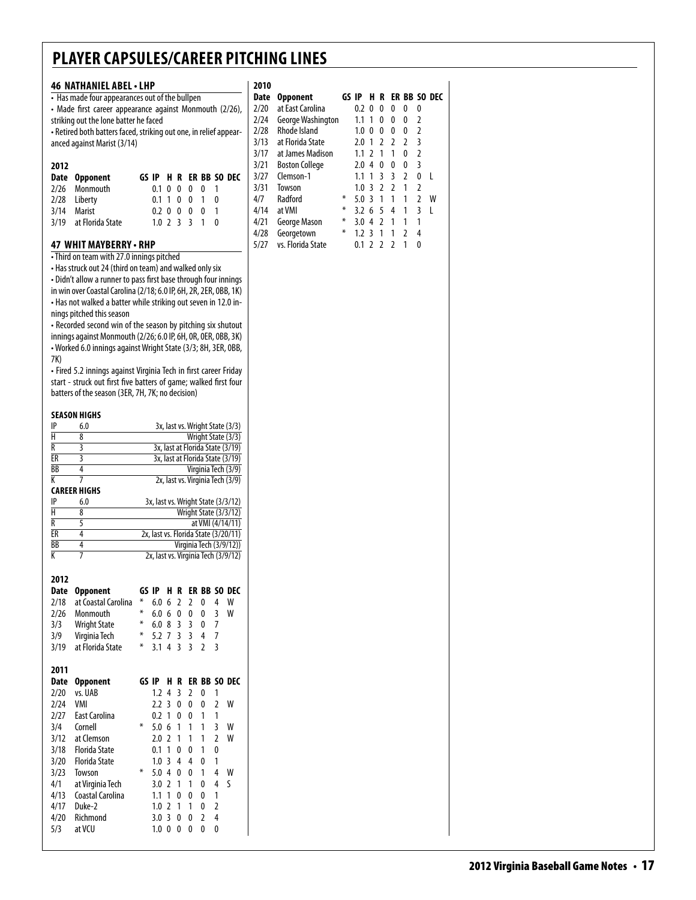#### **46 Nathaniel abel• LHP** • Has made four appearances out of the bullpen

| I as made four appearances out of the bumpent                    |
|------------------------------------------------------------------|
| • Made first career appearance against Monmouth (2/26),          |
| striking out the lone batter he faced                            |
| -Retired both batters faced, striking out one, in relief appear- |
| anced against Marist (3/14)                                      |
|                                                                  |

| 2012 |                       |               |  |  |                        |
|------|-----------------------|---------------|--|--|------------------------|
|      | Date Opponent         |               |  |  | GS IP H R ER BB SO DEC |
|      | 2/26 Monmouth         | 0.1 0 0 0 0 1 |  |  |                        |
|      | 2/28 Liberty          | 0.1 1 0 0 1 0 |  |  |                        |
|      | 3/14 Marist           | 0.2 0 0 0 0 1 |  |  |                        |
|      | 3/19 at Florida State | 1.0 2 3 3 1 0 |  |  |                        |

#### **47 whit mayberry • RHP**

• Third on team with 27.0 innings pitched

• Has struck out 24 (third on team) and walked only six • Didn't allow a runner to pass first base through four innings in win over Coastal Carolina (2/18; 6.0 IP, 6H, 2R, 2ER, 0BB, 1K) • Has not walked a batter while striking out seven in 12.0 innings pitched this season

• Recorded second win of the season by pitching six shutout innings against Monmouth (2/26; 6.0 IP, 6H, 0R, 0ER, 0BB, 3K) • Worked 6.0 innings against Wright State (3/3; 8H, 3ER, 0BB, 7K)

• Fired 5.2 innings against Virginia Tech in first career Friday start - struck out first five batters of game; walked first four batters of the season (3ER, 7H, 7K; no decision)

#### **season Highs**

|                        | JLMJUN NIUNJ         |       |     |                |                         |                |                |                |                                      |
|------------------------|----------------------|-------|-----|----------------|-------------------------|----------------|----------------|----------------|--------------------------------------|
| IP                     | 6.0                  |       |     |                |                         |                |                |                | 3x, last vs. Wright State (3/3)      |
| $\overline{\sf H}$     | 8                    |       |     |                |                         |                |                |                | Wright State (3/3)                   |
| R                      | 3                    |       |     |                |                         |                |                |                | 3x, last at Florida State (3/19)     |
| ER                     | $\overline{3}$       |       |     |                |                         |                |                |                | 3x, last at Florida State (3/19)     |
| $\overline{BB}$        | 4                    |       |     |                |                         |                |                |                | Virginia Tech (3/9)                  |
| K                      | 7                    |       |     |                |                         |                |                |                | 2x, last vs. Virginia Tech (3/9)     |
|                        | <b>CAREER HIGHS</b>  |       |     |                |                         |                |                |                |                                      |
| IP                     | 6.0                  |       |     |                |                         |                |                |                | 3x, last vs. Wright State (3/3/12)   |
| H                      | 8                    |       |     |                |                         |                |                |                | Wright State (3/3/12)                |
| R                      | 5                    |       |     |                |                         |                |                |                | at VMI (4/14/11)                     |
| $\overline{\text{ER}}$ | 4                    |       |     |                |                         |                |                |                | 2x, last vs. Florida State (3/20/11) |
| BB                     | 4                    |       |     |                |                         |                |                |                | Virginia Tech (3/9/12))              |
| K                      | 7                    |       |     |                |                         |                |                |                | 2x, last vs. Virginia Tech (3/9/12)  |
|                        |                      |       |     |                |                         |                |                |                |                                      |
| 2012                   |                      |       |     |                |                         |                |                |                |                                      |
| <b>Date</b>            | <b>Opponent</b>      | GS IP |     | н              | R                       |                |                |                | ER BB SO DEC                         |
| 2/18                   | at Coastal Carolina  | ⋇     | 6.0 | 6              | $\overline{2}$          | $\overline{2}$ | 0              | 4              | W                                    |
| 2/26                   | Monmouth             | ¥     | 6.0 | 6              | 0                       | 0              | 0              | 3              | W                                    |
| 3/3                    | <b>Wright State</b>  | ⋇     | 6.0 | 8              | $\overline{3}$          | 3              | 0              | 7              |                                      |
| 3/9                    | Virginia Tech        | ⋇     | 5.2 | 7              | $\overline{3}$          | $\overline{3}$ | 4              | $\overline{7}$ |                                      |
| 3/19                   | at Florida State     | ∗     | 3.1 | 4              | $\overline{\mathsf{B}}$ | $\overline{3}$ | $\overline{2}$ | 3              |                                      |
|                        |                      |       |     |                |                         |                |                |                |                                      |
| 2011                   |                      |       |     |                |                         |                |                |                |                                      |
| <b>Date</b>            | <b>Opponent</b>      | GS IP |     | н              | R                       |                |                |                | ER BB SO DEC                         |
| 2/20                   | vs. UAB              |       | 1.2 | 4              | $\overline{3}$          | $\overline{2}$ | 0              | 1              |                                      |
| 2/24                   | VMI                  |       | 2.2 | $\overline{3}$ | $\mathbf{0}$            | 0              | 0              | $\overline{2}$ | W                                    |
| 2/27                   | <b>East Carolina</b> |       | 0.2 | 1              | $\mathbf{0}$            | 0              | 1              | 1              |                                      |
| 3/4                    | Cornell              | ∗     | 5.0 | 6              | 1                       | 1              | 1              | 3              | W                                    |
| 3/12                   | at Clemson           |       | 2.0 | $\overline{2}$ | 1                       | 1              | 1              | $\overline{2}$ | W                                    |
| 3/18                   | <b>Florida State</b> |       | 0.1 | 1              | 0                       | 0              | 1              | 0              |                                      |
| 3/20                   | <b>Florida State</b> |       | 1.0 | 3              | $\overline{4}$          | 4              | 0              | 1              |                                      |
| 3/23                   | Towson               | ⋇     | 5.0 | $\overline{4}$ | 0                       | 0              | 1              | 4              | W                                    |
| 4/1                    | at Virginia Tech     |       | 3.0 | $\mathfrak z$  | 1                       | 1              | 0              | 4              | S                                    |
| 4/13                   | Coastal Carolina     |       | 1.1 | 1              | $\mathbf{0}$            | 0              | 0              | 1              |                                      |
| 4/17                   | Duke-2               |       | 1.0 | $\overline{2}$ | 1                       | 1              | 0              | $\overline{2}$ |                                      |
| 4/20                   | Richmond             |       | 3.0 | $\overline{3}$ | 0                       | 0              | $\overline{2}$ | 4              |                                      |
| 5/3                    | at VCU               |       | 1.0 | $\mathbf{0}$   | $\mathbf{0}$            | 0              | 0              | 0              |                                      |
|                        |                      |       |     |                |                         |                |                |                |                                      |

### **2010**

| 2010 |                       |       |                  |               |               |               |   |   |              |
|------|-----------------------|-------|------------------|---------------|---------------|---------------|---|---|--------------|
| Date | Opponent              | GS IP |                  | н             | R             |               |   |   | ER BB SO DEC |
| 2/20 | at East Carolina      |       | 0.2              | 0             | 0             | 0             | 0 | 0 |              |
| 2/24 | George Washington     |       | 1.1              | 1             | 0             | 0             | 0 | 2 |              |
| 2/28 | Rhode Island          |       | 1.0              | 0             | 0             | 0             | 0 | 2 |              |
| 3/13 | at Florida State      |       | 2.0              | 1             | 2             | 2             | 2 | 3 |              |
| 3/17 | at James Madison      |       | 1.1              | $\mathcal{L}$ | 1             | 1             | 0 | 2 |              |
| 3/21 | <b>Boston College</b> |       | 2.0              | 4             | 0             | 0             | 0 | 3 |              |
| 3/27 | Clemson-1             |       | 1.1              | 1             | ξ             | 3             | 2 | 0 | L            |
| 3/31 | Towson                |       | 1.0              | 3             | $\mathfrak z$ | $\mathfrak z$ | 1 | 2 |              |
| 4/7  | Radford               | ∗     | $5.0\,3$         |               | 1             | 1             | 1 | 2 | W            |
| 4/14 | at VMI                | ∗     | 3.2 <sub>6</sub> |               | 5             | 4             | 1 | 3 | L            |
| 4/21 | George Mason          | ∗     | 3.0              | 4             | $\mathfrak z$ | 1             | 1 | 1 |              |
| 4/28 | Georgetown            | ∗     | 1.2 <sup>3</sup> |               | 1             | 1             | 2 | 4 |              |
| 5/27 | vs. Florida State     |       | 0.1              | 2             | $\mathfrak z$ | $\mathfrak z$ | 1 | 0 |              |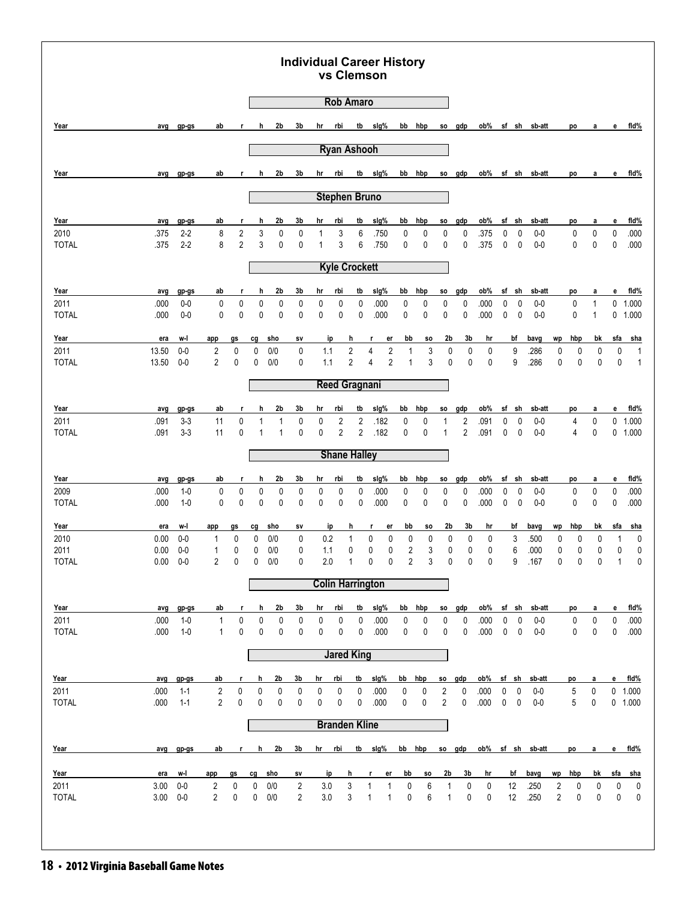#### **Individual Career History vs Clemson**

|                      |              |              |              |                |              |              |             |            | <b>Rob Amaro</b>     |                |                              |                   |                     |                              |                |                |              |             |                  |        |        |        |        |                |
|----------------------|--------------|--------------|--------------|----------------|--------------|--------------|-------------|------------|----------------------|----------------|------------------------------|-------------------|---------------------|------------------------------|----------------|----------------|--------------|-------------|------------------|--------|--------|--------|--------|----------------|
| Year                 | avg          | gp-gs        | ab           | r.             | h            | 2b           | 3b          | hr         | rbi                  | tb             | slg%                         | bb                | hbp                 | so                           | gdp            | ob%            |              | sf sh       | sb-att           |        | po     | a      | e      | fid%           |
|                      |              |              |              |                |              |              |             |            | <b>Ryan Ashooh</b>   |                |                              |                   |                     |                              |                |                |              |             |                  |        |        |        |        |                |
|                      |              |              |              |                |              |              |             |            |                      |                |                              |                   |                     |                              |                |                |              |             |                  |        |        |        |        |                |
| Year                 | avg          | gp-gs        | ab           | r.             | h            | 2b           | 3b          | hr         | rbi                  | tb             | slg%                         | bb                | hbp                 | SO.                          | gdp            | ob%            |              |             | sf sh sb-att     |        | po     | a      | e      | fid%           |
|                      |              |              |              |                |              |              |             |            | <b>Stephen Bruno</b> |                |                              |                   |                     |                              |                |                |              |             |                  |        |        |        |        |                |
| Year                 | avg          | gp-gs        | ab           | r              | h            | 2b           | 3b          | hr         | rbi                  | tb             | slg%                         | bb                | hbp                 | so                           | gdp            | ob%            | sf           | sh          | sb-att           |        | po     | а      | е      | fid%           |
| 2010                 | .375         | $2 - 2$      | 8            | 2              | 3            | $\mathbf 0$  | 0           | 1          | 3                    | 6              | .750                         | 0                 | 0                   | 0                            | 0              | .375           | 0            | 0           | $0-0$            |        | 0      | 0      | 0      | .000           |
| <b>TOTAL</b>         | .375         | $2 - 2$      | 8            | $\overline{2}$ | 3            | $\mathbf 0$  | 0           | 1          | 3                    | 6              | .750                         | 0                 | $\mathbf 0$         | $\mathbf 0$                  | 0              | .375           | 0            | 0           | $0-0$            |        | 0      | 0      | 0      | .000           |
|                      |              |              |              |                |              |              |             |            | <b>Kyle Crockett</b> |                |                              |                   |                     |                              |                |                |              |             |                  |        |        |        |        |                |
| Year                 | avg          | gp-gs        | ab           | r              | h            | 2b           | 3b          | hr         | rbi                  | tb             | sig%                         | bb                | hbp                 | SO.                          | gdp            | ob%            | sf           | sh          | sb-att           |        | po     | a      | е      | fid%           |
| 2011                 | .000         | $0-0$        | $\pmb{0}$    | $\mathbf 0$    | 0            | $\mathbf 0$  | 0           | 0          | 0                    | 0              | .000                         | 0                 | 0                   | 0                            | 0              | .000           | 0            | 0           | $0-0$            |        | 0      | 1      | 0      | 1.000          |
| <b>TOTAL</b>         | .000         | $0-0$        | 0            | 0              | 0            | $\mathbf 0$  | $\mathbf 0$ | 0          | 0                    | 0              | .000                         | $\mathbf 0$       | $\mathbf{0}$        | $\mathbf 0$                  | 0              | .000           | 0            | $\mathbf 0$ | $0-0$            |        | 0      | 1      | 0      | 1.000          |
| Year                 | era          | w-l          | app          | gs             | cg           | <u>sho</u>   | s٧          |            | <u>ip</u>            | h              | r                            | er                | bb<br>so            | 2b                           | 3b             | hr             |              | bf          | bavg             | wp     | hbp    | bk     | sfa    | <u>sha</u>     |
| 2011                 | 13.50        | $0-0$        | 2            | 0              | 0            | 0/0          | 0           | 1.1        |                      | $\sqrt{2}$     | $\overline{4}$               | $\sqrt{2}$        | 3<br>1              |                              | 0<br>0         | 0              |              | 9           | .286             | 0      | 0      | 0      | 0      | $\overline{1}$ |
| <b>TOTAL</b>         | 13.50        | $0-0$        | 2            | 0              | 0            | 0/0          | 0           | 1.1        |                      | $\overline{2}$ | 4                            | $\overline{2}$    | 3<br>1              |                              | 0<br>0         | 0              |              | 9           | .286             | 0      | 0      | 0      | 0      | $\mathbf{1}$   |
|                      |              |              |              |                |              |              |             |            | <b>Reed Gragnani</b> |                |                              |                   |                     |                              |                |                |              |             |                  |        |        |        |        |                |
| Year                 | avg          | gp-gs        | ab           | r              | h            | 2b           | 3b          | hr         | rbi                  | tb             | slg%                         | bb                | hbp                 | so                           | gdp            | ob%            | sf           | sh          | sb-att           |        | po     | а      | е      | fid%           |
| 2011                 | .091         | $3-3$        | 11           | 0              | 1            | 1            | 0           | 0          | $\overline{2}$       | 2              | .182                         | 0                 | 0                   | 1                            | 2              | .091           | 0            | 0           | $0-0$            |        | 4      | 0      | 0      | 1.000          |
| <b>TOTAL</b>         | .091         | $3 - 3$      | 11           | 0              | $\mathbf{1}$ | $\mathbf{1}$ | $\mathbf 0$ | 0          | $\overline{2}$       | $\overline{2}$ | .182                         | 0                 | $\mathbf 0$         | $\mathbf{1}$                 | $\overline{2}$ | .091           | 0            | 0           | $0-0$            |        | 4      | 0      | 0      | 1.000          |
|                      |              |              |              |                |              |              |             |            | <b>Shane Halley</b>  |                |                              |                   |                     |                              |                |                |              |             |                  |        |        |        |        |                |
| Year                 | avg          | gp-gs        | ab           | r              | h            | 2b           | 3b          | hr         | rbi                  | tb             | slg%                         | bb                | hbp                 | SO.                          | gdp            | ob%            | sf           | sh          | sb-att           |        | po     | a      | е      | fid%           |
| 2009                 | .000         | $1 - 0$      | 0            | 0              | 0            | 0            | 0           | 0          | 0                    | 0              | .000                         | 0                 | 0                   | 0                            | 0              | .000           | 0            | 0           | $0-0$            |        | 0      | 0      | 0      | .000           |
| <b>TOTAL</b>         | .000         | $1 - 0$      | 0            | $\mathbf 0$    | $\mathbf 0$  | $\mathbf 0$  | 0           | 0          | 0                    | 0              | .000                         | 0                 | 0                   | 0                            | 0              | .000           | 0            | $\mathbf 0$ | $0-0$            |        | 0      | 0      | 0      | .000           |
| Year                 | era          | w-l          | app          | gs             | cg           | sho          | sv          |            | ip                   | h              | r                            | er                | bb<br>so            | 2b                           | 3b             | hr             |              | bf          | bavg             | wp     | hbp    | bk     | sfa    | <u>sha</u>     |
| 2010                 | 0.00         | $0-0$        | 1            | 0              | 0            | 0/0          | 0           | 0.2        |                      | 1              | 0                            | 0                 | 0<br>0              |                              | 0<br>0         | 0              |              | 3           | .500             | 0      | 0      | 0      | 1      | $\pmb{0}$      |
| 2011                 | 0.00         | $0-0$        | 1            | 0              | 0            | 0/0          | 0           | 1.1        |                      | 0              | 0                            | 0                 | 2<br>3              |                              | 0<br>0         | 0              |              | 6           | .000             | 0      | 0      | 0      | 0      | $\pmb{0}$      |
| <b>TOTAL</b>         | 0.00         | $0-0$        | 2            | 0              | 0            | 0/0          | 0           | 2.0        |                      | 1              | 0                            | 0                 | $\overline{2}$<br>3 |                              | 0<br>0         | 0              |              | 9           | .167             | 0      | 0      | 0      | 1      | $\pmb{0}$      |
|                      |              |              |              |                |              |              |             |            |                      |                | <b>Colin Harrington</b>      |                   |                     |                              |                |                |              |             |                  |        |        |        |        |                |
| Year                 | avg          | gp-gs        | ab           | r              | h            | 2b           | 3b          | hr         | rbi                  | tb             | slg%                         | bb                | hbp                 | SO.                          | gdp            | ob%            |              | sf sh       | sb-att           |        | po     | а      | е      | fid%           |
| 2011                 | .000         | $1 - 0$      | $\mathbf{1}$ | 0              | 0            | $\pmb{0}$    | 0           | 0          | 0                    | 0              | .000                         | $\pmb{0}$         | 0                   | 0                            | 0              | .000           | 0            | $\pmb{0}$   | $0-0$            |        | 0      | 0      | 0      | .000           |
| <b>TOTAL</b>         | .000         | $1-0$        | $\mathbf{1}$ | 0              | 0            | 0            | 0           | 0          | 0                    | 0              | .000                         | 0                 | 0                   | 0                            | 0              | .000           | 0            | $\pmb{0}$   | $0-0$            |        | 0      | 0      | 0      | .000           |
|                      |              |              |              |                |              |              |             |            | <b>Jared King</b>    |                |                              |                   |                     |                              |                |                |              |             |                  |        |        |        |        |                |
| Year                 | avg          | gp-gs        | ab           | r              | h            | 2b           | 3b          | hr         | rbi                  | tb             | slg%                         | bb                | hbp                 | <b>SO</b>                    | gdp            | ob%            |              | sf sh       | sb-att           |        | po     | a      | e      | fid%           |
| 2011                 | .000         | $1 - 1$      | 2            | 0              | 0            | 0            | 0           | 0          | 0                    | 0              | .000                         | 0                 | 0                   | $\overline{\mathbf{c}}$      | 0              | .000           | 0            | 0           | $0-0$            |        | 5      | 0      |        | $0$ 1.000      |
| <b>TOTAL</b>         | .000         | $1 - 1$      | 2            | 0              | 0            | 0            | 0           | 0          | 0                    | 0              | .000                         | 0                 | 0                   | 2                            | 0              | .000           | $\mathsf{O}$ | 0           | $0-0$            |        | 5      | 0      |        | 0 1.000        |
|                      |              |              |              |                |              |              |             |            | <b>Branden Kline</b> |                |                              |                   |                     |                              |                |                |              |             |                  |        |        |        |        |                |
| Year                 | avg          | $qp-gs$      | ab           | r              | h            | 2b           | 3b          | hr         | rbi                  |                | tb slg%                      |                   | bb hbp              |                              | so gdp         |                |              |             | ob% sf sh sb-att |        | po     | a      | e      | fid%           |
|                      |              |              |              |                |              |              |             |            |                      |                |                              |                   |                     |                              |                |                |              |             |                  |        |        |        |        |                |
| Year                 | era          | w-l          | app          | gs             | cg           | sho          | SV          |            | ip                   | h              | r.                           | er                | bb<br><b>SO</b>     | 2 <sub>b</sub>               | 3 <sub>b</sub> | hr             |              | bf          | bavg             | wp     | hbp    | bk     | sfa    | <u>sha</u>     |
| 2011<br><b>TOTAL</b> | 3.00<br>3.00 | $0-0$<br>0-0 | 2<br>2       | 0<br>0         | 0<br>0       | 0/0<br>0/0   | 2<br>2      | 3.0<br>3.0 |                      | 3<br>3         | $\mathbf{1}$<br>$\mathbf{1}$ | 1<br>$\mathbf{1}$ | 0<br>6<br>0<br>6    | $\mathbf{1}$<br>$\mathbf{1}$ | 0<br>0         | 0<br>$\pmb{0}$ |              | 12<br>12    | .250<br>.250     | 2<br>2 | 0<br>0 | 0<br>0 | 0<br>0 | 0<br>$\pmb{0}$ |
|                      |              |              |              |                |              |              |             |            |                      |                |                              |                   |                     |                              |                |                |              |             |                  |        |        |        |        |                |
|                      |              |              |              |                |              |              |             |            |                      |                |                              |                   |                     |                              |                |                |              |             |                  |        |        |        |        |                |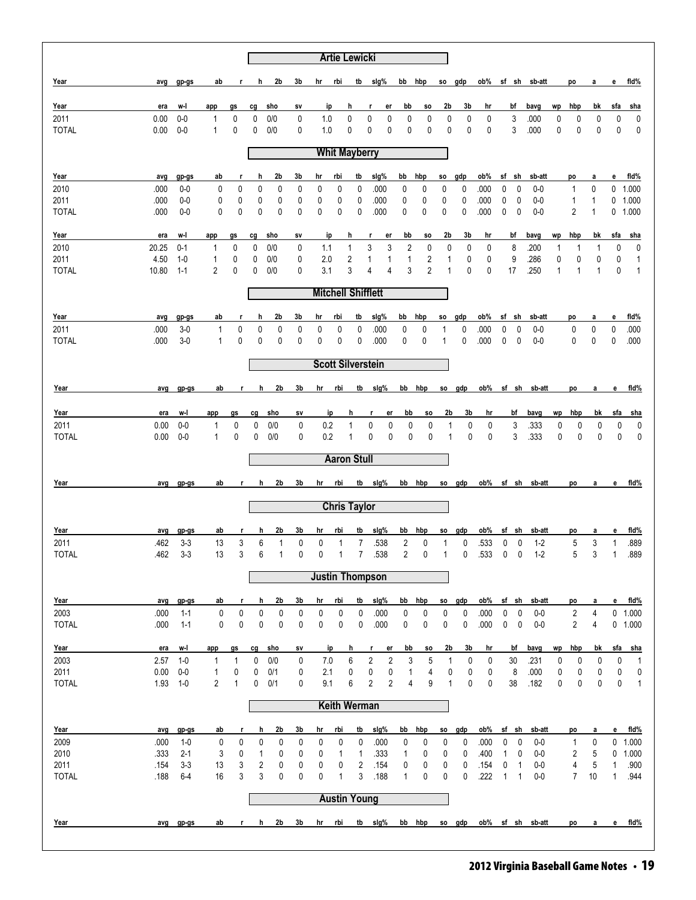|                      |               |                    |                   |              |         |                   |              |            | <b>Artie Lewicki</b> |                     |                           |                |                         |         |                    |         |              |                   |              |                |         |                              |         |              |                           |
|----------------------|---------------|--------------------|-------------------|--------------|---------|-------------------|--------------|------------|----------------------|---------------------|---------------------------|----------------|-------------------------|---------|--------------------|---------|--------------|-------------------|--------------|----------------|---------|------------------------------|---------|--------------|---------------------------|
| Year                 | avg           | gp-gs              | ab                | r            | h       | 2b                | 3b           | hr         | rbi                  | tb                  | slg%                      |                |                         | bb hbp  | <b>SO</b>          | gdp     | ob%          |                   |              | sf sh sb-att   |         | po                           | a       | е            | fid%                      |
| Year                 | era           | w-l                | app               | gs           | cg      | sho               | sv           |            | ip                   | h                   | r                         | er             | bb                      | SO.     | 2b                 | 3b      | hr           |                   | bf           | bavg           | wp      | hbp                          | bk      | sfa          | sha                       |
| 2011                 | 0.00          | $0-0$              | 1                 | 0            | 0       | 0/0               | 0            | 1.0        |                      | $\mathbf 0$         | 0                         | 0              | 0                       | 0       | 0                  | 0       | 0            |                   | 3            | .000           | 0       | 0                            | 0       | 0            | 0                         |
| <b>TOTAL</b>         | 0.00          | $0-0$              | 1                 | 0            | 0       | 0/0               | 0            | 1.0        |                      | 0                   | 0                         | 0              | 0                       | 0       | 0                  | 0       | 0            |                   | 3            | .000           | 0       | $\mathbf 0$                  | 0       | 0            | 0                         |
|                      |               |                    |                   |              |         |                   |              |            | <b>Whit Mayberry</b> |                     |                           |                |                         |         |                    |         |              |                   |              |                |         |                              |         |              |                           |
| <u>Year</u>          | avg           | gp-gs              | ab                | r            | h       | 2b                | 3b           | hr         | rbi                  | tb                  | sig%                      | bb             |                         | hbp     | SO.                | gdp     | ob%          |                   | sf sh        | sb-att         |         | po                           | а       | е            | fid%                      |
| 2010                 | .000          | $0-0$              | 0                 | 0            | 0       | 0                 | 0            | 0          | 0                    | 0                   | .000                      |                | 0                       | 0       | 0                  | 0       | .000         | 0                 | 0            | $0-0$          |         | 1                            | 0       |              | $0$ 1.000                 |
| 2011<br><b>TOTAL</b> | .000<br>.000  | $0-0$<br>$0-0$     | 0<br>0            | 0<br>0       | 0<br>0  | 0<br>$\mathbf 0$  | 0<br>0       | 0<br>0     | 0<br>0               | 0<br>0              | .000<br>.000              |                | 0<br>0                  | 0<br>0  | 0<br>0             | 0<br>0  | .000<br>.000 | 0<br>0            | 0<br>0       | $0-0$<br>$0-0$ |         | 1<br>2                       | 1<br>1  |              | $0$ 1.000<br>$0$ 1.000    |
|                      |               |                    |                   |              |         |                   |              |            |                      |                     |                           |                |                         |         |                    |         |              |                   |              |                |         |                              |         |              |                           |
| Year                 | era           | w-l                | app               | gs           | cg      | sho               | SV           |            | ip                   | h                   | r                         | er             | bb                      | so      | 2b                 | 3b      | hr           |                   | bf           | bavg           | wp      | hbp                          | bk      | sfa          | sha                       |
| 2010<br>2011         | 20.25<br>4.50 | $0 - 1$<br>$1 - 0$ | 1<br>1            | 0<br>0       | 0<br>0  | 0/0<br>0/0        | 0<br>0       | 1.1<br>2.0 |                      | 1<br>2              | 3<br>1                    | 3<br>1         | 2<br>1                  | 0<br>2  | 0<br>1             | 0<br>0  | 0<br>0       |                   | 8<br>9       | .200<br>.286   | 1<br>0  | 1<br>0                       | 1<br>0  | 0<br>0       | 0<br>1                    |
| <b>TOTAL</b>         | 10.80         | $1 - 1$            | 2                 | 0            | 0       | 0/0               | 0            | 3.1        |                      | 3                   | $\overline{4}$            | 4              | 3                       | 2       | 1                  | 0       | 0            |                   | 17           | .250           | 1       | 1                            | 1       | 0            | 1                         |
|                      |               |                    |                   |              |         |                   |              |            |                      |                     | <b>Mitchell Shifflett</b> |                |                         |         |                    |         |              |                   |              |                |         |                              |         |              |                           |
| Year                 | avg           | gp-gs              | ab                | r            | h       | 2b                | 3b           | hr         | rbi                  | tb                  | sig%                      | bb             |                         | hbp     | so                 | gdp     | ob%          |                   | sf sh        | sb-att         |         | po                           | a       | е            | fid%                      |
| 2011                 | .000          | $3-0$              | 1                 | 0            | 0       | 0                 | 0            | 0          | 0                    | 0                   | .000                      |                | 0                       | 0       | 1                  | 0       | .000         | 0                 | 0            | $0-0$          |         | 0                            | 0       | 0            | .000                      |
| <b>TOTAL</b>         | .000          | $3-0$              | $\mathbf{1}$      | 0            | 0       | 0                 | $\mathbf{0}$ | 0          | 0                    | 0                   | .000                      |                | 0                       | 0       | 1                  | 0       | .000         | 0                 | 0            | $0-0$          |         | 0                            | 0       | 0            | .000                      |
|                      |               |                    |                   |              |         |                   |              |            |                      |                     | <b>Scott Silverstein</b>  |                |                         |         |                    |         |              |                   |              |                |         |                              |         |              |                           |
| Year                 | avg           | gp-gs              | ab                | r.           | h       | 2 <sub>b</sub>    | 3b           | hr         | rbi                  | tb                  | sig%                      |                |                         | bb hbp  | so                 | gdp     | ob%          |                   |              | sf sh sb-att   |         | po                           | а       | е            | fid%                      |
|                      |               |                    |                   |              |         |                   |              |            |                      |                     |                           |                |                         |         |                    |         |              |                   |              |                |         |                              |         |              |                           |
| Year<br>2011         | era<br>0.00   | w-l<br>$0-0$       | app               | gs<br>0      | cg<br>0 | sho<br>0/0        | sv<br>0      |            | ip<br>0.2            | h<br>$\mathbf{1}$   | r,<br>0                   | er<br>0        | bb<br>0                 | so<br>0 | 2b<br>$\mathbf{1}$ | 3b<br>0 | hr<br>0      |                   | bf<br>3      | bavg<br>.333   | wp<br>0 | hbp<br>0                     | bk<br>0 | sfa<br>0     | <u>sha</u>                |
| <b>TOTAL</b>         | 0.00          | $0-0$              | 1<br>$\mathbf{1}$ | 0            | 0       | 0/0               | 0            |            | 0.2                  | 1                   | 0                         | 0              | 0                       | 0       | $\mathbf{1}$       | 0       | $\mathbf 0$  |                   | 3            | .333           | 0       | 0                            | 0       | 0            | 0<br>0                    |
|                      |               |                    |                   |              |         |                   |              |            | <b>Aaron Stull</b>   |                     |                           |                |                         |         |                    |         |              |                   |              |                |         |                              |         |              |                           |
| Year                 | avg           | gp-gs              | ab                | r.           | h       | 2b                | 3b           | hr         | <u>rbi</u>           | tb                  | slg%                      |                |                         | bb hbp  | so                 | gdp     | ob%          |                   | sf sh        | sb-att         |         | po                           | a       | e            | fid%                      |
|                      |               |                    |                   |              |         |                   |              |            |                      |                     |                           |                |                         |         |                    |         |              |                   |              |                |         |                              |         |              |                           |
|                      |               |                    |                   |              |         |                   |              |            | <b>Chris Taylor</b>  |                     |                           |                |                         |         |                    |         |              |                   |              |                |         |                              |         |              |                           |
| Year                 | avg           | gp-gs              | ab                |              | h       | 2b                | 3b           | hr         | rbi                  | tb                  | sig%                      |                | bb                      | hbp     | SO.                | gdp     | ob%          |                   | sf sh        | sb-att         |         | po                           | а       | е            | fid%                      |
| 2011                 | .462          | $3 - 3$            | 13                | 3<br>3       | 6<br>6  | 1<br>$\mathbf{1}$ | 0            | 0          | 1                    | 7<br>$\overline{7}$ | .538                      |                | 2                       | 0       | $\mathbf{1}$<br>1  | 0       | .533         | 0                 | 0            | $1-2$          |         | 5                            | 3       | 1            | .889                      |
| <b>TOTAL</b>         | .462          | $3-3$              | 13                |              |         |                   | 0            | 0          | 1                    |                     | .538                      |                | $\overline{\mathbf{c}}$ | 0       |                    | 0       | .533         | $\pmb{0}$         | $\pmb{0}$    | $1 - 2$        |         | 5                            | 3       | 1            | .889                      |
|                      |               |                    |                   |              |         |                   |              |            |                      |                     | <b>Justin Thompson</b>    |                |                         |         |                    |         |              |                   |              |                |         |                              |         |              |                           |
| Year                 | avg           | gp-gs              | ab                | r.           | h       | 2b                | 3b           | hr         | rbi                  | tb                  | slg%                      |                | bb                      | hbp     | SO.                | gdp     | ob%          |                   | sf sh        | sb-att         |         | po                           | a       | e            | fid%                      |
| 2003                 | .000          | $1 - 1$            | 0                 | 0            | 0       | 0                 | 0            | 0          | $\pmb{0}$            | 0                   | .000                      |                | 0                       | 0       | 0                  | 0       | .000         | 0                 | 0            | $0-0$          |         | 2                            | 4       |              | $0$ 1.000                 |
| <b>TOTAL</b>         | .000          | $1 - 1$            | 0                 | 0            | 0       | $\mathbf 0$       | $\pmb{0}$    | 0          | 0                    | 0                   | .000                      |                | $\pmb{0}$               | 0       | $\pmb{0}$          | 0       | .000         | 0                 | $\mathbf 0$  | $0-0$          |         | 2                            | 4       |              | 0 1.000                   |
| Year                 | era           | w-l                | app               | gs           | cg      | sho               | sv           |            | ip                   | h                   | r                         | er             | bb                      | SO.     | 2b                 | 3b      | hr           |                   | bf           | bavg           | wp      | hbp                          | bk      | sfa          | <u>sha</u>                |
| 2003                 | 2.57          | $1-0$              | 1                 | $\mathbf{1}$ | 0       | 0/0               | 0            |            | 7.0                  | 6                   | 2                         | $\overline{2}$ | 3                       | 5       | 1                  | 0       | 0            |                   | 30           | .231           | 0       | 0                            | 0       | 0            | $\mathbf{1}$              |
| 2011<br><b>TOTAL</b> | 0.00<br>1.93  | $0-0$<br>$1-0$     | 1<br>2            | 0<br>1       | 0<br>0  | 0/1<br>0/1        | 0<br>0       |            | 2.1<br>9.1           | 0<br>6              | $\pmb{0}$<br>2            | 0<br>2         | 1<br>$\overline{4}$     | 4<br>9  | 0<br>$\mathbf{1}$  | 0<br>0  | 0<br>0       |                   | 8<br>38      | .000<br>.182   | 0<br>0  | 0<br>0                       | 0<br>0  | 0<br>0       | $\pmb{0}$<br>$\mathbf{1}$ |
|                      |               |                    |                   |              |         |                   |              |            |                      |                     |                           |                |                         |         |                    |         |              |                   |              |                |         |                              |         |              |                           |
|                      |               |                    |                   |              |         |                   |              |            | <b>Keith Werman</b>  |                     |                           |                |                         |         |                    |         |              |                   |              |                |         |                              |         |              |                           |
| Year                 | avg           | gp-gs              | ab                | r            | h       | 2b                | 3b           | hr         | rbi                  | tb                  | slg%                      |                | bb                      | hbp     | SO.                | gdp     | ob%          |                   | sf sh        | sb-att         |         | po                           | a       | e            | fid%                      |
| 2009<br>2010         | .000<br>.333  | $1-0$<br>$2 - 1$   | 0<br>3            | 0<br>0       | 0       | 0<br>0            | 0<br>0       | 0<br>0     | 0                    | 0<br>$\mathbf{1}$   | .000<br>.333              |                | 0<br>$\mathbf{1}$       | 0<br>0  | 0<br>0             | 0<br>0  | .000<br>.400 | 0<br>$\mathbf{1}$ | 0<br>0       | 0-0<br>$0-0$   |         | 1<br>$\overline{\mathbf{c}}$ | 0<br>5  | 0            | $0$ 1.000<br>1.000        |
| 2011                 | .154          | $3 - 3$            | 13                | 3            | 1<br>2  | 0                 | 0            | 0          | 1<br>0               | $\overline{2}$      | .154                      |                | 0                       | 0       | 0                  | 0       | .154         | 0                 | 1            | $0-0$          |         | 4                            | 5       | $\mathbf{1}$ | .900                      |
| <b>TOTAL</b>         | .188          | $6 - 4$            | 16                | 3            | 3       | 0                 | 0            | 0          | $\mathbf{1}$         | 3                   | .188                      |                | $\mathbf{1}$            | 0       | 0                  | 0       | .222         | $\mathbf{1}$      | $\mathbf{1}$ | $0-0$          |         | $\overline{7}$               | 10      | $\mathbf{1}$ | .944                      |
|                      |               |                    |                   |              |         |                   |              |            | <b>Austin Young</b>  |                     |                           |                |                         |         |                    |         |              |                   |              |                |         |                              |         |              |                           |
|                      |               |                    |                   |              |         |                   |              |            |                      |                     |                           |                |                         |         |                    |         |              |                   |              |                |         |                              |         |              |                           |
| Year                 |               | avg gp-gs          | ab                | $\mathbf{r}$ | h       | 2b                | 3b           | hr         | rbi                  | tb                  | slg%                      |                |                         | bb hbp  |                    | so gdp  | ob%          |                   |              | sf sh sb-att   |         | po                           | a       | e            | fid%                      |